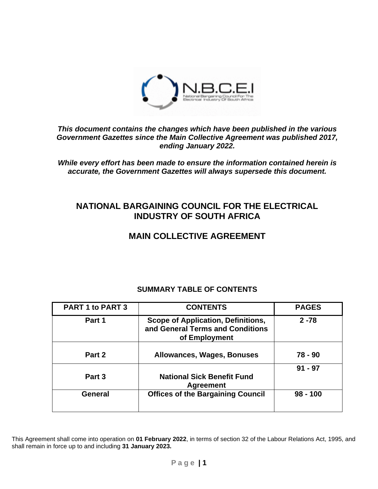

### *This document contains the changes which have been published in the various Government Gazettes since the Main Collective Agreement was published 2017, ending January 2022.*

*While every effort has been made to ensure the information contained herein is accurate, the Government Gazettes will always supersede this document.*

# **NATIONAL BARGAINING COUNCIL FOR THE ELECTRICAL INDUSTRY OF SOUTH AFRICA**

# **MAIN COLLECTIVE AGREEMENT**

# **SUMMARY TABLE OF CONTENTS**

| <b>PART 1 to PART 3</b> | <b>CONTENTS</b>                                                                         | <b>PAGES</b> |
|-------------------------|-----------------------------------------------------------------------------------------|--------------|
| Part 1                  | Scope of Application, Definitions,<br>and General Terms and Conditions<br>of Employment | $2 - 78$     |
|                         |                                                                                         |              |
| Part 2                  | <b>Allowances, Wages, Bonuses</b>                                                       | 78 - 90      |
| Part 3                  | <b>National Sick Benefit Fund</b><br><b>Agreement</b>                                   | $91 - 97$    |
| General                 | <b>Offices of the Bargaining Council</b>                                                | $98 - 100$   |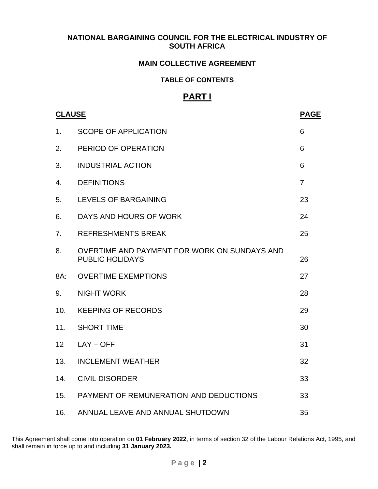### **NATIONAL BARGAINING COUNCIL FOR THE ELECTRICAL INDUSTRY OF SOUTH AFRICA**

### **MAIN COLLECTIVE AGREEMENT**

#### **TABLE OF CONTENTS**

# **PART I**

|                | <b>CLAUSE</b>                                                          |                |
|----------------|------------------------------------------------------------------------|----------------|
| 1 <sub>1</sub> | <b>SCOPE OF APPLICATION</b>                                            | 6              |
| 2.             | PERIOD OF OPERATION                                                    | 6              |
| 3.             | <b>INDUSTRIAL ACTION</b>                                               | 6              |
| 4.             | <b>DEFINITIONS</b>                                                     | $\overline{7}$ |
| 5.             | LEVELS OF BARGAINING                                                   | 23             |
| 6.             | DAYS AND HOURS OF WORK                                                 | 24             |
| 7.             | <b>REFRESHMENTS BREAK</b>                                              | 25             |
| 8.             | OVERTIME AND PAYMENT FOR WORK ON SUNDAYS AND<br><b>PUBLIC HOLIDAYS</b> | 26             |
| 8A:            | <b>OVERTIME EXEMPTIONS</b>                                             | 27             |
| 9.             | <b>NIGHT WORK</b>                                                      | 28             |
| 10.            | <b>KEEPING OF RECORDS</b>                                              | 29             |
| 11.            | <b>SHORT TIME</b>                                                      | 30             |
| 12             | $LAY - OFF$                                                            | 31             |
| 13.            | <b>INCLEMENT WEATHER</b>                                               | 32             |
| 14.            | <b>CIVIL DISORDER</b>                                                  | 33             |
| 15.            | PAYMENT OF REMUNERATION AND DEDUCTIONS                                 | 33             |
| 16.            | ANNUAL LEAVE AND ANNUAL SHUTDOWN                                       | 35             |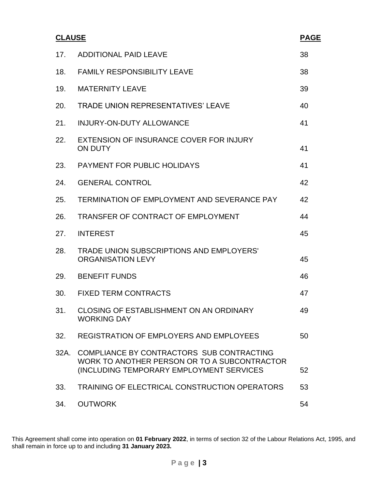| <b>CLAUSE</b> |                                                                                                                                       | <b>PAGE</b> |
|---------------|---------------------------------------------------------------------------------------------------------------------------------------|-------------|
| 17.           | <b>ADDITIONAL PAID LEAVE</b>                                                                                                          | 38          |
| 18.           | <b>FAMILY RESPONSIBILITY LEAVE</b>                                                                                                    | 38          |
| 19.           | <b>MATERNITY LEAVE</b>                                                                                                                | 39          |
| 20.           | <b>TRADE UNION REPRESENTATIVES' LEAVE</b>                                                                                             | 40          |
| 21.           | <b>INJURY-ON-DUTY ALLOWANCE</b>                                                                                                       | 41          |
| 22.           | EXTENSION OF INSURANCE COVER FOR INJURY<br><b>ON DUTY</b>                                                                             | 41          |
| 23.           | <b>PAYMENT FOR PUBLIC HOLIDAYS</b>                                                                                                    | 41          |
| 24.           | <b>GENERAL CONTROL</b>                                                                                                                | 42          |
| 25.           | TERMINATION OF EMPLOYMENT AND SEVERANCE PAY                                                                                           | 42          |
| 26.           | TRANSFER OF CONTRACT OF EMPLOYMENT                                                                                                    | 44          |
| 27.           | <b>INTEREST</b>                                                                                                                       | 45          |
| 28.           | TRADE UNION SUBSCRIPTIONS AND EMPLOYERS'<br><b>ORGANISATION LEVY</b>                                                                  | 45          |
| 29.           | <b>BENEFIT FUNDS</b>                                                                                                                  | 46          |
| 30.           | <b>FIXED TERM CONTRACTS</b>                                                                                                           | 47          |
| 31.           | <b>CLOSING OF ESTABLISHMENT ON AN ORDINARY</b><br><b>WORKING DAY</b>                                                                  | 49          |
| 32.           | <b>REGISTRATION OF EMPLOYERS AND EMPLOYEES</b>                                                                                        | 50          |
| 32A.          | COMPLIANCE BY CONTRACTORS SUB CONTRACTING<br>WORK TO ANOTHER PERSON OR TO A SUBCONTRACTOR<br>(INCLUDING TEMPORARY EMPLOYMENT SERVICES | 52          |
| 33.           | TRAINING OF ELECTRICAL CONSTRUCTION OPERATORS                                                                                         | 53          |
| 34.           | <b>OUTWORK</b>                                                                                                                        | 54          |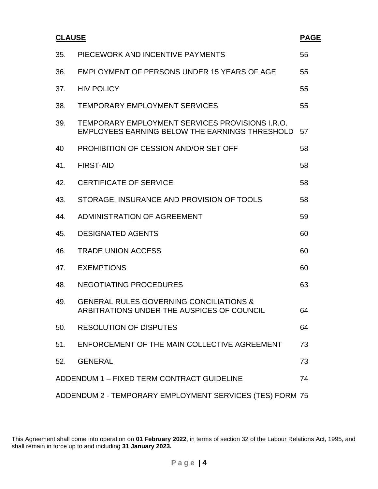| <b>CLAUSE</b>                                            |                                                                                                   | <b>PAGE</b> |  |
|----------------------------------------------------------|---------------------------------------------------------------------------------------------------|-------------|--|
| 35.                                                      | PIECEWORK AND INCENTIVE PAYMENTS                                                                  | 55          |  |
| 36.                                                      | EMPLOYMENT OF PERSONS UNDER 15 YEARS OF AGE                                                       | 55          |  |
| 37.                                                      | <b>HIV POLICY</b>                                                                                 | 55          |  |
| 38.                                                      | <b>TEMPORARY EMPLOYMENT SERVICES</b>                                                              | 55          |  |
| 39.                                                      | TEMPORARY EMPLOYMENT SERVICES PROVISIONS I.R.O.<br>EMPLOYEES EARNING BELOW THE EARNINGS THRESHOLD | 57          |  |
| 40                                                       | PROHIBITION OF CESSION AND/OR SET OFF                                                             | 58          |  |
| 41.                                                      | <b>FIRST-AID</b>                                                                                  | 58          |  |
| 42.                                                      | <b>CERTIFICATE OF SERVICE</b>                                                                     | 58          |  |
| 43.                                                      | STORAGE, INSURANCE AND PROVISION OF TOOLS                                                         | 58          |  |
| 44.                                                      | ADMINISTRATION OF AGREEMENT                                                                       | 59          |  |
| 45.                                                      | <b>DESIGNATED AGENTS</b>                                                                          | 60          |  |
| 46.                                                      | <b>TRADE UNION ACCESS</b>                                                                         | 60          |  |
| 47.                                                      | <b>EXEMPTIONS</b>                                                                                 | 60          |  |
| 48.                                                      | NEGOTIATING PROCEDURES                                                                            | 63          |  |
| 49.                                                      | <b>GENERAL RULES GOVERNING CONCILIATIONS &amp;</b><br>ARBITRATIONS UNDER THE AUSPICES OF COUNCIL  | 64          |  |
| 50.                                                      | <b>RESOLUTION OF DISPUTES</b>                                                                     | 64          |  |
| 51.                                                      | ENFORCEMENT OF THE MAIN COLLECTIVE AGREEMENT                                                      | 73          |  |
| 52.                                                      | <b>GENERAL</b>                                                                                    | 73          |  |
| ADDENDUM 1 - FIXED TERM CONTRACT GUIDELINE<br>74         |                                                                                                   |             |  |
| ADDENDUM 2 - TEMPORARY EMPLOYMENT SERVICES (TES) FORM 75 |                                                                                                   |             |  |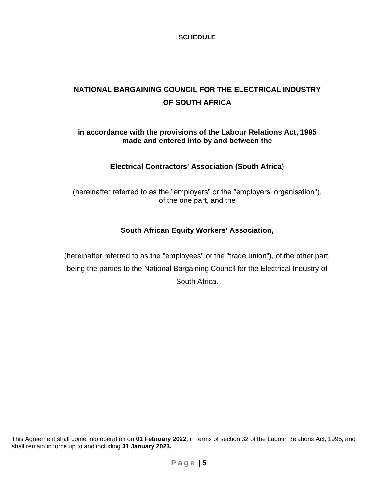### **SCHEDULE**

# **NATIONAL BARGAINING COUNCIL FOR THE ELECTRICAL INDUSTRY OF SOUTH AFRICA**

### **in accordance with the provisions of the Labour Relations Act, 1995 made and entered into by and between the**

# **Electrical Contractors' Association (South Africa)**

(hereinafter referred to as the "employers" or the "employers' organisation"), of the one part, and the

# **South African Equity Workers' Association,**

(hereinafter referred to as the "employees" or the "trade union"), of the other part, being the parties to the National Bargaining Council for the Electrical Industry of South Africa.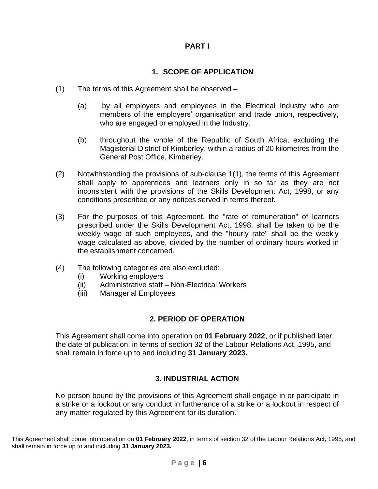# **PART I**

# **1. SCOPE OF APPLICATION**

- (1) The terms of this Agreement shall be observed
	- (a) by all employers and employees in the Electrical Industry who are members of the employers' organisation and trade union, respectively, who are engaged or employed in the Industry.
	- (b) throughout the whole of the Republic of South Africa, excluding the Magisterial District of Kimberley, within a radius of 20 kilometres from the General Post Office, Kimberley.
- (2) Notwithstanding the provisions of sub-clause 1(1), the terms of this Agreement shall apply to apprentices and learners only in so far as they are not inconsistent with the provisions of the Skills Development Act, 1998, or any conditions prescribed or any notices served in terms thereof.
- (3) For the purposes of this Agreement, the "rate of remuneration" of learners prescribed under the Skills Development Act, 1998, shall be taken to be the weekly wage of such employees, and the "hourly rate" shall be the weekly wage calculated as above, divided by the number of ordinary hours worked in the establishment concerned.
- (4) The following categories are also excluded:
	- (i) Working employers
	- (ii) Administrative staff Non-Electrical Workers
	- (iii) Managerial Employees

# **2. PERIOD OF OPERATION**

This Agreement shall come into operation on **01 February 2022**, or if published later, the date of publication, in terms of section 32 of the Labour Relations Act, 1995, and shall remain in force up to and including **31 January 2023.**

# **3. INDUSTRIAL ACTION**

No person bound by the provisions of this Agreement shall engage in or participate in a strike or a lockout or any conduct in furtherance of a strike or a lockout in respect of any matter regulated by this Agreement for its duration.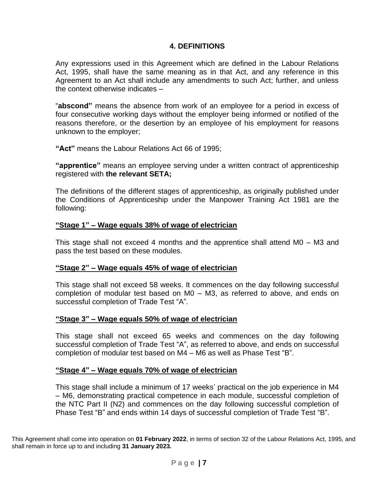### **4. DEFINITIONS**

Any expressions used in this Agreement which are defined in the Labour Relations Act, 1995, shall have the same meaning as in that Act, and any reference in this Agreement to an Act shall include any amendments to such Act; further, and unless the context otherwise indicates –

"**abscond"** means the absence from work of an employee for a period in excess of four consecutive working days without the employer being informed or notified of the reasons therefore, or the desertion by an employee of his employment for reasons unknown to the employer;

**"Act"** means the Labour Relations Act 66 of 1995;

**"apprentice"** means an employee serving under a written contract of apprenticeship registered with **the relevant SETA;**

The definitions of the different stages of apprenticeship, as originally published under the Conditions of Apprenticeship under the Manpower Training Act 1981 are the following:

#### **"Stage 1" – Wage equals 38% of wage of electrician**

This stage shall not exceed 4 months and the apprentice shall attend M0 – M3 and pass the test based on these modules.

#### **"Stage 2" – Wage equals 45% of wage of electrician**

This stage shall not exceed 58 weeks. It commences on the day following successful completion of modular test based on M0 – M3, as referred to above, and ends on successful completion of Trade Test "A".

#### **"Stage 3" – Wage equals 50% of wage of electrician**

This stage shall not exceed 65 weeks and commences on the day following successful completion of Trade Test "A", as referred to above, and ends on successful completion of modular test based on M4 – M6 as well as Phase Test "B".

#### **"Stage 4" – Wage equals 70% of wage of electrician**

This stage shall include a minimum of 17 weeks' practical on the job experience in M4 – M6, demonstrating practical competence in each module, successful completion of the NTC Part II (N2) and commences on the day following successful completion of Phase Test "B" and ends within 14 days of successful completion of Trade Test "B".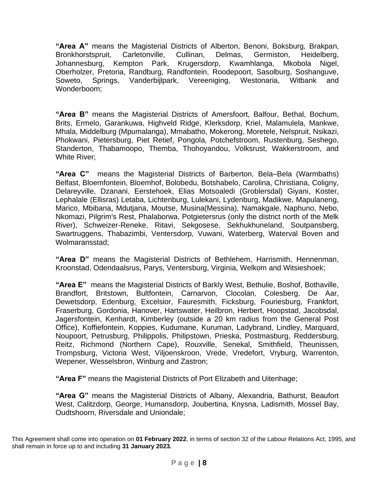**"Area A"** means the Magisterial Districts of Alberton, Benoni, Boksburg, Brakpan, Bronkhorstspruit, Carletonville, Cullinan, Delmas, Germiston, Heidelberg, Johannesburg, Kempton Park, Krugersdorp, Kwamhlanga, Mkobola Nigel, Oberholzer, Pretoria, Randburg, Randfontein, Roodepoort, Sasolburg, Soshanguve, Soweto, Springs, Vanderbijlpark, Vereeniging, Westonaria, Witbank and Wonderboom;

**"Area B"** means the Magisterial Districts of Amersfoort, Balfour, Bethal, Bochum, Brits, Ermelo, Garankuwa, Highveld Ridge, Klerksdorp, Kriel, Malamulela, Mankwe, Mhala, Middelburg (Mpumalanga), Mmabatho, Mokerong, Moretele, Nelspruit, Nsikazi, Phokwani, Pietersburg, Piet Retief, Pongola, Potchefstroom, Rustenburg, Seshego, Standerton, Thabamoopo, Themba, Thohoyandou, Volksrust, Wakkerstroom, and White River;

**"Area C"** means the Magisterial Districts of Barberton, Bela–Bela (Warmbaths) Belfast, Bloemfontein, Bloemhof, Bolobedu, Botshabelo, Carolina, Christiana, Coligny, Delareyville, Dzanani, Eerstehoek, Elias Motsoaledi (Groblersdal) Giyani, Koster, Lephalale (Ellisras) Letaba, Lichtenburg, Lulekani, Lydenburg, Madikwe, Mapulaneng, Marico, Mbibana, Mdutjana, Moutse, Musina(Messina), Namakgale, Naphuno, Nebo, Nkomazi, Pilgrim's Rest, Phalaborwa, Potgietersrus (only the district north of the Melk River), Schweizer-Reneke, Ritavi, Sekgosese, Sekhukhuneland, Soutpansberg, Swartruggens, Thabazimbi, Ventersdorp, Vuwani, Waterberg, Waterval Boven and Wolmaransstad;

**"Area D"** means the Magisterial Districts of Bethlehem, Harrismith, Hennenman, Kroonstad, Odendaalsrus, Parys, Ventersburg, Virginia, Welkom and Witsieshoek;

**"Area E"** means the Magisterial Districts of Barkly West, Bethulie, Boshof, Bothaville, Brandfort, Britstown, Bultfontein, Carnarvon, Clocolan, Colesberg, De Aar, Dewetsdorp, Edenburg, Excelsior, Fauresmith, Ficksburg, Fouriesburg, Frankfort, Fraserburg, Gordonia, Hanover, Hartswater, Heilbron, Herbert, Hoopstad, Jacobsdal, Jagersfontein, Kenhardt, Kimberley (outside a 20 km radius from the General Post Office), Koffiefontein, Koppies, Kudumane, Kuruman, Ladybrand, Lindley, Marquard, Noupoort, Petrusburg, Philippolis, Philipstown, Prieska, Postmasburg, Reddersburg, Reitz, Richmond (Northern Cape), Rouxville, Senekal, Smithfield, Theunissen, Trompsburg, Victoria West, Viljoenskroon, Vrede, Vredefort, Vryburg, Warrenton, Wepener, Wesselsbron, Winburg and Zastron;

**"Area F"** means the Magisterial Districts of Port Elizabeth and Uitenhage;

**"Area G"** means the Magisterial Districts of Albany, Alexandria, Bathurst, Beaufort West, Calitzdorp, George, Humansdorp, Joubertina, Knysna, Ladismith, Mossel Bay, Oudtshoorn, Riversdale and Uniondale;

This Agreement shall come into operation on **01 February 2022**, in terms of section 32 of the Labour Relations Act, 1995, and shall remain in force up to and including **31 January 2023.**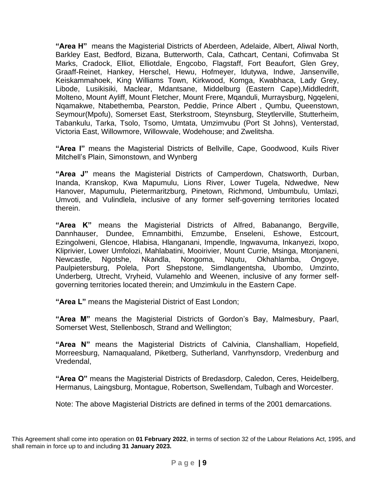**"Area H"** means the Magisterial Districts of Aberdeen, Adelaide, Albert, Aliwal North, Barkley East, Bedford, Bizana, Butterworth, Cala, Cathcart, Centani, Cofimvaba St Marks, Cradock, Elliot, Elliotdale, Engcobo, Flagstaff, Fort Beaufort, Glen Grey, Graaff-Reinet, Hankey, Herschel, Hewu, Hofmeyer, Idutywa, Indwe, Jansenville, Keiskammahoek, King Williams Town, Kirkwood, Komga, Kwabhaca, Lady Grey, Libode, Lusikisiki, Maclear, Mdantsane, Middelburg (Eastern Cape),Middledrift, Molteno, Mount Ayliff, Mount Fletcher, Mount Frere, Mqanduli, Murraysburg, Ngqeleni, Nqamakwe, Ntabethemba, Pearston, Peddie, Prince Albert , Qumbu, Queenstown, Seymour(Mpofu), Somerset East, Sterkstroom, Steynsburg, Steytlerville, Stutterheim, Tabankulu, Tarka, Tsolo, Tsomo, Umtata, Umzimvubu (Port St Johns), Venterstad, Victoria East, Willowmore, Willowvale, Wodehouse; and Zwelitsha.

**"Area I"** means the Magisterial Districts of Bellville, Cape, Goodwood, Kuils River Mitchell's Plain, Simonstown, and Wynberg

**"Area J"** means the Magisterial Districts of Camperdown, Chatsworth, Durban, Inanda, Kranskop, Kwa Mapumulu, Lions River, Lower Tugela, Ndwedwe, New Hanover, Mapumulu, Pietermaritzburg, Pinetown, Richmond, Umbumbulu, Umlazi, Umvoti, and Vulindlela, inclusive of any former self-governing territories located therein.

**"Area K"** means the Magisterial Districts of Alfred, Babanango, Bergville, Dannhauser, Dundee, Emnambithi, Emzumbe, Enseleni, Eshowe, Estcourt, Ezingolweni, Glencoe, Hlabisa, Hlanganani, Impendle, Ingwavuma, Inkanyezi, Ixopo, Kliprivier, Lower Umfolozi, Mahlabatini, Mooirivier, Mount Currie, Msinga, Mtonjaneni, Newcastle, Ngotshe, Nkandla, Nongoma, Nqutu, Okhahlamba, Ongoye, Paulpietersburg, Polela, Port Shepstone, Simdlangentsha, Ubombo, Umzinto, Underberg, Utrecht, Vryheid, Vulamehlo and Weenen, inclusive of any former selfgoverning territories located therein; and Umzimkulu in the Eastern Cape.

**"Area L"** means the Magisterial District of East London;

**"Area M"** means the Magisterial Districts of Gordon's Bay, Malmesbury, Paarl, Somerset West, Stellenbosch, Strand and Wellington;

**"Area N"** means the Magisterial Districts of Calvinia, Clanshalliam, Hopefield, Morreesburg, Namaqualand, Piketberg, Sutherland, Vanrhynsdorp, Vredenburg and Vredendal,

**"Area O"** means the Magisterial Districts of Bredasdorp, Caledon, Ceres, Heidelberg, Hermanus, Laingsburg, Montague, Robertson, Swellendam, Tulbagh and Worcester.

Note: The above Magisterial Districts are defined in terms of the 2001 demarcations.

This Agreement shall come into operation on **01 February 2022**, in terms of section 32 of the Labour Relations Act, 1995, and shall remain in force up to and including **31 January 2023.**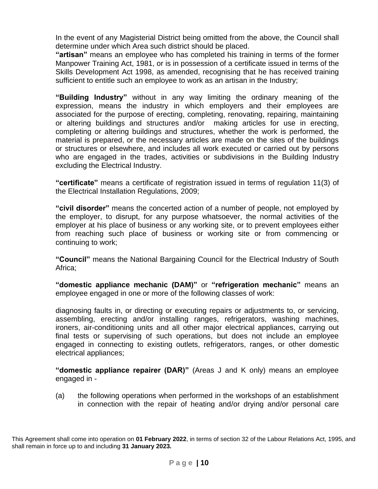In the event of any Magisterial District being omitted from the above, the Council shall determine under which Area such district should be placed.

**"artisan"** means an employee who has completed his training in terms of the former Manpower Training Act, 1981, or is in possession of a certificate issued in terms of the Skills Development Act 1998, as amended, recognising that he has received training sufficient to entitle such an employee to work as an artisan in the Industry;

**"Building Industry"** without in any way limiting the ordinary meaning of the expression, means the industry in which employers and their employees are associated for the purpose of erecting, completing, renovating, repairing, maintaining or altering buildings and structures and/or making articles for use in erecting, completing or altering buildings and structures, whether the work is performed, the material is prepared, or the necessary articles are made on the sites of the buildings or structures or elsewhere, and includes all work executed or carried out by persons who are engaged in the trades, activities or subdivisions in the Building Industry excluding the Electrical Industry.

**"certificate"** means a certificate of registration issued in terms of regulation 11(3) of the Electrical Installation Regulations, 2009;

**"civil disorder"** means the concerted action of a number of people, not employed by the employer, to disrupt, for any purpose whatsoever, the normal activities of the employer at his place of business or any working site, or to prevent employees either from reaching such place of business or working site or from commencing or continuing to work;

**"Council"** means the National Bargaining Council for the Electrical Industry of South Africa;

**"domestic appliance mechanic (DAM)"** or **"refrigeration mechanic"** means an employee engaged in one or more of the following classes of work:

diagnosing faults in, or directing or executing repairs or adjustments to, or servicing, assembling, erecting and/or installing ranges, refrigerators, washing machines, ironers, air-conditioning units and all other major electrical appliances, carrying out final tests or supervising of such operations, but does not include an employee engaged in connecting to existing outlets, refrigerators, ranges, or other domestic electrical appliances;

**"domestic appliance repairer (DAR)"** (Areas J and K only) means an employee engaged in -

(a) the following operations when performed in the workshops of an establishment in connection with the repair of heating and/or drying and/or personal care

This Agreement shall come into operation on **01 February 2022**, in terms of section 32 of the Labour Relations Act, 1995, and shall remain in force up to and including **31 January 2023.**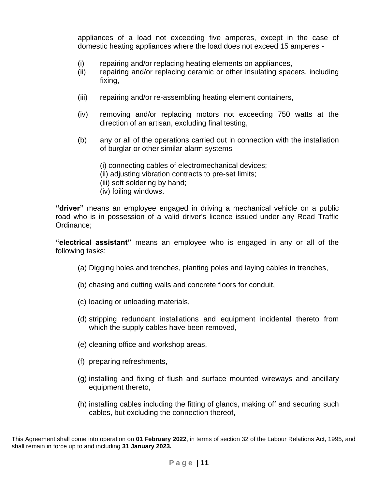appliances of a load not exceeding five amperes, except in the case of domestic heating appliances where the load does not exceed 15 amperes -

- (i) repairing and/or replacing heating elements on appliances,
- (ii) repairing and/or replacing ceramic or other insulating spacers, including fixing,
- (iii) repairing and/or re-assembling heating element containers,
- (iv) removing and/or replacing motors not exceeding 750 watts at the direction of an artisan, excluding final testing,
- (b) any or all of the operations carried out in connection with the installation of burglar or other similar alarm systems –
	- (i) connecting cables of electromechanical devices;
	- (ii) adjusting vibration contracts to pre-set limits;
	- (iii) soft soldering by hand;
	- (iv) foiling windows.

**"driver"** means an employee engaged in driving a mechanical vehicle on a public road who is in possession of a valid driver's licence issued under any Road Traffic Ordinance;

**"electrical assistant"** means an employee who is engaged in any or all of the following tasks:

- (a) Digging holes and trenches, planting poles and laying cables in trenches,
- (b) chasing and cutting walls and concrete floors for conduit,
- (c) loading or unloading materials,
- (d) stripping redundant installations and equipment incidental thereto from which the supply cables have been removed,
- (e) cleaning office and workshop areas,
- (f) preparing refreshments,
- (g) installing and fixing of flush and surface mounted wireways and ancillary equipment thereto,
- (h) installing cables including the fitting of glands, making off and securing such cables, but excluding the connection thereof,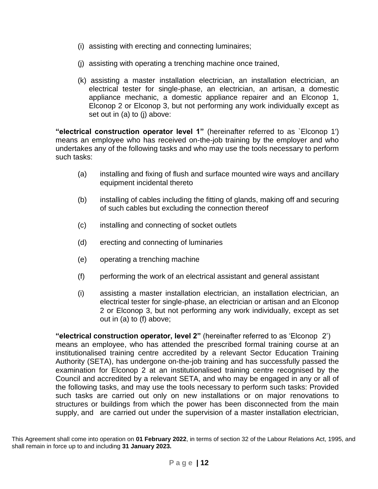- (i) assisting with erecting and connecting luminaires;
- (j) assisting with operating a trenching machine once trained,
- (k) assisting a master installation electrician, an installation electrician, an electrical tester for single-phase, an electrician, an artisan, a domestic appliance mechanic, a domestic appliance repairer and an Elconop 1, Elconop 2 or Elconop 3, but not performing any work individually except as set out in (a) to (j) above:

**"electrical construction operator level 1"** (hereinafter referred to as `Elconop 1') means an employee who has received on-the-job training by the employer and who undertakes any of the following tasks and who may use the tools necessary to perform such tasks:

- (a) installing and fixing of flush and surface mounted wire ways and ancillary equipment incidental thereto
- (b) installing of cables including the fitting of glands, making off and securing of such cables but excluding the connection thereof
- (c) installing and connecting of socket outlets
- (d) erecting and connecting of luminaries
- (e) operating a trenching machine
- (f) performing the work of an electrical assistant and general assistant
- (i) assisting a master installation electrician, an installation electrician, an electrical tester for single-phase, an electrician or artisan and an Elconop 2 or Elconop 3, but not performing any work individually, except as set out in (a) to (f) above;

**"electrical construction operator, level 2"** (hereinafter referred to as 'Elconop 2') means an employee, who has attended the prescribed formal training course at an institutionalised training centre accredited by a relevant Sector Education Training Authority (SETA), has undergone on-the-job training and has successfully passed the examination for Elconop 2 at an institutionalised training centre recognised by the Council and accredited by a relevant SETA, and who may be engaged in any or all of the following tasks, and may use the tools necessary to perform such tasks: Provided such tasks are carried out only on new installations or on major renovations to structures or buildings from which the power has been disconnected from the main supply, and are carried out under the supervision of a master installation electrician,

This Agreement shall come into operation on **01 February 2022**, in terms of section 32 of the Labour Relations Act, 1995, and shall remain in force up to and including **31 January 2023.**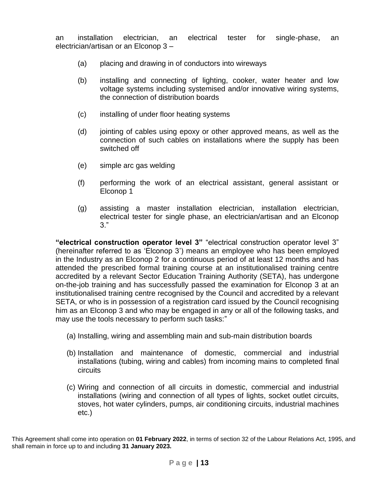an installation electrician, an electrical tester for single-phase, an electrician/artisan or an Elconop 3 –

- (a) placing and drawing in of conductors into wireways
- (b) installing and connecting of lighting, cooker, water heater and low voltage systems including systemised and/or innovative wiring systems, the connection of distribution boards
- (c) installing of under floor heating systems
- (d) jointing of cables using epoxy or other approved means, as well as the connection of such cables on installations where the supply has been switched off
- (e) simple arc gas welding
- (f) performing the work of an electrical assistant, general assistant or Elconop 1
- (g) assisting a master installation electrician, installation electrician, electrical tester for single phase, an electrician/artisan and an Elconop 3."

**"electrical construction operator level 3"** "electrical construction operator level 3" (hereinafter referred to as 'Elconop 3') means an employee who has been employed in the Industry as an Elconop 2 for a continuous period of at least 12 months and has attended the prescribed formal training course at an institutionalised training centre accredited by a relevant Sector Education Training Authority (SETA), has undergone on-the-job training and has successfully passed the examination for Elconop 3 at an institutionalised training centre recognised by the Council and accredited by a relevant SETA, or who is in possession of a registration card issued by the Council recognising him as an Elconop 3 and who may be engaged in any or all of the following tasks, and may use the tools necessary to perform such tasks:"

- (a) Installing, wiring and assembling main and sub-main distribution boards
- (b) Installation and maintenance of domestic, commercial and industrial installations (tubing, wiring and cables) from incoming mains to completed final circuits
- (c) Wiring and connection of all circuits in domestic, commercial and industrial installations (wiring and connection of all types of lights, socket outlet circuits, stoves, hot water cylinders, pumps, air conditioning circuits, industrial machines etc.)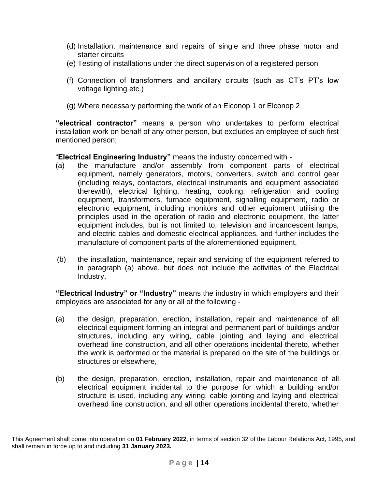- (d) Installation, maintenance and repairs of single and three phase motor and starter circuits
- (e) Testing of installations under the direct supervision of a registered person
- (f) Connection of transformers and ancillary circuits (such as CT's PT's low voltage lighting etc.)
- (g) Where necessary performing the work of an Elconop 1 or Elconop 2

**"electrical contractor"** means a person who undertakes to perform electrical installation work on behalf of any other person, but excludes an employee of such first mentioned person;

"**Electrical Engineering Industry"** means the industry concerned with -

- (a) the manufacture and/or assembly from component parts of electrical equipment, namely generators, motors, converters, switch and control gear (including relays, contactors, electrical instruments and equipment associated therewith), electrical lighting, heating, cooking, refrigeration and cooling equipment, transformers, furnace equipment, signalling equipment, radio or electronic equipment, including monitors and other equipment utilising the principles used in the operation of radio and electronic equipment, the latter equipment includes, but is not limited to, television and incandescent lamps, and electric cables and domestic electrical appliances, and further includes the manufacture of component parts of the aforementioned equipment,
- (b) the installation, maintenance, repair and servicing of the equipment referred to in paragraph (a) above, but does not include the activities of the Electrical Industry,

**"Electrical Industry" or "Industry"** means the industry in which employers and their employees are associated for any or all of the following -

- (a) the design, preparation, erection, installation, repair and maintenance of all electrical equipment forming an integral and permanent part of buildings and/or structures, including any wiring, cable jointing and laying and electrical overhead line construction, and all other operations incidental thereto, whether the work is performed or the material is prepared on the site of the buildings or structures or elsewhere,
- (b) the design, preparation, erection, installation, repair and maintenance of all electrical equipment incidental to the purpose for which a building and/or structure is used, including any wiring, cable jointing and laying and electrical overhead line construction, and all other operations incidental thereto, whether

This Agreement shall come into operation on **01 February 2022**, in terms of section 32 of the Labour Relations Act, 1995, and shall remain in force up to and including **31 January 2023.**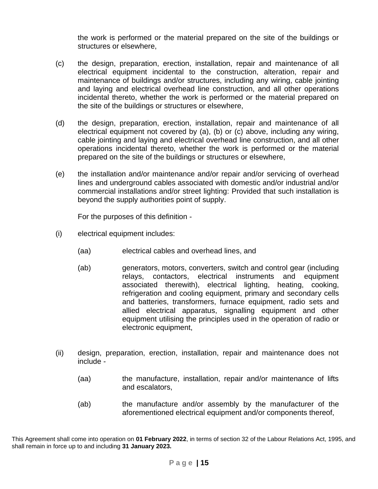the work is performed or the material prepared on the site of the buildings or structures or elsewhere,

- (c) the design, preparation, erection, installation, repair and maintenance of all electrical equipment incidental to the construction, alteration, repair and maintenance of buildings and/or structures, including any wiring, cable jointing and laying and electrical overhead line construction, and all other operations incidental thereto, whether the work is performed or the material prepared on the site of the buildings or structures or elsewhere,
- (d) the design, preparation, erection, installation, repair and maintenance of all electrical equipment not covered by (a), (b) or (c) above, including any wiring, cable jointing and laying and electrical overhead line construction, and all other operations incidental thereto, whether the work is performed or the material prepared on the site of the buildings or structures or elsewhere,
- (e) the installation and/or maintenance and/or repair and/or servicing of overhead lines and underground cables associated with domestic and/or industrial and/or commercial installations and/or street lighting: Provided that such installation is beyond the supply authorities point of supply.

For the purposes of this definition -

- (i) electrical equipment includes:
	- (aa) electrical cables and overhead lines, and
	- (ab) generators, motors, converters, switch and control gear (including relays, contactors, electrical instruments and equipment associated therewith), electrical lighting, heating, cooking, refrigeration and cooling equipment, primary and secondary cells and batteries, transformers, furnace equipment, radio sets and allied electrical apparatus, signalling equipment and other equipment utilising the principles used in the operation of radio or electronic equipment,
- (ii) design, preparation, erection, installation, repair and maintenance does not include -
	- (aa) the manufacture, installation, repair and/or maintenance of lifts and escalators,
	- (ab) the manufacture and/or assembly by the manufacturer of the aforementioned electrical equipment and/or components thereof,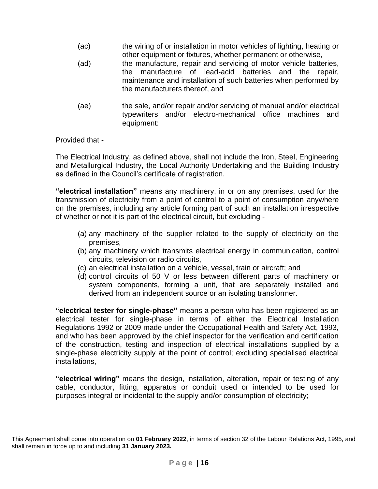- (ac) the wiring of or installation in motor vehicles of lighting, heating or other equipment or fixtures, whether permanent or otherwise,
- (ad) the manufacture, repair and servicing of motor vehicle batteries, the manufacture of lead-acid batteries and the repair, maintenance and installation of such batteries when performed by the manufacturers thereof, and
- (ae) the sale, and/or repair and/or servicing of manual and/or electrical typewriters and/or electro-mechanical office machines and equipment:

Provided that -

The Electrical Industry, as defined above, shall not include the Iron, Steel, Engineering and Metallurgical Industry, the Local Authority Undertaking and the Building Industry as defined in the Council's certificate of registration.

**"electrical installation"** means any machinery, in or on any premises, used for the transmission of electricity from a point of control to a point of consumption anywhere on the premises, including any article forming part of such an installation irrespective of whether or not it is part of the electrical circuit, but excluding -

- (a) any machinery of the supplier related to the supply of electricity on the premises,
- (b) any machinery which transmits electrical energy in communication, control circuits, television or radio circuits,
- (c) an electrical installation on a vehicle, vessel, train or aircraft; and
- (d) control circuits of 50 V or less between different parts of machinery or system components, forming a unit, that are separately installed and derived from an independent source or an isolating transformer.

**"electrical tester for single-phase"** means a person who has been registered as an electrical tester for single-phase in terms of either the Electrical Installation Regulations 1992 or 2009 made under the Occupational Health and Safety Act, 1993, and who has been approved by the chief inspector for the verification and certification of the construction, testing and inspection of electrical installations supplied by a single-phase electricity supply at the point of control; excluding specialised electrical installations,

**"electrical wiring"** means the design, installation, alteration, repair or testing of any cable, conductor, fitting, apparatus or conduit used or intended to be used for purposes integral or incidental to the supply and/or consumption of electricity;

This Agreement shall come into operation on **01 February 2022**, in terms of section 32 of the Labour Relations Act, 1995, and shall remain in force up to and including **31 January 2023.**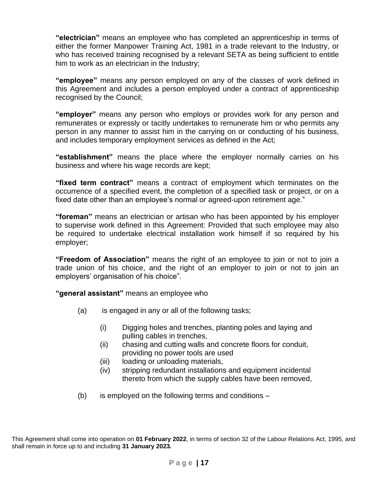**"electrician"** means an employee who has completed an apprenticeship in terms of either the former Manpower Training Act, 1981 in a trade relevant to the Industry, or who has received training recognised by a relevant SETA as being sufficient to entitle him to work as an electrician in the Industry;

**"employee"** means any person employed on any of the classes of work defined in this Agreement and includes a person employed under a contract of apprenticeship recognised by the Council;

**"employer"** means any person who employs or provides work for any person and remunerates or expressly or tacitly undertakes to remunerate him or who permits any person in any manner to assist him in the carrying on or conducting of his business, and includes temporary employment services as defined in the Act;

**"establishment"** means the place where the employer normally carries on his business and where his wage records are kept;

**"fixed term contract"** means a contract of employment which terminates on the occurrence of a specified event, the completion of a specified task or project, or on a fixed date other than an employee's normal or agreed-upon retirement age."

**"foreman"** means an electrician or artisan who has been appointed by his employer to supervise work defined in this Agreement: Provided that such employee may also be required to undertake electrical installation work himself if so required by his employer;

**"Freedom of Association"** means the right of an employee to join or not to join a trade union of his choice, and the right of an employer to join or not to join an employers' organisation of his choice".

**"general assistant"** means an employee who

- (a) is engaged in any or all of the following tasks;
	- (i) Digging holes and trenches, planting poles and laying and pulling cables in trenches,
	- (ii) chasing and cutting walls and concrete floors for conduit, providing no power tools are used
	- (iii) loading or unloading materials,
	- (iv) stripping redundant installations and equipment incidental thereto from which the supply cables have been removed,
- $(b)$  is employed on the following terms and conditions –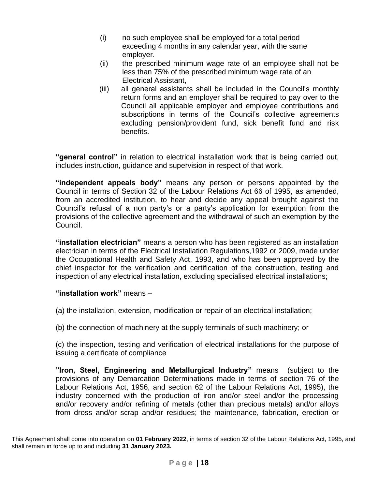- (i) no such employee shall be employed for a total period exceeding 4 months in any calendar year, with the same employer.
- (ii) the prescribed minimum wage rate of an employee shall not be less than 75% of the prescribed minimum wage rate of an Electrical Assistant,
- (iii) all general assistants shall be included in the Council's monthly return forms and an employer shall be required to pay over to the Council all applicable employer and employee contributions and subscriptions in terms of the Council's collective agreements excluding pension/provident fund, sick benefit fund and risk benefits.

**"general control"** in relation to electrical installation work that is being carried out, includes instruction, guidance and supervision in respect of that work.

**"independent appeals body"** means any person or persons appointed by the Council in terms of Section 32 of the Labour Relations Act 66 of 1995, as amended, from an accredited institution, to hear and decide any appeal brought against the Council's refusal of a non party's or a party's application for exemption from the provisions of the collective agreement and the withdrawal of such an exemption by the Council.

**"installation electrician"** means a person who has been registered as an installation electrician in terms of the Electrical Installation Regulations,1992 or 2009, made under the Occupational Health and Safety Act, 1993, and who has been approved by the chief inspector for the verification and certification of the construction, testing and inspection of any electrical installation, excluding specialised electrical installations;

# **"installation work"** means –

(a) the installation, extension, modification or repair of an electrical installation;

(b) the connection of machinery at the supply terminals of such machinery; or

(c) the inspection, testing and verification of electrical installations for the purpose of issuing a certificate of compliance

**"Iron, Steel, Engineering and Metallurgical Industry"** means (subject to the provisions of any Demarcation Determinations made in terms of section 76 of the Labour Relations Act, 1956, and section 62 of the Labour Relations Act, 1995), the industry concerned with the production of iron and/or steel and/or the processing and/or recovery and/or refining of metals (other than precious metals) and/or alloys from dross and/or scrap and/or residues; the maintenance, fabrication, erection or

This Agreement shall come into operation on **01 February 2022**, in terms of section 32 of the Labour Relations Act, 1995, and shall remain in force up to and including **31 January 2023.**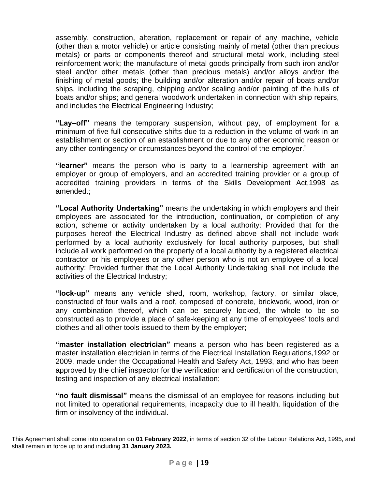assembly, construction, alteration, replacement or repair of any machine, vehicle (other than a motor vehicle) or article consisting mainly of metal (other than precious metals) or parts or components thereof and structural metal work, including steel reinforcement work; the manufacture of metal goods principally from such iron and/or steel and/or other metals (other than precious metals) and/or alloys and/or the finishing of metal goods; the building and/or alteration and/or repair of boats and/or ships, including the scraping, chipping and/or scaling and/or painting of the hulls of boats and/or ships; and general woodwork undertaken in connection with ship repairs, and includes the Electrical Engineering Industry;

**"Lay–off"** means the temporary suspension, without pay, of employment for a minimum of five full consecutive shifts due to a reduction in the volume of work in an establishment or section of an establishment or due to any other economic reason or any other contingency or circumstances beyond the control of the employer."

**"learner"** means the person who is party to a learnership agreement with an employer or group of employers, and an accredited training provider or a group of accredited training providers in terms of the Skills Development Act,1998 as amended.;

**"Local Authority Undertaking"** means the undertaking in which employers and their employees are associated for the introduction, continuation, or completion of any action, scheme or activity undertaken by a local authority: Provided that for the purposes hereof the Electrical Industry as defined above shall not include work performed by a local authority exclusively for local authority purposes, but shall include all work performed on the property of a local authority by a registered electrical contractor or his employees or any other person who is not an employee of a local authority: Provided further that the Local Authority Undertaking shall not include the activities of the Electrical Industry;

**"lock-up"** means any vehicle shed, room, workshop, factory, or similar place, constructed of four walls and a roof, composed of concrete, brickwork, wood, iron or any combination thereof, which can be securely locked, the whole to be so constructed as to provide a place of safe-keeping at any time of employees' tools and clothes and all other tools issued to them by the employer;

**"master installation electrician"** means a person who has been registered as a master installation electrician in terms of the Electrical Installation Regulations,1992 or 2009, made under the Occupational Health and Safety Act, 1993, and who has been approved by the chief inspector for the verification and certification of the construction, testing and inspection of any electrical installation;

**"no fault dismissal"** means the dismissal of an employee for reasons including but not limited to operational requirements, incapacity due to ill health, liquidation of the firm or insolvency of the individual.

This Agreement shall come into operation on **01 February 2022**, in terms of section 32 of the Labour Relations Act, 1995, and shall remain in force up to and including **31 January 2023.**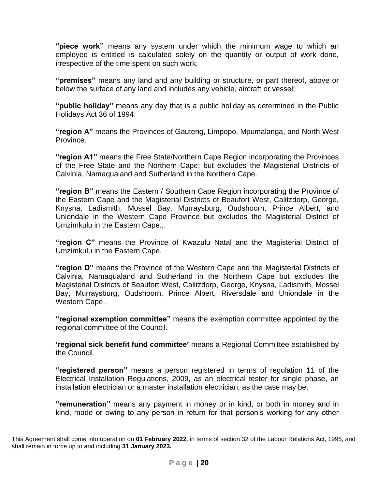**"piece work"** means any system under which the minimum wage to which an employee is entitled is calculated solely on the quantity or output of work done, irrespective of the time spent on such work;

**"premises"** means any land and any building or structure, or part thereof, above or below the surface of any land and includes any vehicle, aircraft or vessel;

**"public holiday"** means any day that is a public holiday as determined in the Public Holidays Act 36 of 1994.

**"region A"** means the Provinces of Gauteng, Limpopo, Mpumalanga, and North West Province.

**"region A1"** means the Free State/Northern Cape Region incorporating the Provinces of the Free State and the Northern Cape; but excludes the Magisterial Districts of Calvinia, Namaqualand and Sutherland in the Northern Cape.

**"region B"** means the Eastern / Southern Cape Region incorporating the Province of the Eastern Cape and the Magisterial Districts of Beaufort West, Calitzdorp, George, Knysna, Ladismith, Mossel Bay, Murraysburg, Oudshoorn, Prince Albert, and Uniondale in the Western Cape Province but excludes the Magisterial District of Umzimkulu in the Eastern Cape.,.

**"region C"** means the Province of Kwazulu Natal and the Magisterial District of Umzimkulu in the Eastern Cape.

**"region D"** means the Province of the Western Cape and the Magisterial Districts of Calvinia, Namaqualand and Sutherland in the Northern Cape but excludes the Magisterial Districts of Beaufort West, Calitzdorp, George, Knysna, Ladismith, Mossel Bay, Murraysburg, Oudshoorn, Prince Albert, Riversdale and Uniondale in the Western Cape .

**"regional exemption committee"** means the exemption committee appointed by the regional committee of the Council.

**'regional sick benefit fund committee'** means a Regional Committee established by the Council.

**"registered person"** means a person registered in terms of regulation 11 of the Electrical Installation Regulations, 2009, as an electrical tester for single phase, an installation electrician or a master installation electrician, as the case may be;

**"remuneration"** means any payment in money or in kind, or both in money and in kind, made or owing to any person in return for that person's working for any other

This Agreement shall come into operation on **01 February 2022**, in terms of section 32 of the Labour Relations Act, 1995, and shall remain in force up to and including **31 January 2023.**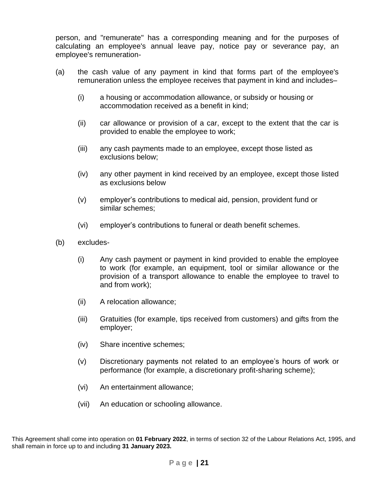person, and "remunerate" has a corresponding meaning and for the purposes of calculating an employee's annual leave pay, notice pay or severance pay, an employee's remuneration-

- (a) the cash value of any payment in kind that forms part of the employee's remuneration unless the employee receives that payment in kind and includes–
	- (i) a housing or accommodation allowance, or subsidy or housing or accommodation received as a benefit in kind;
	- (ii) car allowance or provision of a car, except to the extent that the car is provided to enable the employee to work;
	- (iii) any cash payments made to an employee, except those listed as exclusions below;
	- (iv) any other payment in kind received by an employee, except those listed as exclusions below
	- (v) employer's contributions to medical aid, pension, provident fund or similar schemes;
	- (vi) employer's contributions to funeral or death benefit schemes.
- (b) excludes-
	- (i) Any cash payment or payment in kind provided to enable the employee to work (for example, an equipment, tool or similar allowance or the provision of a transport allowance to enable the employee to travel to and from work);
	- (ii) A relocation allowance;
	- (iii) Gratuities (for example, tips received from customers) and gifts from the employer;
	- (iv) Share incentive schemes;
	- (v) Discretionary payments not related to an employee's hours of work or performance (for example, a discretionary profit-sharing scheme);
	- (vi) An entertainment allowance;
	- (vii) An education or schooling allowance.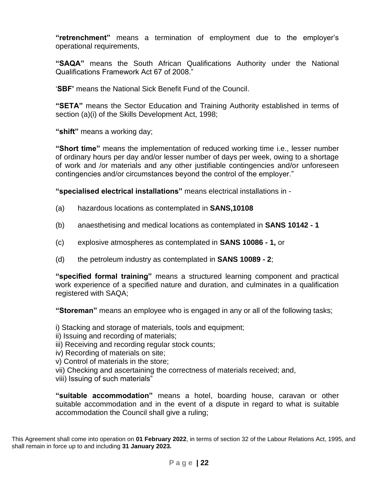**"retrenchment"** means a termination of employment due to the employer's operational requirements,

**"SAQA"** means the South African Qualifications Authority under the National Qualifications Framework Act 67 of 2008."

'**SBF'** means the National Sick Benefit Fund of the Council.

**"SETA"** means the Sector Education and Training Authority established in terms of section (a)(i) of the Skills Development Act, 1998;

**"shift"** means a working day;

**"Short time"** means the implementation of reduced working time i.e., lesser number of ordinary hours per day and/or lesser number of days per week, owing to a shortage of work and /or materials and any other justifiable contingencies and/or unforeseen contingencies and/or circumstances beyond the control of the employer."

**"specialised electrical installations"** means electrical installations in -

- (a) hazardous locations as contemplated in **SANS,10108**
- (b) anaesthetising and medical locations as contemplated in **SANS 10142 - 1**
- (c) explosive atmospheres as contemplated in **SANS 10086 - 1,** or
- (d) the petroleum industry as contemplated in **SANS 10089 - 2**;

**"specified formal training"** means a structured learning component and practical work experience of a specified nature and duration, and culminates in a qualification registered with SAQA;

**"Storeman"** means an employee who is engaged in any or all of the following tasks;

i) Stacking and storage of materials, tools and equipment;

- ii) Issuing and recording of materials;
- iii) Receiving and recording regular stock counts;
- iv) Recording of materials on site;
- v) Control of materials in the store;
- vii) Checking and ascertaining the correctness of materials received; and,
- viii) Issuing of such materials"

**"suitable accommodation"** means a hotel, boarding house, caravan or other suitable accommodation and in the event of a dispute in regard to what is suitable accommodation the Council shall give a ruling;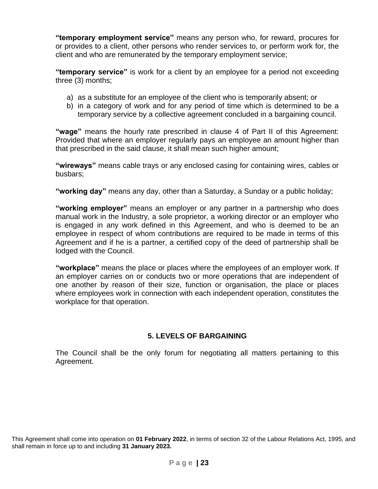**"temporary employment service"** means any person who, for reward, procures for or provides to a client, other persons who render services to, or perform work for, the client and who are remunerated by the temporary employment service;

**"temporary service"** is work for a client by an employee for a period not exceeding three (3) months;

- a) as a substitute for an employee of the client who is temporarily absent; or
- b) in a category of work and for any period of time which is determined to be a temporary service by a collective agreement concluded in a bargaining council.

**"wage"** means the hourly rate prescribed in clause 4 of Part II of this Agreement: Provided that where an employer regularly pays an employee an amount higher than that prescribed in the said clause, it shall mean such higher amount;

**"wireways"** means cable trays or any enclosed casing for containing wires, cables or busbars;

**"working day"** means any day, other than a Saturday, a Sunday or a public holiday;

**"working employer"** means an employer or any partner in a partnership who does manual work in the Industry, a sole proprietor, a working director or an employer who is engaged in any work defined in this Agreement, and who is deemed to be an employee in respect of whom contributions are required to be made in terms of this Agreement and if he is a partner, a certified copy of the deed of partnership shall be lodged with the Council.

**"workplace"** means the place or places where the employees of an employer work. If an employer carries on or conducts two or more operations that are independent of one another by reason of their size, function or organisation, the place or places where employees work in connection with each independent operation, constitutes the workplace for that operation.

# **5. LEVELS OF BARGAINING**

The Council shall be the only forum for negotiating all matters pertaining to this Agreement.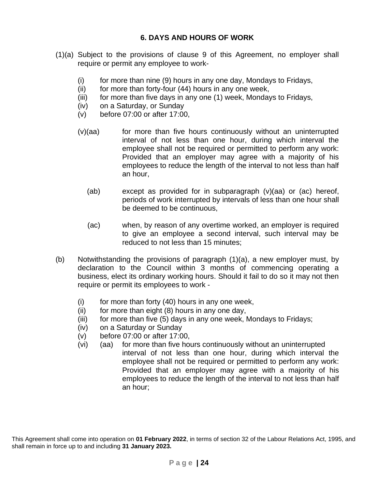- (1)(a) Subject to the provisions of clause 9 of this Agreement, no employer shall require or permit any employee to work-
	- (i) for more than nine (9) hours in any one day, Mondays to Fridays,
	- $(ii)$  for more than forty-four  $(44)$  hours in any one week,
	- (iii) for more than five days in any one (1) week, Mondays to Fridays,
	- (iv) on a Saturday, or Sunday
	- (v) before 07:00 or after 17:00,
	- $(v)(aa)$  for more than five hours continuously without an uninterrupted interval of not less than one hour, during which interval the employee shall not be required or permitted to perform any work: Provided that an employer may agree with a majority of his employees to reduce the length of the interval to not less than half an hour,
		- (ab) except as provided for in subparagraph (v)(aa) or (ac) hereof, periods of work interrupted by intervals of less than one hour shall be deemed to be continuous,
		- (ac) when, by reason of any overtime worked, an employer is required to give an employee a second interval, such interval may be reduced to not less than 15 minutes;
- (b) Notwithstanding the provisions of paragraph (1)(a), a new employer must, by declaration to the Council within 3 months of commencing operating a business, elect its ordinary working hours. Should it fail to do so it may not then require or permit its employees to work -
	- $(i)$  for more than forty  $(40)$  hours in any one week,
	- $(ii)$  for more than eight  $(8)$  hours in any one day,
	- (iii) for more than five (5) days in any one week, Mondays to Fridays;
	- (iv) on a Saturday or Sunday
	- (v) before 07:00 or after 17:00,
	- (vi) (aa) for more than five hours continuously without an uninterrupted interval of not less than one hour, during which interval the employee shall not be required or permitted to perform any work: Provided that an employer may agree with a majority of his employees to reduce the length of the interval to not less than half an hour;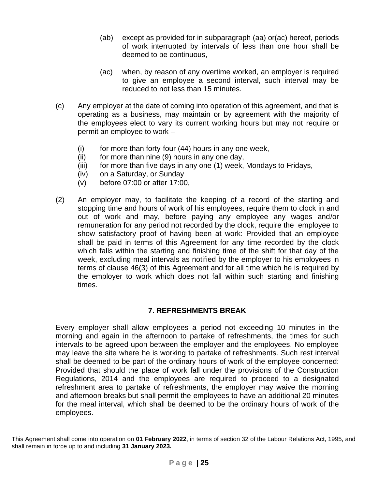- (ab) except as provided for in subparagraph (aa) or(ac) hereof, periods of work interrupted by intervals of less than one hour shall be deemed to be continuous,
- (ac) when, by reason of any overtime worked, an employer is required to give an employee a second interval, such interval may be reduced to not less than 15 minutes.
- (c) Any employer at the date of coming into operation of this agreement, and that is operating as a business, may maintain or by agreement with the majority of the employees elect to vary its current working hours but may not require or permit an employee to work –
	- $(i)$  for more than forty-four  $(44)$  hours in any one week,
	- $(ii)$  for more than nine  $(9)$  hours in any one day,
	- (iii) for more than five days in any one (1) week, Mondays to Fridays,
	- (iv) on a Saturday, or Sunday
	- (v) before 07:00 or after 17:00,
- (2) An employer may, to facilitate the keeping of a record of the starting and stopping time and hours of work of his employees, require them to clock in and out of work and may, before paying any employee any wages and/or remuneration for any period not recorded by the clock, require the employee to show satisfactory proof of having been at work: Provided that an employee shall be paid in terms of this Agreement for any time recorded by the clock which falls within the starting and finishing time of the shift for that day of the week, excluding meal intervals as notified by the employer to his employees in terms of clause 46(3) of this Agreement and for all time which he is required by the employer to work which does not fall within such starting and finishing times.

# **7. REFRESHMENTS BREAK**

Every employer shall allow employees a period not exceeding 10 minutes in the morning and again in the afternoon to partake of refreshments, the times for such intervals to be agreed upon between the employer and the employees. No employee may leave the site where he is working to partake of refreshments. Such rest interval shall be deemed to be part of the ordinary hours of work of the employee concerned: Provided that should the place of work fall under the provisions of the Construction Regulations, 2014 and the employees are required to proceed to a designated refreshment area to partake of refreshments, the employer may waive the morning and afternoon breaks but shall permit the employees to have an additional 20 minutes for the meal interval, which shall be deemed to be the ordinary hours of work of the employees.

This Agreement shall come into operation on **01 February 2022**, in terms of section 32 of the Labour Relations Act, 1995, and shall remain in force up to and including **31 January 2023.**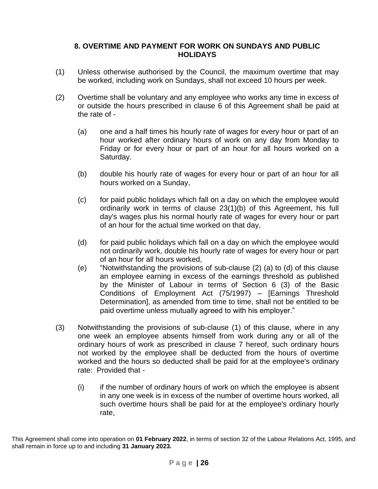### **8. OVERTIME AND PAYMENT FOR WORK ON SUNDAYS AND PUBLIC HOLIDAYS**

- (1) Unless otherwise authorised by the Council, the maximum overtime that may be worked, including work on Sundays, shall not exceed 10 hours per week.
- (2) Overtime shall be voluntary and any employee who works any time in excess of or outside the hours prescribed in clause 6 of this Agreement shall be paid at the rate of -
	- (a) one and a half times his hourly rate of wages for every hour or part of an hour worked after ordinary hours of work on any day from Monday to Friday or for every hour or part of an hour for all hours worked on a Saturday.
	- (b) double his hourly rate of wages for every hour or part of an hour for all hours worked on a Sunday,
	- (c) for paid public holidays which fall on a day on which the employee would ordinarily work in terms of clause 23(1)(b) of this Agreement, his full day's wages plus his normal hourly rate of wages for every hour or part of an hour for the actual time worked on that day,
	- (d) for paid public holidays which fall on a day on which the employee would not ordinarily work, double his hourly rate of wages for every hour or part of an hour for all hours worked,
	- (e) "Notwithstanding the provisions of sub-clause (2) (a) to (d) of this clause an employee earning in excess of the earnings threshold as published by the Minister of Labour in terms of Section 6 (3) of the Basic Conditions of Employment Act (75/1997) – [Earnings Threshold Determination], as amended from time to time, shall not be entitled to be paid overtime unless mutually agreed to with his employer."
- (3) Notwithstanding the provisions of sub-clause (1) of this clause, where in any one week an employee absents himself from work during any or all of the ordinary hours of work as prescribed in clause 7 hereof, such ordinary hours not worked by the employee shall be deducted from the hours of overtime worked and the hours so deducted shall be paid for at the employee's ordinary rate: Provided that -
	- (i) if the number of ordinary hours of work on which the employee is absent in any one week is in excess of the number of overtime hours worked, all such overtime hours shall be paid for at the employee's ordinary hourly rate,

This Agreement shall come into operation on **01 February 2022**, in terms of section 32 of the Labour Relations Act, 1995, and shall remain in force up to and including **31 January 2023.**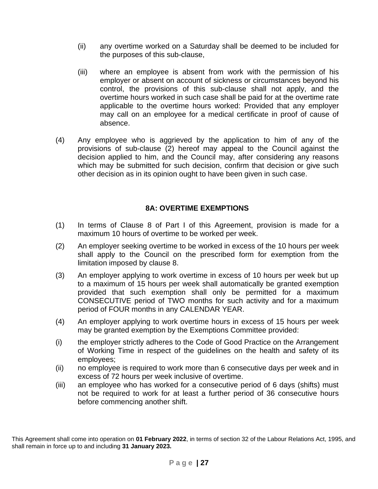- (ii) any overtime worked on a Saturday shall be deemed to be included for the purposes of this sub-clause,
- (iii) where an employee is absent from work with the permission of his employer or absent on account of sickness or circumstances beyond his control, the provisions of this sub-clause shall not apply, and the overtime hours worked in such case shall be paid for at the overtime rate applicable to the overtime hours worked: Provided that any employer may call on an employee for a medical certificate in proof of cause of absence.
- (4) Any employee who is aggrieved by the application to him of any of the provisions of sub-clause (2) hereof may appeal to the Council against the decision applied to him, and the Council may, after considering any reasons which may be submitted for such decision, confirm that decision or give such other decision as in its opinion ought to have been given in such case.

### **8A: OVERTIME EXEMPTIONS**

- (1) In terms of Clause 8 of Part I of this Agreement, provision is made for a maximum 10 hours of overtime to be worked per week.
- (2) An employer seeking overtime to be worked in excess of the 10 hours per week shall apply to the Council on the prescribed form for exemption from the limitation imposed by clause 8.
- (3) An employer applying to work overtime in excess of 10 hours per week but up to a maximum of 15 hours per week shall automatically be granted exemption provided that such exemption shall only be permitted for a maximum CONSECUTIVE period of TWO months for such activity and for a maximum period of FOUR months in any CALENDAR YEAR.
- (4) An employer applying to work overtime hours in excess of 15 hours per week may be granted exemption by the Exemptions Committee provided:
- (i) the employer strictly adheres to the Code of Good Practice on the Arrangement of Working Time in respect of the guidelines on the health and safety of its employees;
- (ii) no employee is required to work more than 6 consecutive days per week and in excess of 72 hours per week inclusive of overtime.
- (iii) an employee who has worked for a consecutive period of 6 days (shifts) must not be required to work for at least a further period of 36 consecutive hours before commencing another shift.

This Agreement shall come into operation on **01 February 2022**, in terms of section 32 of the Labour Relations Act, 1995, and shall remain in force up to and including **31 January 2023.**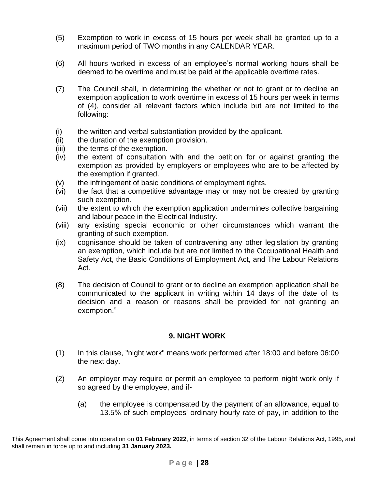- (5) Exemption to work in excess of 15 hours per week shall be granted up to a maximum period of TWO months in any CALENDAR YEAR.
- (6) All hours worked in excess of an employee's normal working hours shall be deemed to be overtime and must be paid at the applicable overtime rates.
- (7) The Council shall, in determining the whether or not to grant or to decline an exemption application to work overtime in excess of 15 hours per week in terms of (4), consider all relevant factors which include but are not limited to the following:
- (i) the written and verbal substantiation provided by the applicant.
- (ii) the duration of the exemption provision.
- (iii) the terms of the exemption.
- (iv) the extent of consultation with and the petition for or against granting the exemption as provided by employers or employees who are to be affected by the exemption if granted.
- (v) the infringement of basic conditions of employment rights.
- (vi) the fact that a competitive advantage may or may not be created by granting such exemption.
- (vii) the extent to which the exemption application undermines collective bargaining and labour peace in the Electrical Industry.
- (viii) any existing special economic or other circumstances which warrant the granting of such exemption.
- (ix) cognisance should be taken of contravening any other legislation by granting an exemption, which include but are not limited to the Occupational Health and Safety Act, the Basic Conditions of Employment Act, and The Labour Relations Act.
- (8) The decision of Council to grant or to decline an exemption application shall be communicated to the applicant in writing within 14 days of the date of its decision and a reason or reasons shall be provided for not granting an exemption."

# **9. NIGHT WORK**

- (1) In this clause, "night work" means work performed after 18:00 and before 06:00 the next day.
- (2) An employer may require or permit an employee to perform night work only if so agreed by the employee, and if-
	- (a) the employee is compensated by the payment of an allowance, equal to 13.5% of such employees' ordinary hourly rate of pay, in addition to the

This Agreement shall come into operation on **01 February 2022**, in terms of section 32 of the Labour Relations Act, 1995, and shall remain in force up to and including **31 January 2023.**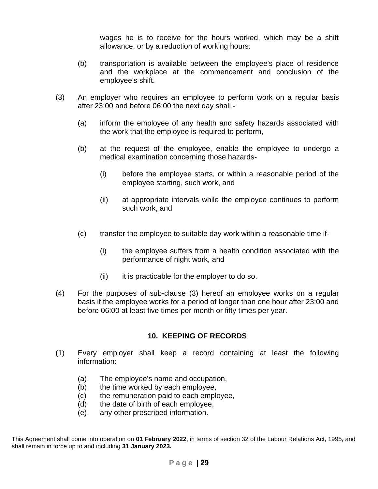wages he is to receive for the hours worked, which may be a shift allowance, or by a reduction of working hours:

- (b) transportation is available between the employee's place of residence and the workplace at the commencement and conclusion of the employee's shift.
- (3) An employer who requires an employee to perform work on a regular basis after 23:00 and before 06:00 the next day shall -
	- (a) inform the employee of any health and safety hazards associated with the work that the employee is required to perform,
	- (b) at the request of the employee, enable the employee to undergo a medical examination concerning those hazards-
		- (i) before the employee starts, or within a reasonable period of the employee starting, such work, and
		- (ii) at appropriate intervals while the employee continues to perform such work, and
	- (c) transfer the employee to suitable day work within a reasonable time if-
		- (i) the employee suffers from a health condition associated with the performance of night work, and
		- $(ii)$  it is practicable for the employer to do so.
- (4) For the purposes of sub-clause (3) hereof an employee works on a regular basis if the employee works for a period of longer than one hour after 23:00 and before 06:00 at least five times per month or fifty times per year.

### **10. KEEPING OF RECORDS**

- (1) Every employer shall keep a record containing at least the following information:
	- (a) The employee's name and occupation,
	- (b) the time worked by each employee,
	- (c) the remuneration paid to each employee,
	- (d) the date of birth of each employee,
	- (e) any other prescribed information.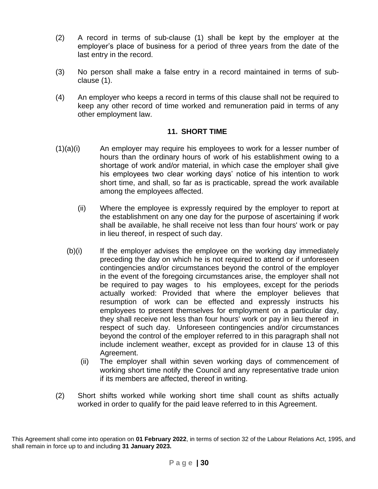- (2) A record in terms of sub-clause (1) shall be kept by the employer at the employer's place of business for a period of three years from the date of the last entry in the record.
- (3) No person shall make a false entry in a record maintained in terms of subclause (1).
- (4) An employer who keeps a record in terms of this clause shall not be required to keep any other record of time worked and remuneration paid in terms of any other employment law.

### **11. SHORT TIME**

- (1)(a)(i) An employer may require his employees to work for a lesser number of hours than the ordinary hours of work of his establishment owing to a shortage of work and/or material, in which case the employer shall give his employees two clear working days' notice of his intention to work short time, and shall, so far as is practicable, spread the work available among the employees affected.
	- (ii) Where the employee is expressly required by the employer to report at the establishment on any one day for the purpose of ascertaining if work shall be available, he shall receive not less than four hours' work or pay in lieu thereof, in respect of such day.
	- (b)(i) If the employer advises the employee on the working day immediately preceding the day on which he is not required to attend or if unforeseen contingencies and/or circumstances beyond the control of the employer in the event of the foregoing circumstances arise, the employer shall not be required to pay wages to his employees, except for the periods actually worked: Provided that where the employer believes that resumption of work can be effected and expressly instructs his employees to present themselves for employment on a particular day, they shall receive not less than four hours' work or pay in lieu thereof in respect of such day. Unforeseen contingencies and/or circumstances beyond the control of the employer referred to in this paragraph shall not include inclement weather, except as provided for in clause 13 of this Agreement.
		- (ii) The employer shall within seven working days of commencement of working short time notify the Council and any representative trade union if its members are affected, thereof in writing.
- (2) Short shifts worked while working short time shall count as shifts actually worked in order to qualify for the paid leave referred to in this Agreement.

This Agreement shall come into operation on **01 February 2022**, in terms of section 32 of the Labour Relations Act, 1995, and shall remain in force up to and including **31 January 2023.**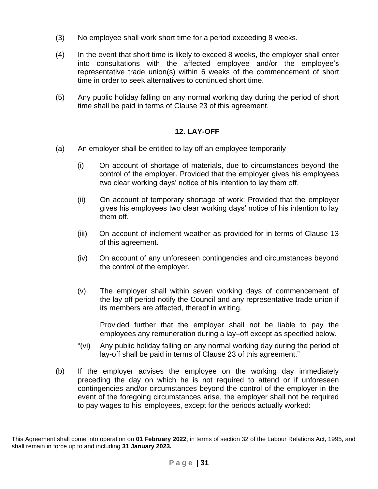- (3) No employee shall work short time for a period exceeding 8 weeks.
- (4) In the event that short time is likely to exceed 8 weeks, the employer shall enter into consultations with the affected employee and/or the employee's representative trade union(s) within 6 weeks of the commencement of short time in order to seek alternatives to continued short time.
- (5) Any public holiday falling on any normal working day during the period of short time shall be paid in terms of Clause 23 of this agreement.

### **12. LAY-OFF**

- (a) An employer shall be entitled to lay off an employee temporarily
	- (i) On account of shortage of materials, due to circumstances beyond the control of the employer. Provided that the employer gives his employees two clear working days' notice of his intention to lay them off.
	- (ii) On account of temporary shortage of work: Provided that the employer gives his employees two clear working days' notice of his intention to lay them off.
	- (iii) On account of inclement weather as provided for in terms of Clause 13 of this agreement.
	- (iv) On account of any unforeseen contingencies and circumstances beyond the control of the employer.
	- (v) The employer shall within seven working days of commencement of the lay off period notify the Council and any representative trade union if its members are affected, thereof in writing.

Provided further that the employer shall not be liable to pay the employees any remuneration during a lay–off except as specified below.

- "(vi) Any public holiday falling on any normal working day during the period of lay-off shall be paid in terms of Clause 23 of this agreement."
- (b) If the employer advises the employee on the working day immediately preceding the day on which he is not required to attend or if unforeseen contingencies and/or circumstances beyond the control of the employer in the event of the foregoing circumstances arise, the employer shall not be required to pay wages to his employees, except for the periods actually worked:

This Agreement shall come into operation on **01 February 2022**, in terms of section 32 of the Labour Relations Act, 1995, and shall remain in force up to and including **31 January 2023.**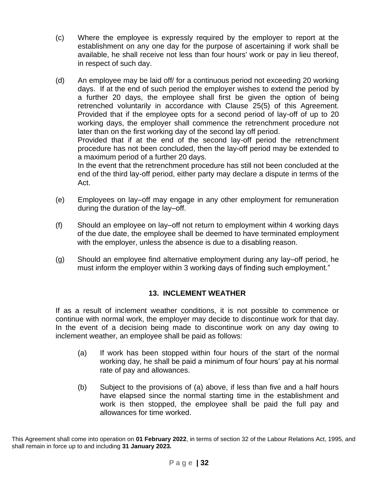- (c) Where the employee is expressly required by the employer to report at the establishment on any one day for the purpose of ascertaining if work shall be available, he shall receive not less than four hours' work or pay in lieu thereof, in respect of such day.
- (d) An employee may be laid off/ for a continuous period not exceeding 20 working days. If at the end of such period the employer wishes to extend the period by a further 20 days, the employee shall first be given the option of being retrenched voluntarily in accordance with Clause 25(5) of this Agreement. Provided that if the employee opts for a second period of lay-off of up to 20 working days, the employer shall commence the retrenchment procedure not later than on the first working day of the second lay off period. Provided that if at the end of the second lay-off period the retrenchment procedure has not been concluded, then the lay-off period may be extended to a maximum period of a further 20 days. In the event that the retrenchment procedure has still not been concluded at the

end of the third lay-off period, either party may declare a dispute in terms of the Act.

- (e) Employees on lay–off may engage in any other employment for remuneration during the duration of the lay–off.
- (f) Should an employee on lay–off not return to employment within 4 working days of the due date, the employee shall be deemed to have terminated employment with the employer, unless the absence is due to a disabling reason.
- (g) Should an employee find alternative employment during any lay–off period, he must inform the employer within 3 working days of finding such employment."

# **13. INCLEMENT WEATHER**

If as a result of inclement weather conditions, it is not possible to commence or continue with normal work, the employer may decide to discontinue work for that day. In the event of a decision being made to discontinue work on any day owing to inclement weather, an employee shall be paid as follows:

- (a) If work has been stopped within four hours of the start of the normal working day, he shall be paid a minimum of four hours' pay at his normal rate of pay and allowances.
- (b) Subject to the provisions of (a) above, if less than five and a half hours have elapsed since the normal starting time in the establishment and work is then stopped, the employee shall be paid the full pay and allowances for time worked.

This Agreement shall come into operation on **01 February 2022**, in terms of section 32 of the Labour Relations Act, 1995, and shall remain in force up to and including **31 January 2023.**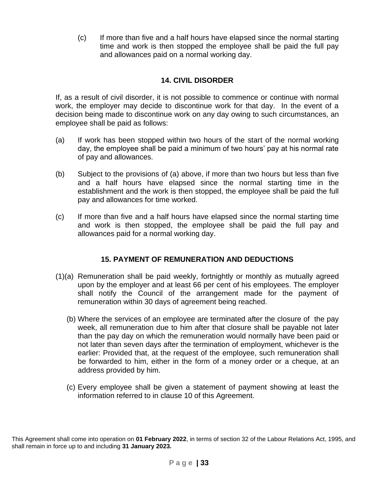(c) If more than five and a half hours have elapsed since the normal starting time and work is then stopped the employee shall be paid the full pay and allowances paid on a normal working day.

# **14. CIVIL DISORDER**

If, as a result of civil disorder, it is not possible to commence or continue with normal work, the employer may decide to discontinue work for that day. In the event of a decision being made to discontinue work on any day owing to such circumstances, an employee shall be paid as follows:

- (a) If work has been stopped within two hours of the start of the normal working day, the employee shall be paid a minimum of two hours' pay at his normal rate of pay and allowances.
- (b) Subject to the provisions of (a) above, if more than two hours but less than five and a half hours have elapsed since the normal starting time in the establishment and the work is then stopped, the employee shall be paid the full pay and allowances for time worked.
- (c) If more than five and a half hours have elapsed since the normal starting time and work is then stopped, the employee shall be paid the full pay and allowances paid for a normal working day.

# **15. PAYMENT OF REMUNERATION AND DEDUCTIONS**

- (1)(a) Remuneration shall be paid weekly, fortnightly or monthly as mutually agreed upon by the employer and at least 66 per cent of his employees. The employer shall notify the Council of the arrangement made for the payment of remuneration within 30 days of agreement being reached.
	- (b) Where the services of an employee are terminated after the closure of the pay week, all remuneration due to him after that closure shall be payable not later than the pay day on which the remuneration would normally have been paid or not later than seven days after the termination of employment, whichever is the earlier: Provided that, at the request of the employee, such remuneration shall be forwarded to him, either in the form of a money order or a cheque, at an address provided by him.
	- (c) Every employee shall be given a statement of payment showing at least the information referred to in clause 10 of this Agreement.

This Agreement shall come into operation on **01 February 2022**, in terms of section 32 of the Labour Relations Act, 1995, and shall remain in force up to and including **31 January 2023.**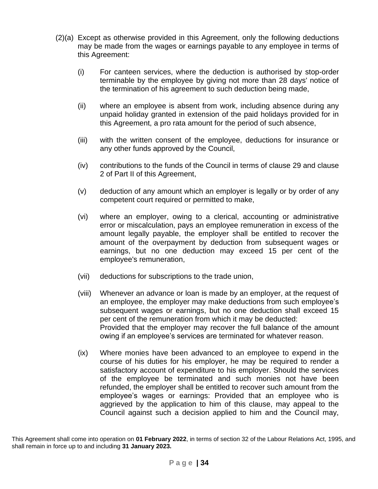- (2)(a) Except as otherwise provided in this Agreement, only the following deductions may be made from the wages or earnings payable to any employee in terms of this Agreement:
	- (i) For canteen services, where the deduction is authorised by stop-order terminable by the employee by giving not more than 28 days' notice of the termination of his agreement to such deduction being made,
	- (ii) where an employee is absent from work, including absence during any unpaid holiday granted in extension of the paid holidays provided for in this Agreement, a pro rata amount for the period of such absence,
	- (iii) with the written consent of the employee, deductions for insurance or any other funds approved by the Council,
	- (iv) contributions to the funds of the Council in terms of clause 29 and clause 2 of Part II of this Agreement,
	- (v) deduction of any amount which an employer is legally or by order of any competent court required or permitted to make,
	- (vi) where an employer, owing to a clerical, accounting or administrative error or miscalculation, pays an employee remuneration in excess of the amount legally payable, the employer shall be entitled to recover the amount of the overpayment by deduction from subsequent wages or earnings, but no one deduction may exceed 15 per cent of the employee's remuneration,
	- (vii) deductions for subscriptions to the trade union,
	- (viii) Whenever an advance or loan is made by an employer, at the request of an employee, the employer may make deductions from such employee's subsequent wages or earnings, but no one deduction shall exceed 15 per cent of the remuneration from which it may be deducted: Provided that the employer may recover the full balance of the amount owing if an employee's services are terminated for whatever reason.
	- (ix) Where monies have been advanced to an employee to expend in the course of his duties for his employer, he may be required to render a satisfactory account of expenditure to his employer. Should the services of the employee be terminated and such monies not have been refunded, the employer shall be entitled to recover such amount from the employee's wages or earnings: Provided that an employee who is aggrieved by the application to him of this clause, may appeal to the Council against such a decision applied to him and the Council may,

This Agreement shall come into operation on **01 February 2022**, in terms of section 32 of the Labour Relations Act, 1995, and shall remain in force up to and including **31 January 2023.**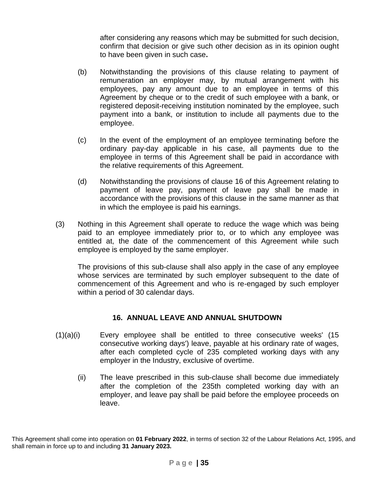after considering any reasons which may be submitted for such decision, confirm that decision or give such other decision as in its opinion ought to have been given in such case**.**

- (b) Notwithstanding the provisions of this clause relating to payment of remuneration an employer may, by mutual arrangement with his employees, pay any amount due to an employee in terms of this Agreement by cheque or to the credit of such employee with a bank, or registered deposit-receiving institution nominated by the employee, such payment into a bank, or institution to include all payments due to the employee.
- (c) In the event of the employment of an employee terminating before the ordinary pay-day applicable in his case, all payments due to the employee in terms of this Agreement shall be paid in accordance with the relative requirements of this Agreement.
- (d) Notwithstanding the provisions of clause 16 of this Agreement relating to payment of leave pay, payment of leave pay shall be made in accordance with the provisions of this clause in the same manner as that in which the employee is paid his earnings.
- (3) Nothing in this Agreement shall operate to reduce the wage which was being paid to an employee immediately prior to, or to which any employee was entitled at, the date of the commencement of this Agreement while such employee is employed by the same employer.

The provisions of this sub-clause shall also apply in the case of any employee whose services are terminated by such employer subsequent to the date of commencement of this Agreement and who is re-engaged by such employer within a period of 30 calendar days.

### **16. ANNUAL LEAVE AND ANNUAL SHUTDOWN**

- $(1)(a)(i)$  Every employee shall be entitled to three consecutive weeks'  $(15)(i)$ consecutive working days') leave, payable at his ordinary rate of wages, after each completed cycle of 235 completed working days with any employer in the Industry, exclusive of overtime.
	- (ii) The leave prescribed in this sub-clause shall become due immediately after the completion of the 235th completed working day with an employer, and leave pay shall be paid before the employee proceeds on leave.

This Agreement shall come into operation on **01 February 2022**, in terms of section 32 of the Labour Relations Act, 1995, and shall remain in force up to and including **31 January 2023.**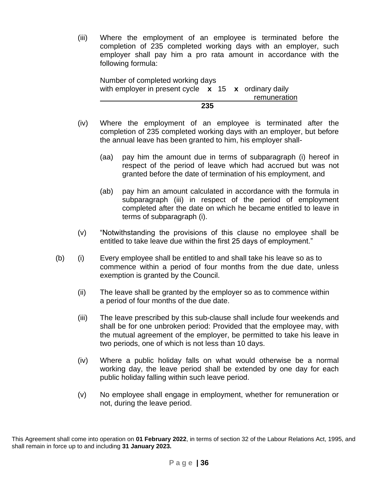(iii) Where the employment of an employee is terminated before the completion of 235 completed working days with an employer, such employer shall pay him a pro rata amount in accordance with the following formula:

Number of completed working days with employer in present cycle **x** 15 **x** ordinary daily **remuneration 235**

- (iv) Where the employment of an employee is terminated after the completion of 235 completed working days with an employer, but before the annual leave has been granted to him, his employer shall-
	- (aa) pay him the amount due in terms of subparagraph (i) hereof in respect of the period of leave which had accrued but was not granted before the date of termination of his employment, and
	- (ab) pay him an amount calculated in accordance with the formula in subparagraph (iii) in respect of the period of employment completed after the date on which he became entitled to leave in terms of subparagraph (i).
- (v) "Notwithstanding the provisions of this clause no employee shall be entitled to take leave due within the first 25 days of employment."
- (b) (i) Every employee shall be entitled to and shall take his leave so as to commence within a period of four months from the due date, unless exemption is granted by the Council.
	- (ii) The leave shall be granted by the employer so as to commence within a period of four months of the due date.
	- (iii) The leave prescribed by this sub-clause shall include four weekends and shall be for one unbroken period: Provided that the employee may, with the mutual agreement of the employer, be permitted to take his leave in two periods, one of which is not less than 10 days.
	- (iv) Where a public holiday falls on what would otherwise be a normal working day, the leave period shall be extended by one day for each public holiday falling within such leave period.
	- (v) No employee shall engage in employment, whether for remuneration or not, during the leave period.

This Agreement shall come into operation on **01 February 2022**, in terms of section 32 of the Labour Relations Act, 1995, and shall remain in force up to and including **31 January 2023.**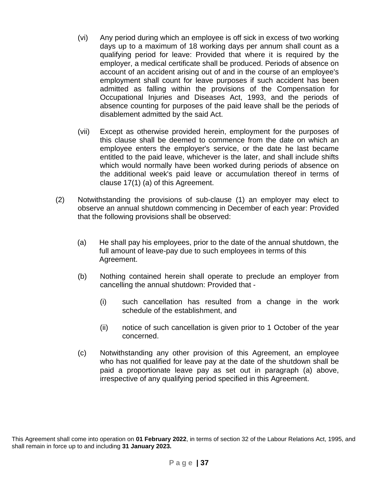- (vi) Any period during which an employee is off sick in excess of two working days up to a maximum of 18 working days per annum shall count as a qualifying period for leave: Provided that where it is required by the employer, a medical certificate shall be produced. Periods of absence on account of an accident arising out of and in the course of an employee's employment shall count for leave purposes if such accident has been admitted as falling within the provisions of the Compensation for Occupational Injuries and Diseases Act, 1993, and the periods of absence counting for purposes of the paid leave shall be the periods of disablement admitted by the said Act.
- (vii) Except as otherwise provided herein, employment for the purposes of this clause shall be deemed to commence from the date on which an employee enters the employer's service, or the date he last became entitled to the paid leave, whichever is the later, and shall include shifts which would normally have been worked during periods of absence on the additional week's paid leave or accumulation thereof in terms of clause 17(1) (a) of this Agreement.
- (2) Notwithstanding the provisions of sub-clause (1) an employer may elect to observe an annual shutdown commencing in December of each year: Provided that the following provisions shall be observed:
	- (a) He shall pay his employees, prior to the date of the annual shutdown, the full amount of leave-pay due to such employees in terms of this Agreement.
	- (b) Nothing contained herein shall operate to preclude an employer from cancelling the annual shutdown: Provided that -
		- (i) such cancellation has resulted from a change in the work schedule of the establishment, and
		- (ii) notice of such cancellation is given prior to 1 October of the year concerned.
	- (c) Notwithstanding any other provision of this Agreement, an employee who has not qualified for leave pay at the date of the shutdown shall be paid a proportionate leave pay as set out in paragraph (a) above, irrespective of any qualifying period specified in this Agreement.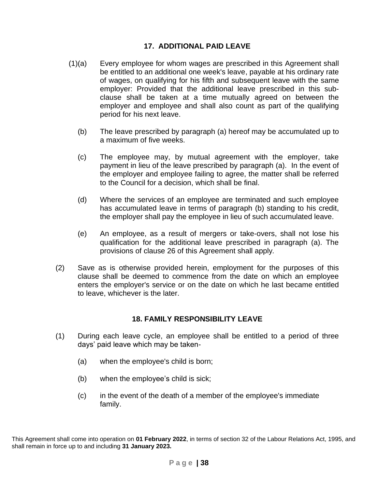### **17. ADDITIONAL PAID LEAVE**

- (1)(a) Every employee for whom wages are prescribed in this Agreement shall be entitled to an additional one week's leave, payable at his ordinary rate of wages, on qualifying for his fifth and subsequent leave with the same employer: Provided that the additional leave prescribed in this subclause shall be taken at a time mutually agreed on between the employer and employee and shall also count as part of the qualifying period for his next leave.
	- (b) The leave prescribed by paragraph (a) hereof may be accumulated up to a maximum of five weeks.
	- (c) The employee may, by mutual agreement with the employer, take payment in lieu of the leave prescribed by paragraph (a). In the event of the employer and employee failing to agree, the matter shall be referred to the Council for a decision, which shall be final.
	- (d) Where the services of an employee are terminated and such employee has accumulated leave in terms of paragraph (b) standing to his credit, the employer shall pay the employee in lieu of such accumulated leave.
	- (e) An employee, as a result of mergers or take-overs, shall not lose his qualification for the additional leave prescribed in paragraph (a). The provisions of clause 26 of this Agreement shall apply*.*
- (2) Save as is otherwise provided herein, employment for the purposes of this clause shall be deemed to commence from the date on which an employee enters the employer's service or on the date on which he last became entitled to leave, whichever is the later.

#### **18. FAMILY RESPONSIBILITY LEAVE**

- (1) During each leave cycle, an employee shall be entitled to a period of three days' paid leave which may be taken-
	- (a) when the employee's child is born;
	- (b) when the employee's child is sick;
	- (c) in the event of the death of a member of the employee's immediate family.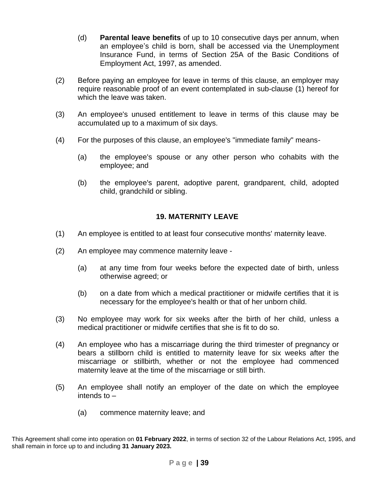- (d) **Parental leave benefits** of up to 10 consecutive days per annum, when an employee's child is born, shall be accessed via the Unemployment Insurance Fund, in terms of Section 25A of the Basic Conditions of Employment Act, 1997, as amended.
- (2) Before paying an employee for leave in terms of this clause, an employer may require reasonable proof of an event contemplated in sub-clause (1) hereof for which the leave was taken.
- (3) An employee's unused entitlement to leave in terms of this clause may be accumulated up to a maximum of six days.
- (4) For the purposes of this clause, an employee's "immediate family" means-
	- (a) the employee's spouse or any other person who cohabits with the employee; and
	- (b) the employee's parent, adoptive parent, grandparent, child, adopted child, grandchild or sibling.

### **19. MATERNITY LEAVE**

- (1) An employee is entitled to at least four consecutive months' maternity leave.
- (2) An employee may commence maternity leave
	- (a) at any time from four weeks before the expected date of birth, unless otherwise agreed; or
	- (b) on a date from which a medical practitioner or midwife certifies that it is necessary for the employee's health or that of her unborn child.
- (3) No employee may work for six weeks after the birth of her child, unless a medical practitioner or midwife certifies that she is fit to do so.
- (4) An employee who has a miscarriage during the third trimester of pregnancy or bears a stillborn child is entitled to maternity leave for six weeks after the miscarriage or stillbirth, whether or not the employee had commenced maternity leave at the time of the miscarriage or still birth.
- (5) An employee shall notify an employer of the date on which the employee intends to –
	- (a) commence maternity leave; and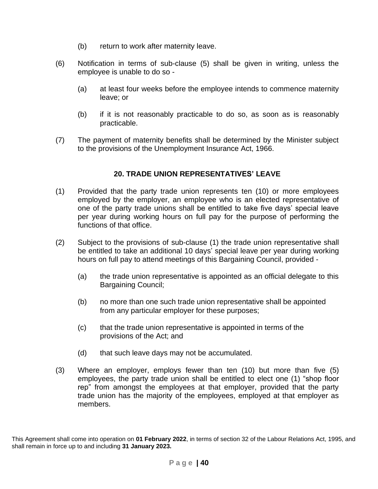- (b) return to work after maternity leave.
- (6) Notification in terms of sub-clause (5) shall be given in writing, unless the employee is unable to do so -
	- (a) at least four weeks before the employee intends to commence maternity leave; or
	- (b) if it is not reasonably practicable to do so, as soon as is reasonably practicable.
- (7) The payment of maternity benefits shall be determined by the Minister subject to the provisions of the Unemployment Insurance Act, 1966.

# **20. TRADE UNION REPRESENTATIVES' LEAVE**

- (1) Provided that the party trade union represents ten (10) or more employees employed by the employer, an employee who is an elected representative of one of the party trade unions shall be entitled to take five days' special leave per year during working hours on full pay for the purpose of performing the functions of that office.
- (2) Subject to the provisions of sub-clause (1) the trade union representative shall be entitled to take an additional 10 days' special leave per year during working hours on full pay to attend meetings of this Bargaining Council, provided -
	- (a) the trade union representative is appointed as an official delegate to this Bargaining Council;
	- (b) no more than one such trade union representative shall be appointed from any particular employer for these purposes;
	- (c) that the trade union representative is appointed in terms of the provisions of the Act; and
	- (d) that such leave days may not be accumulated.
- (3) Where an employer, employs fewer than ten (10) but more than five (5) employees, the party trade union shall be entitled to elect one (1) "shop floor rep" from amongst the employees at that employer, provided that the party trade union has the majority of the employees, employed at that employer as members.

This Agreement shall come into operation on **01 February 2022**, in terms of section 32 of the Labour Relations Act, 1995, and shall remain in force up to and including **31 January 2023.**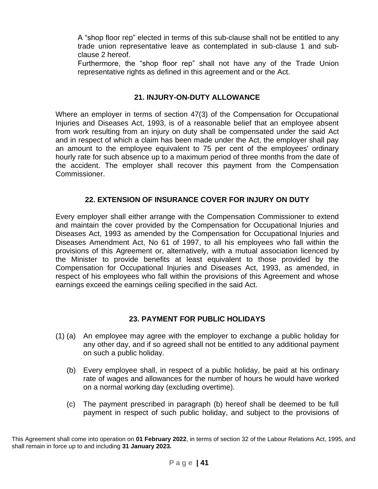A "shop floor rep" elected in terms of this sub-clause shall not be entitled to any trade union representative leave as contemplated in sub-clause 1 and subclause 2 hereof.

Furthermore, the "shop floor rep" shall not have any of the Trade Union representative rights as defined in this agreement and or the Act.

### **21. INJURY-ON-DUTY ALLOWANCE**

Where an employer in terms of section 47(3) of the Compensation for Occupational Injuries and Diseases Act, 1993, is of a reasonable belief that an employee absent from work resulting from an injury on duty shall be compensated under the said Act and in respect of which a claim has been made under the Act, the employer shall pay an amount to the employee equivalent to 75 per cent of the employees' ordinary hourly rate for such absence up to a maximum period of three months from the date of the accident. The employer shall recover this payment from the Compensation Commissioner.

# **22. EXTENSION OF INSURANCE COVER FOR INJURY ON DUTY**

Every employer shall either arrange with the Compensation Commissioner to extend and maintain the cover provided by the Compensation for Occupational Injuries and Diseases Act, 1993 as amended by the Compensation for Occupational Injuries and Diseases Amendment Act, No 61 of 1997, to all his employees who fall within the provisions of this Agreement or, alternatively, with a mutual association licenced by the Minister to provide benefits at least equivalent to those provided by the Compensation for Occupational Injuries and Diseases Act, 1993, as amended, in respect of his employees who fall within the provisions of this Agreement and whose earnings exceed the earnings ceiling specified in the said Act.

# **23. PAYMENT FOR PUBLIC HOLIDAYS**

- (1) (a) An employee may agree with the employer to exchange a public holiday for any other day, and if so agreed shall not be entitled to any additional payment on such a public holiday.
	- (b) Every employee shall, in respect of a public holiday, be paid at his ordinary rate of wages and allowances for the number of hours he would have worked on a normal working day (excluding overtime).
	- (c) The payment prescribed in paragraph (b) hereof shall be deemed to be full payment in respect of such public holiday, and subject to the provisions of

This Agreement shall come into operation on **01 February 2022**, in terms of section 32 of the Labour Relations Act, 1995, and shall remain in force up to and including **31 January 2023.**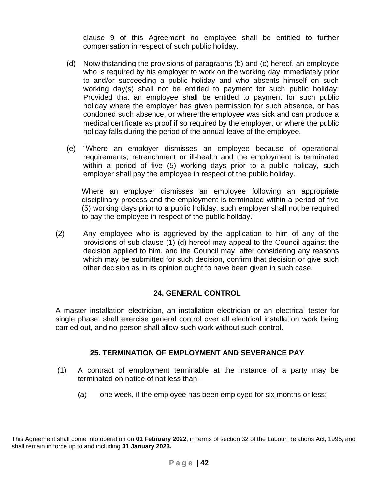clause 9 of this Agreement no employee shall be entitled to further compensation in respect of such public holiday.

- (d) Notwithstanding the provisions of paragraphs (b) and (c) hereof, an employee who is required by his employer to work on the working day immediately prior to and/or succeeding a public holiday and who absents himself on such working day(s) shall not be entitled to payment for such public holiday: Provided that an employee shall be entitled to payment for such public holiday where the employer has given permission for such absence, or has condoned such absence, or where the employee was sick and can produce a medical certificate as proof if so required by the employer, or where the public holiday falls during the period of the annual leave of the employee.
- (e) "Where an employer dismisses an employee because of operational requirements, retrenchment or ill-health and the employment is terminated within a period of five (5) working days prior to a public holiday, such employer shall pay the employee in respect of the public holiday.

Where an employer dismisses an employee following an appropriate disciplinary process and the employment is terminated within a period of five (5) working days prior to a public holiday, such employer shall not be required to pay the employee in respect of the public holiday."

(2) Any employee who is aggrieved by the application to him of any of the provisions of sub-clause (1) (d) hereof may appeal to the Council against the decision applied to him, and the Council may, after considering any reasons which may be submitted for such decision, confirm that decision or give such other decision as in its opinion ought to have been given in such case.

# **24. GENERAL CONTROL**

A master installation electrician, an installation electrician or an electrical tester for single phase, shall exercise general control over all electrical installation work being carried out, and no person shall allow such work without such control.

# **25. TERMINATION OF EMPLOYMENT AND SEVERANCE PAY**

- (1) A contract of employment terminable at the instance of a party may be terminated on notice of not less than –
	- (a) one week, if the employee has been employed for six months or less;

This Agreement shall come into operation on **01 February 2022**, in terms of section 32 of the Labour Relations Act, 1995, and shall remain in force up to and including **31 January 2023.**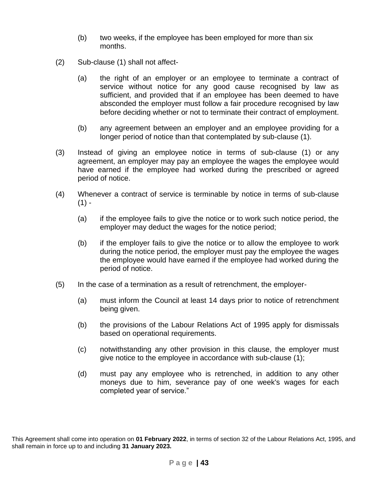- (b) two weeks, if the employee has been employed for more than six months.
- (2) Sub-clause (1) shall not affect-
	- (a) the right of an employer or an employee to terminate a contract of service without notice for any good cause recognised by law as sufficient, and provided that if an employee has been deemed to have absconded the employer must follow a fair procedure recognised by law before deciding whether or not to terminate their contract of employment.
	- (b) any agreement between an employer and an employee providing for a longer period of notice than that contemplated by sub-clause (1).
- (3) Instead of giving an employee notice in terms of sub-clause (1) or any agreement, an employer may pay an employee the wages the employee would have earned if the employee had worked during the prescribed or agreed period of notice.
- (4) Whenever a contract of service is terminable by notice in terms of sub-clause  $(1) -$ 
	- (a) if the employee fails to give the notice or to work such notice period, the employer may deduct the wages for the notice period;
	- (b) if the employer fails to give the notice or to allow the employee to work during the notice period, the employer must pay the employee the wages the employee would have earned if the employee had worked during the period of notice.
- (5) In the case of a termination as a result of retrenchment, the employer-
	- (a) must inform the Council at least 14 days prior to notice of retrenchment being given.
	- (b) the provisions of the Labour Relations Act of 1995 apply for dismissals based on operational requirements.
	- (c) notwithstanding any other provision in this clause, the employer must give notice to the employee in accordance with sub-clause (1);
	- (d) must pay any employee who is retrenched, in addition to any other moneys due to him, severance pay of one week's wages for each completed year of service."

This Agreement shall come into operation on **01 February 2022**, in terms of section 32 of the Labour Relations Act, 1995, and shall remain in force up to and including **31 January 2023.**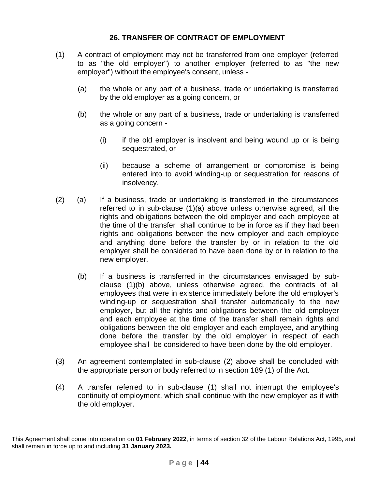### **26. TRANSFER OF CONTRACT OF EMPLOYMENT**

- (1) A contract of employment may not be transferred from one employer (referred to as "the old employer") to another employer (referred to as "the new employer") without the employee's consent, unless -
	- (a) the whole or any part of a business, trade or undertaking is transferred by the old employer as a going concern, or
	- (b) the whole or any part of a business, trade or undertaking is transferred as a going concern -
		- (i) if the old employer is insolvent and being wound up or is being sequestrated, or
		- (ii) because a scheme of arrangement or compromise is being entered into to avoid winding-up or sequestration for reasons of insolvency.
- (2) (a) If a business, trade or undertaking is transferred in the circumstances referred to in sub-clause (1)(a) above unless otherwise agreed, all the rights and obligations between the old employer and each employee at the time of the transfer shall continue to be in force as if they had been rights and obligations between the new employer and each employee and anything done before the transfer by or in relation to the old employer shall be considered to have been done by or in relation to the new employer.
	- (b) If a business is transferred in the circumstances envisaged by subclause (1)(b) above, unless otherwise agreed, the contracts of all employees that were in existence immediately before the old employer's winding-up or sequestration shall transfer automatically to the new employer, but all the rights and obligations between the old employer and each employee at the time of the transfer shall remain rights and obligations between the old employer and each employee, and anything done before the transfer by the old employer in respect of each employee shall be considered to have been done by the old employer.
- (3) An agreement contemplated in sub-clause (2) above shall be concluded with the appropriate person or body referred to in section 189 (1) of the Act.
- (4) A transfer referred to in sub-clause (1) shall not interrupt the employee's continuity of employment, which shall continue with the new employer as if with the old employer.

This Agreement shall come into operation on **01 February 2022**, in terms of section 32 of the Labour Relations Act, 1995, and shall remain in force up to and including **31 January 2023.**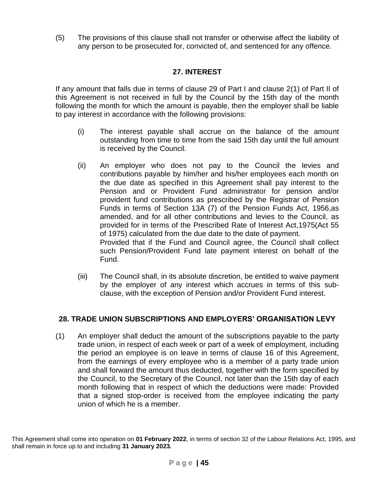(5) The provisions of this clause shall not transfer or otherwise affect the liability of any person to be prosecuted for, convicted of, and sentenced for any offence.

# **27. INTEREST**

If any amount that falls due in terms of clause 29 of Part I and clause 2(1) of Part II of this Agreement is not received in full by the Council by the 15th day of the month following the month for which the amount is payable, then the employer shall be liable to pay interest in accordance with the following provisions:

- (i) The interest payable shall accrue on the balance of the amount outstanding from time to time from the said 15th day until the full amount is received by the Council.
- (ii) An employer who does not pay to the Council the levies and contributions payable by him/her and his/her employees each month on the due date as specified in this Agreement shall pay interest to the Pension and or Provident Fund administrator for pension and/or provident fund contributions as prescribed by the Registrar of Pension Funds in terms of Section 13A (7) of the Pension Funds Act, 1956,as amended, and for all other contributions and levies to the Council, as provided for in terms of the Prescribed Rate of Interest Act,1975(Act 55 of 1975) calculated from the due date to the date of payment. Provided that if the Fund and Council agree, the Council shall collect such Pension/Provident Fund late payment interest on behalf of the Fund.
- (iii) The Council shall, in its absolute discretion, be entitled to waive payment by the employer of any interest which accrues in terms of this subclause, with the exception of Pension and/or Provident Fund interest.

# **28. TRADE UNION SUBSCRIPTIONS AND EMPLOYERS' ORGANISATION LEVY**

(1) An employer shall deduct the amount of the subscriptions payable to the party trade union, in respect of each week or part of a week of employment, including the period an employee is on leave in terms of clause 16 of this Agreement, from the earnings of every employee who is a member of a party trade union and shall forward the amount thus deducted, together with the form specified by the Council, to the Secretary of the Council, not later than the 15th day of each month following that in respect of which the deductions were made: Provided that a signed stop-order is received from the employee indicating the party union of which he is a member.

This Agreement shall come into operation on **01 February 2022**, in terms of section 32 of the Labour Relations Act, 1995, and shall remain in force up to and including **31 January 2023.**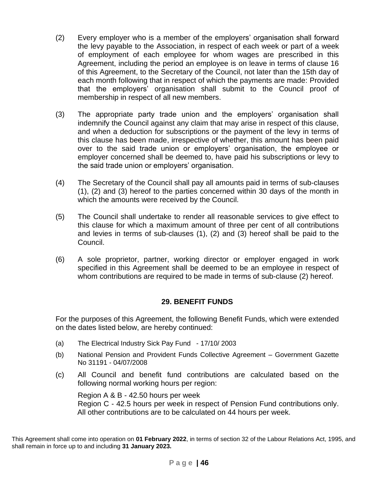- (2) Every employer who is a member of the employers' organisation shall forward the levy payable to the Association, in respect of each week or part of a week of employment of each employee for whom wages are prescribed in this Agreement, including the period an employee is on leave in terms of clause 16 of this Agreement, to the Secretary of the Council, not later than the 15th day of each month following that in respect of which the payments are made: Provided that the employers' organisation shall submit to the Council proof of membership in respect of all new members.
- (3) The appropriate party trade union and the employers' organisation shall indemnify the Council against any claim that may arise in respect of this clause, and when a deduction for subscriptions or the payment of the levy in terms of this clause has been made, irrespective of whether, this amount has been paid over to the said trade union or employers' organisation, the employee or employer concerned shall be deemed to, have paid his subscriptions or levy to the said trade union or employers' organisation.
- (4) The Secretary of the Council shall pay all amounts paid in terms of sub-clauses (1), (2) and (3) hereof to the parties concerned within 30 days of the month in which the amounts were received by the Council.
- (5) The Council shall undertake to render all reasonable services to give effect to this clause for which a maximum amount of three per cent of all contributions and levies in terms of sub-clauses (1), (2) and (3) hereof shall be paid to the Council.
- (6) A sole proprietor, partner, working director or employer engaged in work specified in this Agreement shall be deemed to be an employee in respect of whom contributions are required to be made in terms of sub-clause (2) hereof.

#### **29. BENEFIT FUNDS**

For the purposes of this Agreement, the following Benefit Funds, which were extended on the dates listed below, are hereby continued:

- (a) The Electrical Industry Sick Pay Fund 17/10/ 2003
- (b) National Pension and Provident Funds Collective Agreement Government Gazette No 31191 - 04/07/2008
- (c) All Council and benefit fund contributions are calculated based on the following normal working hours per region:

Region A & B - 42.50 hours per week Region C - 42.5 hours per week in respect of Pension Fund contributions only. All other contributions are to be calculated on 44 hours per week.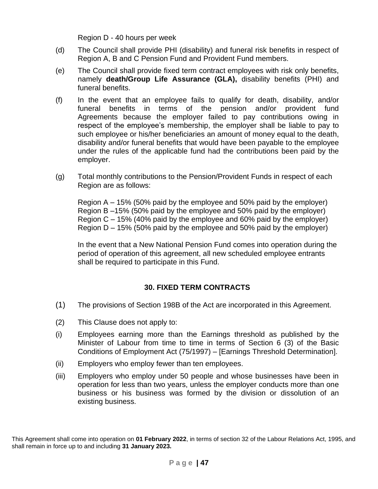Region D - 40 hours per week

- (d) The Council shall provide PHI (disability) and funeral risk benefits in respect of Region A, B and C Pension Fund and Provident Fund members.
- (e) The Council shall provide fixed term contract employees with risk only benefits, namely **death/Group Life Assurance (GLA),** disability benefits (PHI) and funeral benefits.
- (f) In the event that an employee fails to qualify for death, disability, and/or funeral benefits in terms of the pension and/or provident fund Agreements because the employer failed to pay contributions owing in respect of the employee's membership, the employer shall be liable to pay to such employee or his/her beneficiaries an amount of money equal to the death, disability and/or funeral benefits that would have been payable to the employee under the rules of the applicable fund had the contributions been paid by the employer.
- (g) Total monthly contributions to the Pension/Provident Funds in respect of each Region are as follows:

Region A – 15% (50% paid by the employee and 50% paid by the employer) Region B –15% (50% paid by the employee and 50% paid by the employer) Region C – 15% (40% paid by the employee and 60% paid by the employer) Region D – 15% (50% paid by the employee and 50% paid by the employer)

In the event that a New National Pension Fund comes into operation during the period of operation of this agreement, all new scheduled employee entrants shall be required to participate in this Fund.

# **30. FIXED TERM CONTRACTS**

- (1) The provisions of Section 198B of the Act are incorporated in this Agreement.
- (2) This Clause does not apply to:
- (i) Employees earning more than the Earnings threshold as published by the Minister of Labour from time to time in terms of Section 6 (3) of the Basic Conditions of Employment Act (75/1997) – [Earnings Threshold Determination].
- (ii) Employers who employ fewer than ten employees.
- (iii) Employers who employ under 50 people and whose businesses have been in operation for less than two years, unless the employer conducts more than one business or his business was formed by the division or dissolution of an existing business.

This Agreement shall come into operation on **01 February 2022**, in terms of section 32 of the Labour Relations Act, 1995, and shall remain in force up to and including **31 January 2023.**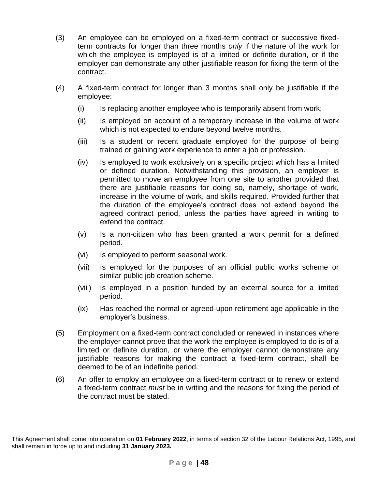- (3) An employee can be employed on a fixed-term contract or successive fixedterm contracts for longer than three months *only* if the nature of the work for which the employee is employed is of a limited or definite duration, or if the employer can demonstrate any other justifiable reason for fixing the term of the contract.
- (4) A fixed-term contract for longer than 3 months shall only be justifiable if the employee:
	- (i) Is replacing another employee who is temporarily absent from work;
	- (ii) Is employed on account of a temporary increase in the volume of work which is not expected to endure beyond twelve months.
	- (iii) Is a student or recent graduate employed for the purpose of being trained or gaining work experience to enter a job or profession.
	- (iv) Is employed to work exclusively on a specific project which has a limited or defined duration. Notwithstanding this provision, an employer is permitted to move an employee from one site to another provided that there are justifiable reasons for doing so, namely, shortage of work, increase in the volume of work, and skills required. Provided further that the duration of the employee's contract does not extend beyond the agreed contract period, unless the parties have agreed in writing to extend the contract.
	- (v) Is a non-citizen who has been granted a work permit for a defined period.
	- (vi) Is employed to perform seasonal work.
	- (vii) Is employed for the purposes of an official public works scheme or similar public job creation scheme.
	- (viii) Is employed in a position funded by an external source for a limited period.
	- (ix) Has reached the normal or agreed-upon retirement age applicable in the employer's business.
- (5) Employment on a fixed-term contract concluded or renewed in instances where the employer cannot prove that the work the employee is employed to do is of a limited or definite duration, or where the employer cannot demonstrate any justifiable reasons for making the contract a fixed-term contract, shall be deemed to be of an indefinite period.
- (6) An offer to employ an employee on a fixed-term contract or to renew or extend a fixed-term contract *must* be in writing and the reasons for fixing the period of the contract must be stated.

This Agreement shall come into operation on **01 February 2022**, in terms of section 32 of the Labour Relations Act, 1995, and shall remain in force up to and including **31 January 2023.**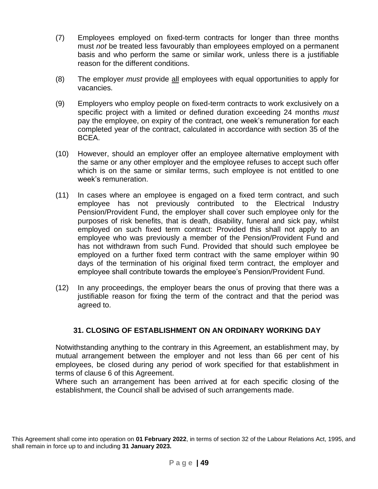- (7) Employees employed on fixed-term contracts for longer than three months must *not* be treated less favourably than employees employed on a permanent basis and who perform the same or similar work, unless there is a justifiable reason for the different conditions.
- (8) The employer *must* provide all employees with equal opportunities to apply for vacancies.
- (9) Employers who employ people on fixed-term contracts to work exclusively on a specific project with a limited or defined duration exceeding 24 months *must* pay the employee, on expiry of the contract, one week's remuneration for each completed year of the contract, calculated in accordance with section 35 of the BCEA.
- (10) However, should an employer offer an employee alternative employment with the same or any other employer and the employee refuses to accept such offer which is on the same or similar terms, such employee is not entitled to one week's remuneration.
- (11) In cases where an employee is engaged on a fixed term contract, and such employee has not previously contributed to the Electrical Industry Pension/Provident Fund, the employer shall cover such employee only for the purposes of risk benefits, that is death, disability, funeral and sick pay, whilst employed on such fixed term contract: Provided this shall not apply to an employee who was previously a member of the Pension/Provident Fund and has not withdrawn from such Fund. Provided that should such employee be employed on a further fixed term contract with the same employer within 90 days of the termination of his original fixed term contract, the employer and employee shall contribute towards the employee's Pension/Provident Fund.
- (12) In any proceedings, the employer bears the onus of proving that there was a justifiable reason for fixing the term of the contract and that the period was agreed to.

# **31. CLOSING OF ESTABLISHMENT ON AN ORDINARY WORKING DAY**

Notwithstanding anything to the contrary in this Agreement, an establishment may, by mutual arrangement between the employer and not less than 66 per cent of his employees, be closed during any period of work specified for that establishment in terms of clause 6 of this Agreement.

Where such an arrangement has been arrived at for each specific closing of the establishment, the Council shall be advised of such arrangements made.

This Agreement shall come into operation on **01 February 2022**, in terms of section 32 of the Labour Relations Act, 1995, and shall remain in force up to and including **31 January 2023.**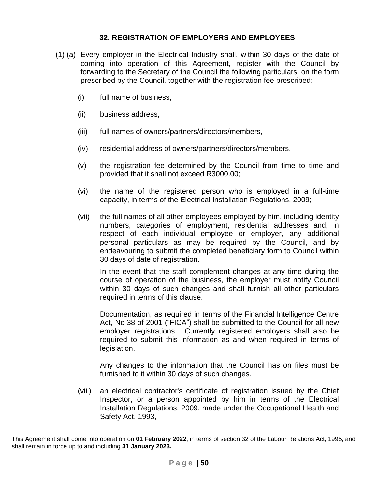#### **32. REGISTRATION OF EMPLOYERS AND EMPLOYEES**

- (1) (a) Every employer in the Electrical Industry shall, within 30 days of the date of coming into operation of this Agreement, register with the Council by forwarding to the Secretary of the Council the following particulars, on the form prescribed by the Council, together with the registration fee prescribed:
	- (i) full name of business,
	- (ii) business address,
	- (iii) full names of owners/partners/directors/members,
	- (iv) residential address of owners/partners/directors/members,
	- (v) the registration fee determined by the Council from time to time and provided that it shall not exceed R3000.00;
	- (vi) the name of the registered person who is employed in a full-time capacity, in terms of the Electrical Installation Regulations, 2009;
	- (vii) the full names of all other employees employed by him, including identity numbers, categories of employment, residential addresses and, in respect of each individual employee or employer, any additional personal particulars as may be required by the Council, and by endeavouring to submit the completed beneficiary form to Council within 30 days of date of registration.

In the event that the staff complement changes at any time during the course of operation of the business, the employer must notify Council within 30 days of such changes and shall furnish all other particulars required in terms of this clause.

Documentation, as required in terms of the Financial Intelligence Centre Act, No 38 of 2001 ("FICA") shall be submitted to the Council for all new employer registrations. Currently registered employers shall also be required to submit this information as and when required in terms of legislation.

Any changes to the information that the Council has on files must be furnished to it within 30 days of such changes.

(viii) an electrical contractor's certificate of registration issued by the Chief Inspector, or a person appointed by him in terms of the Electrical Installation Regulations, 2009, made under the Occupational Health and Safety Act, 1993,

This Agreement shall come into operation on **01 February 2022**, in terms of section 32 of the Labour Relations Act, 1995, and shall remain in force up to and including **31 January 2023.**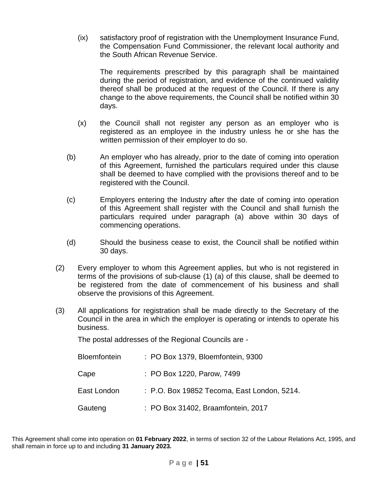(ix) satisfactory proof of registration with the Unemployment Insurance Fund, the Compensation Fund Commissioner, the relevant local authority and the South African Revenue Service.

The requirements prescribed by this paragraph shall be maintained during the period of registration, and evidence of the continued validity thereof shall be produced at the request of the Council. If there is any change to the above requirements, the Council shall be notified within 30 days.

- (x) the Council shall not register any person as an employer who is registered as an employee in the industry unless he or she has the written permission of their employer to do so.
- (b) An employer who has already, prior to the date of coming into operation of this Agreement, furnished the particulars required under this clause shall be deemed to have complied with the provisions thereof and to be registered with the Council.
- (c) Employers entering the Industry after the date of coming into operation of this Agreement shall register with the Council and shall furnish the particulars required under paragraph (a) above within 30 days of commencing operations.
- (d) Should the business cease to exist, the Council shall be notified within 30 days.
- (2) Every employer to whom this Agreement applies, but who is not registered in terms of the provisions of sub-clause (1) (a) of this clause, shall be deemed to be registered from the date of commencement of his business and shall observe the provisions of this Agreement.
- (3) All applications for registration shall be made directly to the Secretary of the Council in the area in which the employer is operating or intends to operate his business.

The postal addresses of the Regional Councils are -

| <b>Bloemfontein</b> | : PO Box 1379, Bloemfontein, 9300           |
|---------------------|---------------------------------------------|
| Cape                | : PO Box 1220, Parow, 7499                  |
| East London         | : P.O. Box 19852 Tecoma, East London, 5214. |
| Gauteng             | : PO Box 31402, Braamfontein, 2017          |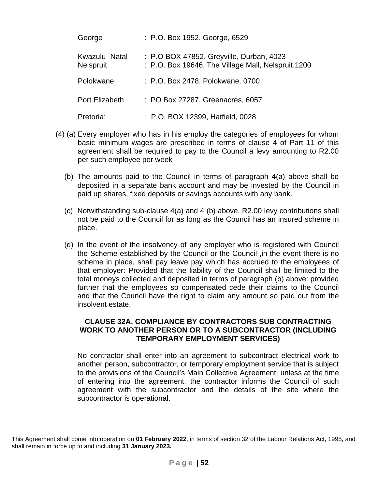| George                             | : P.O. Box 1952, George, 6529                                                                  |
|------------------------------------|------------------------------------------------------------------------------------------------|
| Kwazulu -Natal<br><b>Nelspruit</b> | : P.O BOX 47852, Greyville, Durban, 4023<br>: P.O. Box 19646, The Village Mall, Nelspruit.1200 |
| Polokwane                          | : P.O. Box 2478, Polokwane. 0700                                                               |
| Port Elizabeth                     | : PO Box 27287, Greenacres, 6057                                                               |
| Pretoria:                          | : P.O. BOX 12399, Hatfield, 0028                                                               |

- (4) (a) Every employer who has in his employ the categories of employees for whom basic minimum wages are prescribed in terms of clause 4 of Part 11 of this agreement shall be required to pay to the Council a levy amounting to R2.00 per such employee per week
	- (b) The amounts paid to the Council in terms of paragraph 4(a) above shall be deposited in a separate bank account and may be invested by the Council in paid up shares, fixed deposits or savings accounts with any bank.
	- (c) Notwithstanding sub-clause 4(a) and 4 (b) above, R2.00 levy contributions shall not be paid to the Council for as long as the Council has an insured scheme in place.
	- (d) In the event of the insolvency of any employer who is registered with Council the Scheme established by the Council or the Council ,in the event there is no scheme in place, shall pay leave pay which has accrued to the employees of that employer: Provided that the liability of the Council shall be limited to the total moneys collected and deposited in terms of paragraph (b) above: provided further that the employees so compensated cede their claims to the Council and that the Council have the right to claim any amount so paid out from the insolvent estate.

### **CLAUSE 32A. COMPLIANCE BY CONTRACTORS SUB CONTRACTING WORK TO ANOTHER PERSON OR TO A SUBCONTRACTOR (INCLUDING TEMPORARY EMPLOYMENT SERVICES)**

No contractor shall enter into an agreement to subcontract electrical work to another person, subcontractor, or temporary employment service that is subject to the provisions of the Council's Main Collective Agreement, unless at the time of entering into the agreement, the contractor informs the Council of such agreement with the subcontractor and the details of the site where the subcontractor is operational.

This Agreement shall come into operation on **01 February 2022**, in terms of section 32 of the Labour Relations Act, 1995, and shall remain in force up to and including **31 January 2023.**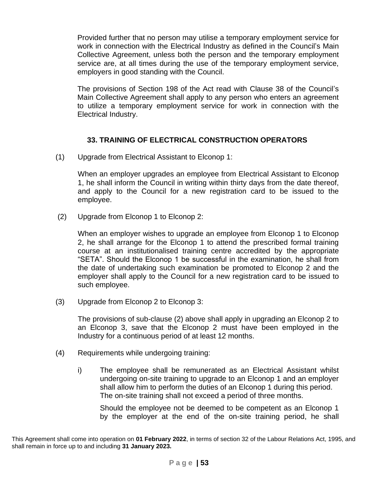Provided further that no person may utilise a temporary employment service for work in connection with the Electrical Industry as defined in the Council's Main Collective Agreement, unless both the person and the temporary employment service are, at all times during the use of the temporary employment service, employers in good standing with the Council.

The provisions of Section 198 of the Act read with Clause 38 of the Council's Main Collective Agreement shall apply to any person who enters an agreement to utilize a temporary employment service for work in connection with the Electrical Industry.

# **33. TRAINING OF ELECTRICAL CONSTRUCTION OPERATORS**

(1) Upgrade from Electrical Assistant to Elconop 1:

When an employer upgrades an employee from Electrical Assistant to Elconop 1, he shall inform the Council in writing within thirty days from the date thereof, and apply to the Council for a new registration card to be issued to the employee.

(2) Upgrade from Elconop 1 to Elconop 2:

When an employer wishes to upgrade an employee from Elconop 1 to Elconop 2, he shall arrange for the Elconop 1 to attend the prescribed formal training course at an institutionalised training centre accredited by the appropriate "SETA". Should the Elconop 1 be successful in the examination, he shall from the date of undertaking such examination be promoted to Elconop 2 and the employer shall apply to the Council for a new registration card to be issued to such employee.

(3) Upgrade from Elconop 2 to Elconop 3:

The provisions of sub-clause (2) above shall apply in upgrading an Elconop 2 to an Elconop 3, save that the Elconop 2 must have been employed in the Industry for a continuous period of at least 12 months.

- (4) Requirements while undergoing training:
	- i) The employee shall be remunerated as an Electrical Assistant whilst undergoing on-site training to upgrade to an Elconop 1 and an employer shall allow him to perform the duties of an Elconop 1 during this period. The on-site training shall not exceed a period of three months.

Should the employee not be deemed to be competent as an Elconop 1 by the employer at the end of the on-site training period, he shall

This Agreement shall come into operation on **01 February 2022**, in terms of section 32 of the Labour Relations Act, 1995, and shall remain in force up to and including **31 January 2023.**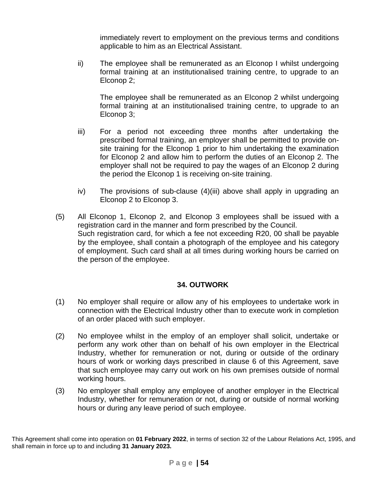immediately revert to employment on the previous terms and conditions applicable to him as an Electrical Assistant.

ii) The employee shall be remunerated as an Elconop I whilst undergoing formal training at an institutionalised training centre, to upgrade to an Elconop 2;

The employee shall be remunerated as an Elconop 2 whilst undergoing formal training at an institutionalised training centre, to upgrade to an Elconop 3;

- iii) For a period not exceeding three months after undertaking the prescribed formal training, an employer shall be permitted to provide onsite training for the Elconop 1 prior to him undertaking the examination for Elconop 2 and allow him to perform the duties of an Elconop 2. The employer shall not be required to pay the wages of an Elconop 2 during the period the Elconop 1 is receiving on-site training.
- iv) The provisions of sub-clause (4)(iii) above shall apply in upgrading an Elconop 2 to Elconop 3.
- (5) All Elconop 1, Elconop 2, and Elconop 3 employees shall be issued with a registration card in the manner and form prescribed by the Council. Such registration card, for which a fee not exceeding R20, 00 shall be payable by the employee, shall contain a photograph of the employee and his category of employment. Such card shall at all times during working hours be carried on the person of the employee.

# **34. OUTWORK**

- (1) No employer shall require or allow any of his employees to undertake work in connection with the Electrical Industry other than to execute work in completion of an order placed with such employer.
- (2) No employee whilst in the employ of an employer shall solicit, undertake or perform any work other than on behalf of his own employer in the Electrical Industry, whether for remuneration or not, during or outside of the ordinary hours of work or working days prescribed in clause 6 of this Agreement, save that such employee may carry out work on his own premises outside of normal working hours.
- (3) No employer shall employ any employee of another employer in the Electrical Industry, whether for remuneration or not, during or outside of normal working hours or during any leave period of such employee.

This Agreement shall come into operation on **01 February 2022**, in terms of section 32 of the Labour Relations Act, 1995, and shall remain in force up to and including **31 January 2023.**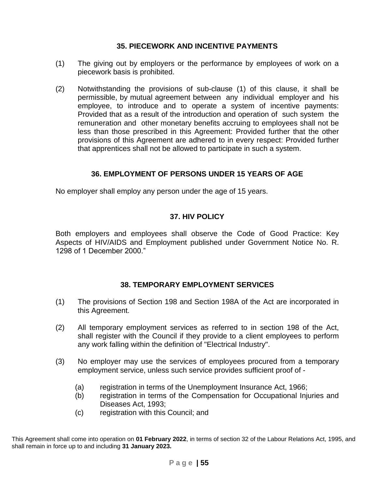### **35. PIECEWORK AND INCENTIVE PAYMENTS**

- (1) The giving out by employers or the performance by employees of work on a piecework basis is prohibited.
- (2) Notwithstanding the provisions of sub-clause (1) of this clause, it shall be permissible, by mutual agreement between any individual employer and his employee, to introduce and to operate a system of incentive payments: Provided that as a result of the introduction and operation of such system the remuneration and other monetary benefits accruing to employees shall not be less than those prescribed in this Agreement: Provided further that the other provisions of this Agreement are adhered to in every respect: Provided further that apprentices shall not be allowed to participate in such a system.

# **36. EMPLOYMENT OF PERSONS UNDER 15 YEARS OF AGE**

No employer shall employ any person under the age of 15 years.

#### **37. HIV POLICY**

Both employers and employees shall observe the Code of Good Practice: Key Aspects of HIV/AIDS and Employment published under Government Notice No. R. 1298 of 1 December 2000."

#### **38. TEMPORARY EMPLOYMENT SERVICES**

- (1) The provisions of Section 198 and Section 198A of the Act are incorporated in this Agreement.
- (2) All temporary employment services as referred to in section 198 of the Act, shall register with the Council if they provide to a client employees to perform any work falling within the definition of "Electrical Industry".
- (3) No employer may use the services of employees procured from a temporary employment service, unless such service provides sufficient proof of -
	- (a) registration in terms of the Unemployment Insurance Act, 1966;
	- (b) registration in terms of the Compensation for Occupational Injuries and Diseases Act, 1993;
	- (c) registration with this Council; and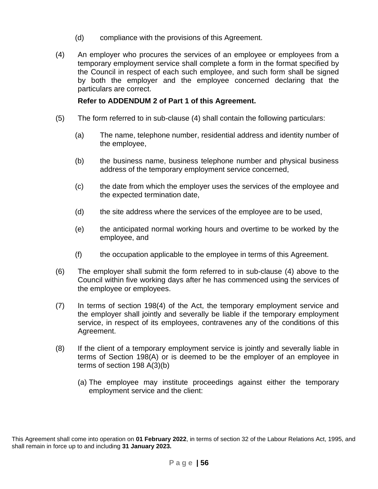- (d) compliance with the provisions of this Agreement.
- (4) An employer who procures the services of an employee or employees from a temporary employment service shall complete a form in the format specified by the Council in respect of each such employee, and such form shall be signed by both the employer and the employee concerned declaring that the particulars are correct.

### **Refer to ADDENDUM 2 of Part 1 of this Agreement.**

- (5) The form referred to in sub-clause (4) shall contain the following particulars:
	- (a) The name, telephone number, residential address and identity number of the employee,
	- (b) the business name, business telephone number and physical business address of the temporary employment service concerned,
	- (c) the date from which the employer uses the services of the employee and the expected termination date,
	- (d) the site address where the services of the employee are to be used,
	- (e) the anticipated normal working hours and overtime to be worked by the employee, and
	- (f) the occupation applicable to the employee in terms of this Agreement.
- (6) The employer shall submit the form referred to in sub-clause (4) above to the Council within five working days after he has commenced using the services of the employee or employees.
- (7) In terms of section 198(4) of the Act, the temporary employment service and the employer shall jointly and severally be liable if the temporary employment service, in respect of its employees, contravenes any of the conditions of this Agreement.
- (8) If the client of a temporary employment service is jointly and severally liable in terms of Section 198(A) or is deemed to be the employer of an employee in terms of section 198 A(3)(b)
	- (a) The employee may institute proceedings against either the temporary employment service and the client:

This Agreement shall come into operation on **01 February 2022**, in terms of section 32 of the Labour Relations Act, 1995, and shall remain in force up to and including **31 January 2023.**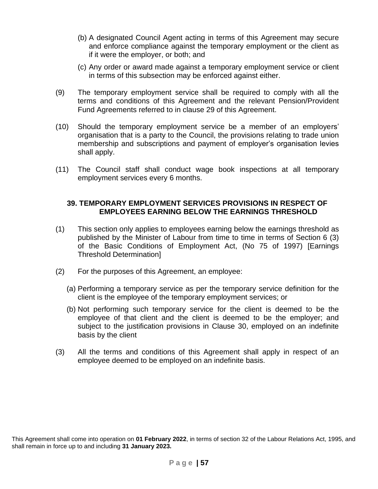- (b) A designated Council Agent acting in terms of this Agreement may secure and enforce compliance against the temporary employment or the client as if it were the employer, or both; and
- (c) Any order or award made against a temporary employment service or client in terms of this subsection may be enforced against either.
- (9) The temporary employment service shall be required to comply with all the terms and conditions of this Agreement and the relevant Pension/Provident Fund Agreements referred to in clause 29 of this Agreement.
- (10) Should the temporary employment service be a member of an employers' organisation that is a party to the Council, the provisions relating to trade union membership and subscriptions and payment of employer's organisation levies shall apply.
- (11) The Council staff shall conduct wage book inspections at all temporary employment services every 6 months.

#### **39. TEMPORARY EMPLOYMENT SERVICES PROVISIONS IN RESPECT OF EMPLOYEES EARNING BELOW THE EARNINGS THRESHOLD**

- (1) This section only applies to employees earning below the earnings threshold as published by the Minister of Labour from time to time in terms of Section 6 (3) of the Basic Conditions of Employment Act, (No 75 of 1997) [Earnings Threshold Determination]
- (2) For the purposes of this Agreement, an employee:
	- (a) Performing a temporary service as per the temporary service definition for the client is the employee of the temporary employment services; or
	- (b) Not performing such temporary service for the client is deemed to be the employee of that client and the client is deemed to be the employer; and subject to the justification provisions in Clause 30, employed on an indefinite basis by the client
- (3) All the terms and conditions of this Agreement shall apply in respect of an employee deemed to be employed on an indefinite basis.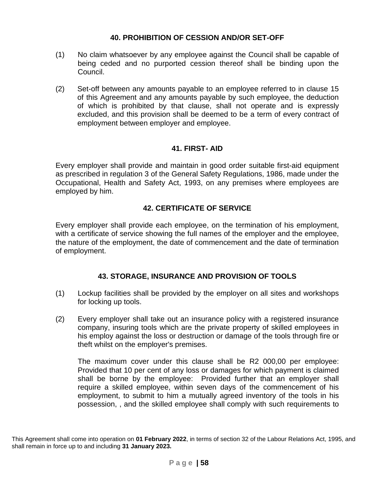### **40. PROHIBITION OF CESSION AND/OR SET-OFF**

- (1) No claim whatsoever by any employee against the Council shall be capable of being ceded and no purported cession thereof shall be binding upon the Council.
- (2) Set-off between any amounts payable to an employee referred to in clause 15 of this Agreement and any amounts payable by such employee, the deduction of which is prohibited by that clause, shall not operate and is expressly excluded, and this provision shall be deemed to be a term of every contract of employment between employer and employee.

### **41. FIRST- AID**

Every employer shall provide and maintain in good order suitable first-aid equipment as prescribed in regulation 3 of the General Safety Regulations, 1986, made under the Occupational, Health and Safety Act, 1993, on any premises where employees are employed by him.

### **42. CERTIFICATE OF SERVICE**

Every employer shall provide each employee, on the termination of his employment, with a certificate of service showing the full names of the employer and the employee, the nature of the employment, the date of commencement and the date of termination of employment.

# **43. STORAGE, INSURANCE AND PROVISION OF TOOLS**

- (1) Lockup facilities shall be provided by the employer on all sites and workshops for locking up tools.
- (2) Every employer shall take out an insurance policy with a registered insurance company, insuring tools which are the private property of skilled employees in his employ against the loss or destruction or damage of the tools through fire or theft whilst on the employer's premises.

The maximum cover under this clause shall be R2 000,00 per employee: Provided that 10 per cent of any loss or damages for which payment is claimed shall be borne by the employee: Provided further that an employer shall require a skilled employee, within seven days of the commencement of his employment, to submit to him a mutually agreed inventory of the tools in his possession, , and the skilled employee shall comply with such requirements to

This Agreement shall come into operation on **01 February 2022**, in terms of section 32 of the Labour Relations Act, 1995, and shall remain in force up to and including **31 January 2023.**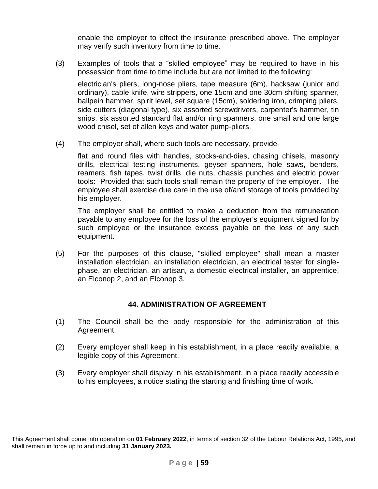enable the employer to effect the insurance prescribed above. The employer may verify such inventory from time to time.

(3) Examples of tools that a "skilled employee" may be required to have in his possession from time to time include but are not limited to the following:

electrician's pliers, long-nose pliers, tape measure (6m), hacksaw (junior and ordinary), cable knife, wire strippers, one 15cm and one 30cm shifting spanner, ballpein hammer, spirit level, set square (15cm), soldering iron, crimping pliers, side cutters (diagonal type), six assorted screwdrivers, carpenter's hammer, tin snips, six assorted standard flat and/or ring spanners, one small and one large wood chisel, set of allen keys and water pump-pliers.

(4) The employer shall, where such tools are necessary, provide-

flat and round files with handles, stocks-and-dies, chasing chisels, masonry drills, electrical testing instruments, geyser spanners, hole saws, benders, reamers, fish tapes, twist drills, die nuts, chassis punches and electric power tools: Provided that such tools shall remain the property of the employer. The employee shall exercise due care in the use of/and storage of tools provided by his employer.

The employer shall be entitled to make a deduction from the remuneration payable to any employee for the loss of the employer's equipment signed for by such employee or the insurance excess payable on the loss of any such equipment.

(5) For the purposes of this clause, "skilled employee" shall mean a master installation electrician, an installation electrician, an electrical tester for singlephase, an electrician, an artisan*,* a domestic electrical installer, an apprentice, an Elconop 2, and an Elconop 3*.*

#### **44. ADMINISTRATION OF AGREEMENT**

- (1) The Council shall be the body responsible for the administration of this Agreement.
- (2) Every employer shall keep in his establishment, in a place readily available, a legible copy of this Agreement.
- (3) Every employer shall display in his establishment, in a place readily accessible to his employees, a notice stating the starting and finishing time of work.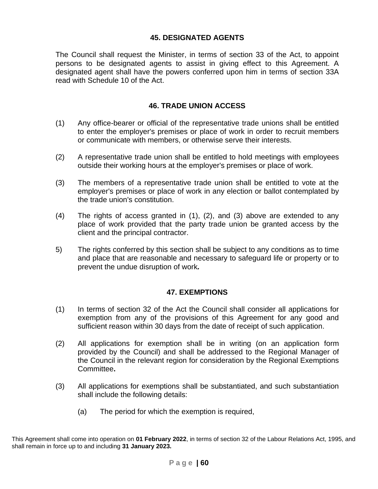### **45. DESIGNATED AGENTS**

The Council shall request the Minister, in terms of section 33 of the Act, to appoint persons to be designated agents to assist in giving effect to this Agreement. A designated agent shall have the powers conferred upon him in terms of section 33A read with Schedule 10 of the Act.

### **46. TRADE UNION ACCESS**

- (1) Any office-bearer or official of the representative trade unions shall be entitled to enter the employer's premises or place of work in order to recruit members or communicate with members, or otherwise serve their interests.
- (2) A representative trade union shall be entitled to hold meetings with employees outside their working hours at the employer's premises or place of work.
- (3) The members of a representative trade union shall be entitled to vote at the employer's premises or place of work in any election or ballot contemplated by the trade union's constitution.
- (4) The rights of access granted in (1), (2), and (3) above are extended to any place of work provided that the party trade union be granted access by the client and the principal contractor.
- 5) The rights conferred by this section shall be subject to any conditions as to time and place that are reasonable and necessary to safeguard life or property or to prevent the undue disruption of work*.*

#### **47. EXEMPTIONS**

- (1) In terms of section 32 of the Act the Council shall consider all applications for exemption from any of the provisions of this Agreement for any good and sufficient reason within 30 days from the date of receipt of such application.
- (2) All applications for exemption shall be in writing (on an application form provided by the Council) and shall be addressed to the Regional Manager of the Council in the relevant region for consideration by the Regional Exemptions Committee**.**
- (3) All applications for exemptions shall be substantiated, and such substantiation shall include the following details:
	- (a) The period for which the exemption is required,

This Agreement shall come into operation on **01 February 2022**, in terms of section 32 of the Labour Relations Act, 1995, and shall remain in force up to and including **31 January 2023.**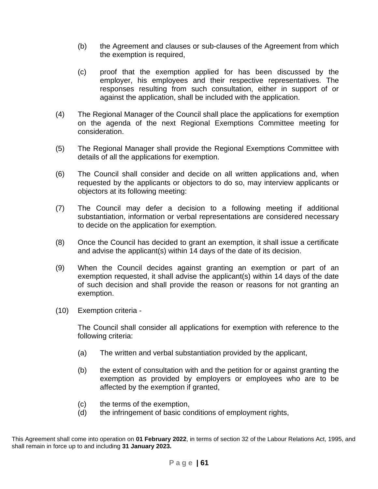- (b) the Agreement and clauses or sub-clauses of the Agreement from which the exemption is required,
- (c) proof that the exemption applied for has been discussed by the employer, his employees and their respective representatives. The responses resulting from such consultation, either in support of or against the application, shall be included with the application.
- (4) The Regional Manager of the Council shall place the applications for exemption on the agenda of the next Regional Exemptions Committee meeting for consideration.
- (5) The Regional Manager shall provide the Regional Exemptions Committee with details of all the applications for exemption.
- (6) The Council shall consider and decide on all written applications and, when requested by the applicants or objectors to do so, may interview applicants or objectors at its following meeting:
- (7) The Council may defer a decision to a following meeting if additional substantiation, information or verbal representations are considered necessary to decide on the application for exemption.
- (8) Once the Council has decided to grant an exemption, it shall issue a certificate and advise the applicant(s) within 14 days of the date of its decision.
- (9) When the Council decides against granting an exemption or part of an exemption requested, it shall advise the applicant(s) within 14 days of the date of such decision and shall provide the reason or reasons for not granting an exemption.
- (10) Exemption criteria -

The Council shall consider all applications for exemption with reference to the following criteria:

- (a) The written and verbal substantiation provided by the applicant,
- (b) the extent of consultation with and the petition for or against granting the exemption as provided by employers or employees who are to be affected by the exemption if granted,
- (c) the terms of the exemption,
- (d) the infringement of basic conditions of employment rights,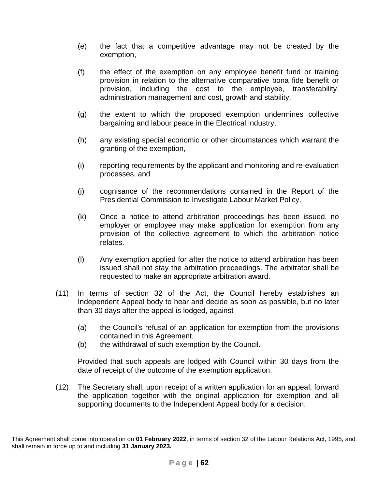- (e) the fact that a competitive advantage may not be created by the exemption,
- (f) the effect of the exemption on any employee benefit fund or training provision in relation to the alternative comparative bona fide benefit or provision, including the cost to the employee, transferability, administration management and cost, growth and stability,
- (g) the extent to which the proposed exemption undermines collective bargaining and labour peace in the Electrical industry,
- (h) any existing special economic or other circumstances which warrant the granting of the exemption,
- (i) reporting requirements by the applicant and monitoring and re-evaluation processes, and
- (j) cognisance of the recommendations contained in the Report of the Presidential Commission to Investigate Labour Market Policy.
- (k) Once a notice to attend arbitration proceedings has been issued, no employer or employee may make application for exemption from any provision of the collective agreement to which the arbitration notice relates.
- (l) Any exemption applied for after the notice to attend arbitration has been issued shall not stay the arbitration proceedings. The arbitrator shall be requested to make an appropriate arbitration award.
- (11) In terms of section 32 of the Act, the Council hereby establishes an Independent Appeal body to hear and decide as soon as possible, but no later than 30 days after the appeal is lodged, against –
	- (a) the Council's refusal of an application for exemption from the provisions contained in this Agreement,
	- (b) the withdrawal of such exemption by the Council.

Provided that such appeals are lodged with Council within 30 days from the date of receipt of the outcome of the exemption application.

(12) The Secretary shall, upon receipt of a written application for an appeal, forward the application together with the original application for exemption and all supporting documents to the Independent Appeal body for a decision.

This Agreement shall come into operation on **01 February 2022**, in terms of section 32 of the Labour Relations Act, 1995, and shall remain in force up to and including **31 January 2023.**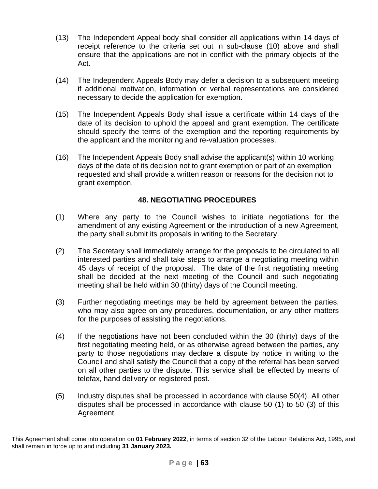- (13) The Independent Appeal body shall consider all applications within 14 days of receipt reference to the criteria set out in sub-clause (10) above and shall ensure that the applications are not in conflict with the primary objects of the Act.
- (14) The Independent Appeals Body may defer a decision to a subsequent meeting if additional motivation, information or verbal representations are considered necessary to decide the application for exemption.
- (15) The Independent Appeals Body shall issue a certificate within 14 days of the date of its decision to uphold the appeal and grant exemption. The certificate should specify the terms of the exemption and the reporting requirements by the applicant and the monitoring and re-valuation processes.
- (16) The Independent Appeals Body shall advise the applicant(s) within 10 working days of the date of its decision not to grant exemption or part of an exemption requested and shall provide a written reason or reasons for the decision not to grant exemption.

# **48. NEGOTIATING PROCEDURES**

- (1) Where any party to the Council wishes to initiate negotiations for the amendment of any existing Agreement or the introduction of a new Agreement, the party shall submit its proposals in writing to the Secretary.
- (2) The Secretary shall immediately arrange for the proposals to be circulated to all interested parties and shall take steps to arrange a negotiating meeting within 45 days of receipt of the proposal. The date of the first negotiating meeting shall be decided at the next meeting of the Council and such negotiating meeting shall be held within 30 (thirty) days of the Council meeting.
- (3) Further negotiating meetings may be held by agreement between the parties, who may also agree on any procedures, documentation, or any other matters for the purposes of assisting the negotiations.
- (4) If the negotiations have not been concluded within the 30 (thirty) days of the first negotiating meeting held, or as otherwise agreed between the parties, any party to those negotiations may declare a dispute by notice in writing to the Council and shall satisfy the Council that a copy of the referral has been served on all other parties to the dispute. This service shall be effected by means of telefax, hand delivery or registered post.
- (5) Industry disputes shall be processed in accordance with clause 50(4). All other disputes shall be processed in accordance with clause 50 (1) to 50 (3) of this Agreement.

This Agreement shall come into operation on **01 February 2022**, in terms of section 32 of the Labour Relations Act, 1995, and shall remain in force up to and including **31 January 2023.**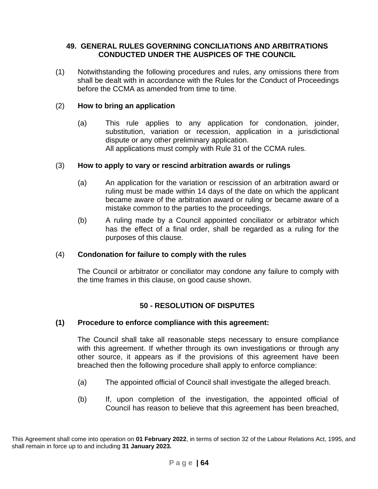### **49. GENERAL RULES GOVERNING CONCILIATIONS AND ARBITRATIONS CONDUCTED UNDER THE AUSPICES OF THE COUNCIL**

(1) Notwithstanding the following procedures and rules, any omissions there from shall be dealt with in accordance with the Rules for the Conduct of Proceedings before the CCMA as amended from time to time.

### (2) **How to bring an application**

(a) This rule applies to any application for condonation, joinder, substitution, variation or recession, application in a jurisdictional dispute or any other preliminary application. All applications must comply with Rule 31 of the CCMA rules.

#### (3) **How to apply to vary or rescind arbitration awards or rulings**

- (a) An application for the variation or rescission of an arbitration award or ruling must be made within 14 days of the date on which the applicant became aware of the arbitration award or ruling or became aware of a mistake common to the parties to the proceedings.
- (b) A ruling made by a Council appointed conciliator or arbitrator which has the effect of a final order, shall be regarded as a ruling for the purposes of this clause.

#### (4) **Condonation for failure to comply with the rules**

The Council or arbitrator or conciliator may condone any failure to comply with the time frames in this clause, on good cause shown.

# **50 - RESOLUTION OF DISPUTES**

#### **(1) Procedure to enforce compliance with this agreement:**

The Council shall take all reasonable steps necessary to ensure compliance with this agreement. If whether through its own investigations or through any other source, it appears as if the provisions of this agreement have been breached then the following procedure shall apply to enforce compliance:

- (a) The appointed official of Council shall investigate the alleged breach.
- (b) If, upon completion of the investigation, the appointed official of Council has reason to believe that this agreement has been breached,

This Agreement shall come into operation on **01 February 2022**, in terms of section 32 of the Labour Relations Act, 1995, and shall remain in force up to and including **31 January 2023.**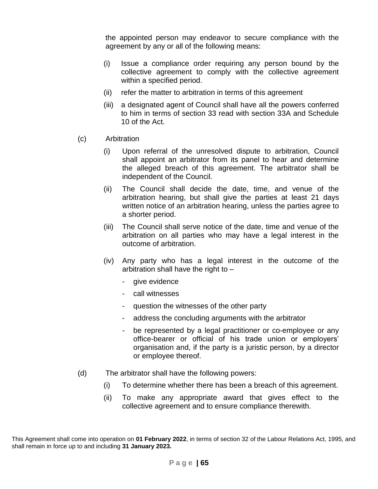the appointed person may endeavor to secure compliance with the agreement by any or all of the following means:

- (i) Issue a compliance order requiring any person bound by the collective agreement to comply with the collective agreement within a specified period.
- (ii) refer the matter to arbitration in terms of this agreement
- (iii) a designated agent of Council shall have all the powers conferred to him in terms of section 33 read with section 33A and Schedule 10 of the Act.
- (c) Arbitration
	- (i) Upon referral of the unresolved dispute to arbitration, Council shall appoint an arbitrator from its panel to hear and determine the alleged breach of this agreement. The arbitrator shall be independent of the Council.
	- (ii) The Council shall decide the date, time, and venue of the arbitration hearing, but shall give the parties at least 21 days written notice of an arbitration hearing, unless the parties agree to a shorter period.
	- (iii) The Council shall serve notice of the date, time and venue of the arbitration on all parties who may have a legal interest in the outcome of arbitration.
	- (iv) Any party who has a legal interest in the outcome of the arbitration shall have the right to  $$ 
		- give evidence
		- call witnesses
		- question the witnesses of the other party
		- address the concluding arguments with the arbitrator
		- be represented by a legal practitioner or co-employee or any office-bearer or official of his trade union or employers' organisation and, if the party is a juristic person, by a director or employee thereof.
- (d) The arbitrator shall have the following powers:
	- (i) To determine whether there has been a breach of this agreement.
	- (ii) To make any appropriate award that gives effect to the collective agreement and to ensure compliance therewith.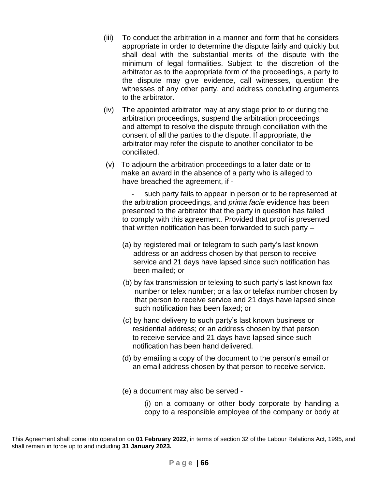- (iii) To conduct the arbitration in a manner and form that he considers appropriate in order to determine the dispute fairly and quickly but shall deal with the substantial merits of the dispute with the minimum of legal formalities. Subject to the discretion of the arbitrator as to the appropriate form of the proceedings, a party to the dispute may give evidence, call witnesses, question the witnesses of any other party, and address concluding arguments to the arbitrator.
- (iv) The appointed arbitrator may at any stage prior to or during the arbitration proceedings, suspend the arbitration proceedings and attempt to resolve the dispute through conciliation with the consent of all the parties to the dispute. If appropriate, the arbitrator may refer the dispute to another conciliator to be conciliated.
- (v) To adjourn the arbitration proceedings to a later date or to make an award in the absence of a party who is alleged to have breached the agreement, if -

such party fails to appear in person or to be represented at the arbitration proceedings, and *prima facie* evidence has been presented to the arbitrator that the party in question has failed to comply with this agreement. Provided that proof is presented that written notification has been forwarded to such party –

- (a) by registered mail or telegram to such party's last known address or an address chosen by that person to receive service and 21 days have lapsed since such notification has been mailed; or
- (b) by fax transmission or telexing to such party's last known fax number or telex number; or a fax or telefax number chosen by that person to receive service and 21 days have lapsed since such notification has been faxed; or
- (c) by hand delivery to such party's last known business or residential address; or an address chosen by that person to receive service and 21 days have lapsed since such notification has been hand delivered.
- (d) by emailing a copy of the document to the person's email or an email address chosen by that person to receive service.
- (e) a document may also be served -

(i) on a company or other body corporate by handing a copy to a responsible employee of the company or body at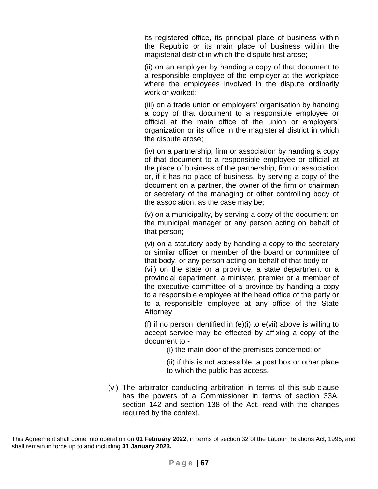its registered office, its principal place of business within the Republic or its main place of business within the magisterial district in which the dispute first arose;

(ii) on an employer by handing a copy of that document to a responsible employee of the employer at the workplace where the employees involved in the dispute ordinarily work or worked;

(iii) on a trade union or employers' organisation by handing a copy of that document to a responsible employee or official at the main office of the union or employers' organization or its office in the magisterial district in which the dispute arose;

(iv) on a partnership, firm or association by handing a copy of that document to a responsible employee or official at the place of business of the partnership, firm or association or, if it has no place of business, by serving a copy of the document on a partner, the owner of the firm or chairman or secretary of the managing or other controlling body of the association, as the case may be;

(v) on a municipality, by serving a copy of the document on the municipal manager or any person acting on behalf of that person;

(vi) on a statutory body by handing a copy to the secretary or similar officer or member of the board or committee of that body, or any person acting on behalf of that body or (vii) on the state or a province, a state department or a provincial department, a minister, premier or a member of the executive committee of a province by handing a copy to a responsible employee at the head office of the party or to a responsible employee at any office of the State Attorney.

(f) if no person identified in (e)(i) to e(vii) above is willing to accept service may be effected by affixing a copy of the document to -

(i) the main door of the premises concerned; or

(ii) if this is not accessible, a post box or other place to which the public has access.

(vi) The arbitrator conducting arbitration in terms of this sub-clause has the powers of a Commissioner in terms of section 33A, section 142 and section 138 of the Act, read with the changes required by the context.

This Agreement shall come into operation on **01 February 2022**, in terms of section 32 of the Labour Relations Act, 1995, and shall remain in force up to and including **31 January 2023.**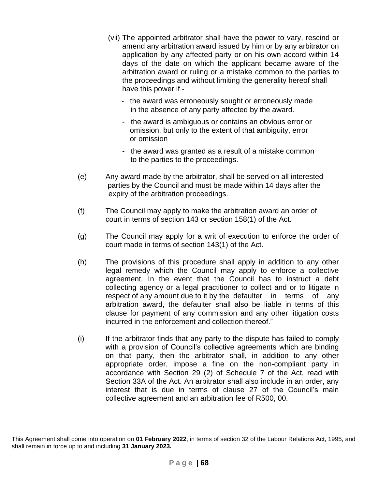- (vii) The appointed arbitrator shall have the power to vary, rescind or amend any arbitration award issued by him or by any arbitrator on application by any affected party or on his own accord within 14 days of the date on which the applicant became aware of the arbitration award or ruling or a mistake common to the parties to the proceedings and without limiting the generality hereof shall have this power if -
	- the award was erroneously sought or erroneously made in the absence of any party affected by the award.
	- the award is ambiguous or contains an obvious error or omission, but only to the extent of that ambiguity, error or omission
	- the award was granted as a result of a mistake common to the parties to the proceedings.
- (e) Any award made by the arbitrator, shall be served on all interested parties by the Council and must be made within 14 days after the expiry of the arbitration proceedings.
- (f) The Council may apply to make the arbitration award an order of court in terms of section 143 or section 158(1) of the Act.
- (g) The Council may apply for a writ of execution to enforce the order of court made in terms of section 143(1) of the Act.
- (h) The provisions of this procedure shall apply in addition to any other legal remedy which the Council may apply to enforce a collective agreement. In the event that the Council has to instruct a debt collecting agency or a legal practitioner to collect and or to litigate in respect of any amount due to it by the defaulter in terms of any arbitration award, the defaulter shall also be liable in terms of this clause for payment of any commission and any other litigation costs incurred in the enforcement and collection thereof."
- (i) If the arbitrator finds that any party to the dispute has failed to comply with a provision of Council's collective agreements which are binding on that party, then the arbitrator shall, in addition to any other appropriate order, impose a fine on the non-compliant party in accordance with Section 29 (2) of Schedule 7 of the Act, read with Section 33A of the Act. An arbitrator shall also include in an order, any interest that is due in terms of clause 27 of the Council's main collective agreement and an arbitration fee of R500, 00.

This Agreement shall come into operation on **01 February 2022**, in terms of section 32 of the Labour Relations Act, 1995, and shall remain in force up to and including **31 January 2023.**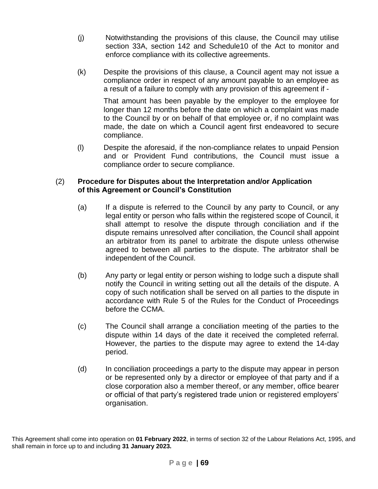- (j) Notwithstanding the provisions of this clause, the Council may utilise section 33A, section 142 and Schedule10 of the Act to monitor and enforce compliance with its collective agreements.
- (k) Despite the provisions of this clause, a Council agent may not issue a compliance order in respect of any amount payable to an employee as a result of a failure to comply with any provision of this agreement if -

That amount has been payable by the employer to the employee for longer than 12 months before the date on which a complaint was made to the Council by or on behalf of that employee or, if no complaint was made, the date on which a Council agent first endeavored to secure compliance.

(l) Despite the aforesaid, if the non-compliance relates to unpaid Pension and or Provident Fund contributions, the Council must issue a compliance order to secure compliance.

#### (2) **Procedure for Disputes about the Interpretation and/or Application of this Agreement or Council's Constitution**

- (a) If a dispute is referred to the Council by any party to Council, or any legal entity or person who falls within the registered scope of Council, it shall attempt to resolve the dispute through conciliation and if the dispute remains unresolved after conciliation, the Council shall appoint an arbitrator from its panel to arbitrate the dispute unless otherwise agreed to between all parties to the dispute. The arbitrator shall be independent of the Council.
- (b) Any party or legal entity or person wishing to lodge such a dispute shall notify the Council in writing setting out all the details of the dispute. A copy of such notification shall be served on all parties to the dispute in accordance with Rule 5 of the Rules for the Conduct of Proceedings before the CCMA.
- (c) The Council shall arrange a conciliation meeting of the parties to the dispute within 14 days of the date it received the completed referral. However, the parties to the dispute may agree to extend the 14-day period.
- (d) In conciliation proceedings a party to the dispute may appear in person or be represented only by a director or employee of that party and if a close corporation also a member thereof, or any member, office bearer or official of that party's registered trade union or registered employers' organisation.

This Agreement shall come into operation on **01 February 2022**, in terms of section 32 of the Labour Relations Act, 1995, and shall remain in force up to and including **31 January 2023.**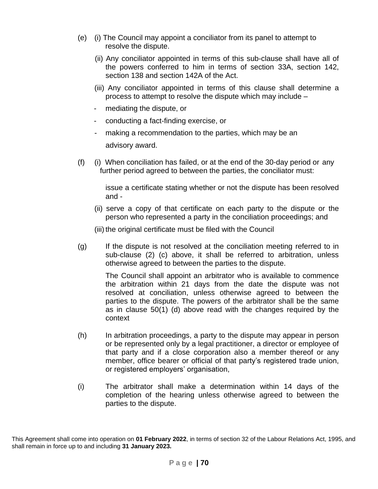- (e) (i) The Council may appoint a conciliator from its panel to attempt to resolve the dispute.
	- (ii) Any conciliator appointed in terms of this sub-clause shall have all of the powers conferred to him in terms of section 33A, section 142, section 138 and section 142A of the Act.
	- (iii) Any conciliator appointed in terms of this clause shall determine a process to attempt to resolve the dispute which may include –
	- mediating the dispute, or
	- conducting a fact-finding exercise, or
	- making a recommendation to the parties, which may be an advisory award.
- (f) (i) When conciliation has failed, or at the end of the 30-day period or any further period agreed to between the parties, the conciliator must:

issue a certificate stating whether or not the dispute has been resolved and -

- (ii) serve a copy of that certificate on each party to the dispute or the person who represented a party in the conciliation proceedings; and
- (iii) the original certificate must be filed with the Council
- (g) If the dispute is not resolved at the conciliation meeting referred to in sub-clause (2) (c) above, it shall be referred to arbitration, unless otherwise agreed to between the parties to the dispute.

The Council shall appoint an arbitrator who is available to commence the arbitration within 21 days from the date the dispute was not resolved at conciliation, unless otherwise agreed to between the parties to the dispute. The powers of the arbitrator shall be the same as in clause 50(1) (d) above read with the changes required by the context

- (h) In arbitration proceedings, a party to the dispute may appear in person or be represented only by a legal practitioner, a director or employee of that party and if a close corporation also a member thereof or any member, office bearer or official of that party's registered trade union, or registered employers' organisation,
- (i) The arbitrator shall make a determination within 14 days of the completion of the hearing unless otherwise agreed to between the parties to the dispute.

This Agreement shall come into operation on **01 February 2022**, in terms of section 32 of the Labour Relations Act, 1995, and shall remain in force up to and including **31 January 2023.**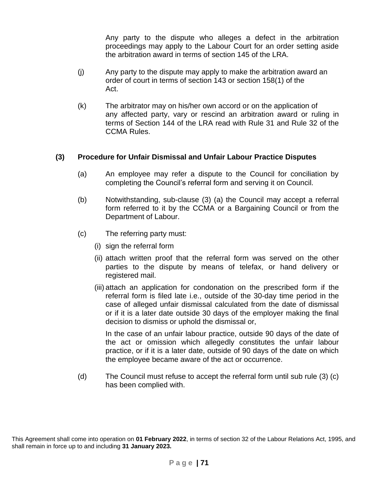Any party to the dispute who alleges a defect in the arbitration proceedings may apply to the Labour Court for an order setting aside the arbitration award in terms of section 145 of the LRA.

- (j) Any party to the dispute may apply to make the arbitration award an order of court in terms of section 143 or section 158(1) of the Act.
- (k) The arbitrator may on his/her own accord or on the application of any affected party, vary or rescind an arbitration award or ruling in terms of Section 144 of the LRA read with Rule 31 and Rule 32 of the CCMA Rules.

### **(3) Procedure for Unfair Dismissal and Unfair Labour Practice Disputes**

- (a) An employee may refer a dispute to the Council for conciliation by completing the Council's referral form and serving it on Council.
- (b) Notwithstanding, sub-clause (3) (a) the Council may accept a referral form referred to it by the CCMA or a Bargaining Council or from the Department of Labour.
- (c) The referring party must:
	- (i) sign the referral form
	- (ii) attach written proof that the referral form was served on the other parties to the dispute by means of telefax, or hand delivery or registered mail.
	- (iii) attach an application for condonation on the prescribed form if the referral form is filed late i.e., outside of the 30-day time period in the case of alleged unfair dismissal calculated from the date of dismissal or if it is a later date outside 30 days of the employer making the final decision to dismiss or uphold the dismissal or,

In the case of an unfair labour practice, outside 90 days of the date of the act or omission which allegedly constitutes the unfair labour practice, or if it is a later date, outside of 90 days of the date on which the employee became aware of the act or occurrence.

(d) The Council must refuse to accept the referral form until sub rule (3) (c) has been complied with.

This Agreement shall come into operation on **01 February 2022**, in terms of section 32 of the Labour Relations Act, 1995, and shall remain in force up to and including **31 January 2023.**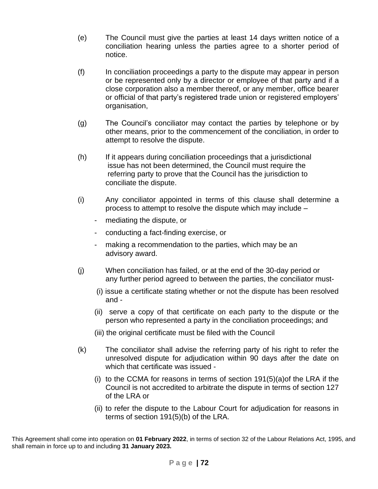- (e) The Council must give the parties at least 14 days written notice of a conciliation hearing unless the parties agree to a shorter period of notice.
- (f) In conciliation proceedings a party to the dispute may appear in person or be represented only by a director or employee of that party and if a close corporation also a member thereof, or any member, office bearer or official of that party's registered trade union or registered employers' organisation,
- (g) The Council's conciliator may contact the parties by telephone or by other means, prior to the commencement of the conciliation, in order to attempt to resolve the dispute.
- (h) If it appears during conciliation proceedings that a jurisdictional issue has not been determined, the Council must require the referring party to prove that the Council has the jurisdiction to conciliate the dispute.
- (i) Any conciliator appointed in terms of this clause shall determine a process to attempt to resolve the dispute which may include –
	- mediating the dispute, or
	- conducting a fact-finding exercise, or
	- making a recommendation to the parties, which may be an advisory award.
- (j) When conciliation has failed, or at the end of the 30-day period or any further period agreed to between the parties, the conciliator must-
	- (i) issue a certificate stating whether or not the dispute has been resolved and -
	- (ii) serve a copy of that certificate on each party to the dispute or the person who represented a party in the conciliation proceedings; and
	- (iii) the original certificate must be filed with the Council
- (k) The conciliator shall advise the referring party of his right to refer the unresolved dispute for adjudication within 90 days after the date on which that certificate was issued -
	- (i) to the CCMA for reasons in terms of section 191(5)(a)of the LRA if the Council is not accredited to arbitrate the dispute in terms of section 127 of the LRA or
	- (ii) to refer the dispute to the Labour Court for adjudication for reasons in terms of section 191(5)(b) of the LRA.

This Agreement shall come into operation on **01 February 2022**, in terms of section 32 of the Labour Relations Act, 1995, and shall remain in force up to and including **31 January 2023.**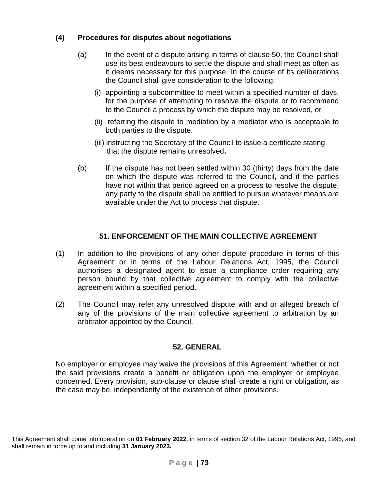# **(4) Procedures for disputes about negotiations**

- (a) In the event of a dispute arising in terms of clause 50, the Council shall use its best endeavours to settle the dispute and shall meet as often as it deems necessary for this purpose. In the course of its deliberations the Council shall give consideration to the following:
	- (i) appointing a subcommittee to meet within a specified number of days, for the purpose of attempting to resolve the dispute or to recommend to the Council a process by which the dispute may be resolved, or
	- (ii) referring the dispute to mediation by a mediator who is acceptable to both parties to the dispute.
	- (iii) instructing the Secretary of the Council to issue a certificate stating that the dispute remains unresolved**.**
- (b) If the dispute has not been settled within 30 (thirty) days from the date on which the dispute was referred to the Council, and if the parties have not within that period agreed on a process to resolve the dispute, any party to the dispute shall be entitled to pursue whatever means are available under the Act to process that dispute.

# **51. ENFORCEMENT OF THE MAIN COLLECTIVE AGREEMENT**

- (1) In addition to the provisions of any other dispute procedure in terms of this Agreement or in terms of the Labour Relations Act, 1995, the Council authorises a designated agent to issue a compliance order requiring any person bound by that collective agreement to comply with the collective agreement within a specified period.
- (2) The Council may refer any unresolved dispute with and or alleged breach of any of the provisions of the main collective agreement to arbitration by an arbitrator appointed by the Council.

### **52. GENERAL**

No employer or employee may waive the provisions of this Agreement, whether or not the said provisions create a benefit or obligation upon the employer or employee concerned. Every provision, sub-clause or clause shall create a right or obligation, as the case may be, independently of the existence of other provisions.

This Agreement shall come into operation on **01 February 2022**, in terms of section 32 of the Labour Relations Act, 1995, and shall remain in force up to and including **31 January 2023.**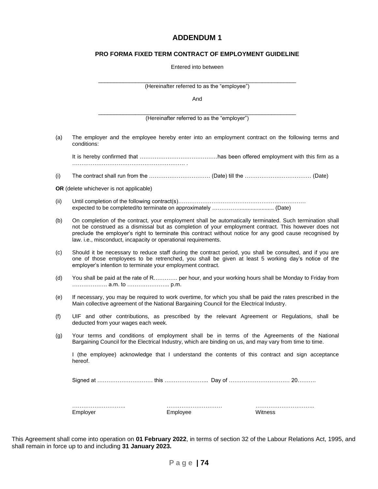#### **ADDENDUM 1**

#### **PRO FORMA FIXED TERM CONTRACT OF EMPLOYMENT GUIDELINE**

|  | Entered into between |
|--|----------------------|
|  |                      |

|      | (Hereinafter referred to as the "employee")                                                                                                                                                                                                                                                                                                                                                    |
|------|------------------------------------------------------------------------------------------------------------------------------------------------------------------------------------------------------------------------------------------------------------------------------------------------------------------------------------------------------------------------------------------------|
|      | And                                                                                                                                                                                                                                                                                                                                                                                            |
|      | (Hereinafter referred to as the "employer")                                                                                                                                                                                                                                                                                                                                                    |
| (a)  | The employer and the employee hereby enter into an employment contract on the following terms and<br>conditions:                                                                                                                                                                                                                                                                               |
|      |                                                                                                                                                                                                                                                                                                                                                                                                |
| (i)  |                                                                                                                                                                                                                                                                                                                                                                                                |
|      | OR (delete whichever is not applicable)                                                                                                                                                                                                                                                                                                                                                        |
| (ii) |                                                                                                                                                                                                                                                                                                                                                                                                |
| (b)  | On completion of the contract, your employment shall be automatically terminated. Such termination shall<br>not be construed as a dismissal but as completion of your employment contract. This however does not<br>preclude the employer's right to terminate this contract without notice for any good cause recognised by<br>law. i.e., misconduct, incapacity or operational requirements. |
| (c)  | Should it be necessary to reduce staff during the contract period, you shall be consulted, and if you are<br>one of those employees to be retrenched, you shall be given at least 5 working day's notice of the<br>employer's intention to terminate your employment contract.                                                                                                                 |
| (d)  | You shall be paid at the rate of R per hour, and your working hours shall be Monday to Friday from                                                                                                                                                                                                                                                                                             |
| (e)  | If necessary, you may be required to work overtime, for which you shall be paid the rates prescribed in the<br>Main collective agreement of the National Bargaining Council for the Electrical Industry.                                                                                                                                                                                       |
| (f)  | UIF and other contributions, as prescribed by the relevant Agreement or Regulations, shall be<br>deducted from your wages each week.                                                                                                                                                                                                                                                           |
| (g)  | Your terms and conditions of employment shall be in terms of the Agreements of the National<br>Bargaining Council for the Electrical Industry, which are binding on us, and may vary from time to time.                                                                                                                                                                                        |
|      | I (the employee) acknowledge that I understand the contents of this contract and sign acceptance<br>hereof.                                                                                                                                                                                                                                                                                    |
|      |                                                                                                                                                                                                                                                                                                                                                                                                |
|      | Employer<br>Employee<br>Witness                                                                                                                                                                                                                                                                                                                                                                |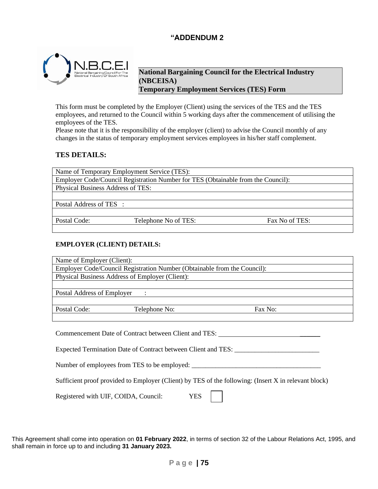### **"ADDENDUM 2**



**National Bargaining Council for the Electrical Industry (NBCEISA) Temporary Employment Services (TES) Form**

This form must be completed by the Employer (Client) using the services of the TES and the TES employees, and returned to the Council within 5 working days after the commencement of utilising the employees of the TES.

Please note that it is the responsibility of the employer (client) to advise the Council monthly of any changes in the status of temporary employment services employees in his/her staff complement.

#### **TES DETAILS:**

Name of Temporary Employment Service (TES): Employer Code/Council Registration Number for TES (Obtainable from the Council): Physical Business Address of TES:

Postal Address of TES :

Postal Code: Telephone No of TES: Fax No of TES:

#### **EMPLOYER (CLIENT) DETAILS:**

| Name of Employer (Client):                                                                           |                                                                          |         |
|------------------------------------------------------------------------------------------------------|--------------------------------------------------------------------------|---------|
|                                                                                                      | Employer Code/Council Registration Number (Obtainable from the Council): |         |
|                                                                                                      | Physical Business Address of Employer (Client):                          |         |
|                                                                                                      |                                                                          |         |
| Postal Address of Employer                                                                           | $\sim$ 1.                                                                |         |
|                                                                                                      |                                                                          |         |
| Postal Code:                                                                                         | Telephone No:                                                            | Fax No: |
|                                                                                                      |                                                                          |         |
|                                                                                                      | Commencement Date of Contract between Client and TES:                    |         |
|                                                                                                      | Expected Termination Date of Contract between Client and TES:            |         |
| Number of employees from TES to be employed:                                                         |                                                                          |         |
| Sufficient proof provided to Employer (Client) by TES of the following: (Insert X in relevant block) |                                                                          |         |

Registered with UIF, COIDA, Council: YES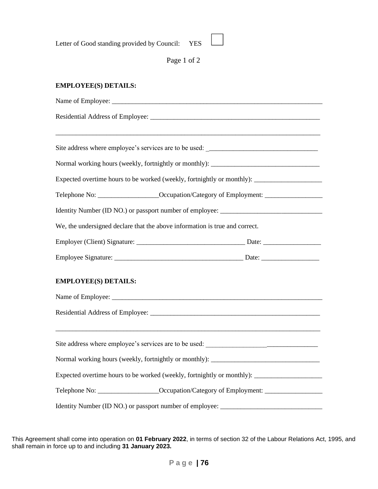Letter of Good standing provided by Council: YES

Page 1 of 2

#### **EMPLOYEE(S) DETAILS:**

Name of Employee: Residential Address of Employee: \_\_\_\_\_\_\_\_\_\_\_\_\_\_\_\_\_\_\_\_\_\_\_\_\_\_\_\_\_\_\_\_\_\_\_\_\_\_\_\_\_\_\_\_\_\_\_\_\_\_\_\_\_\_\_\_\_\_\_\_\_\_\_\_\_\_\_\_\_\_\_\_\_\_\_\_\_\_ Site address where employee's services are to be used: Normal working hours (weekly, fortnightly or monthly): Expected overtime hours to be worked (weekly, fortnightly or monthly): \_\_\_\_\_\_\_\_\_\_\_\_\_\_\_\_\_\_\_\_ Telephone No: \_\_\_\_\_\_\_\_\_\_\_\_\_\_\_\_\_\_Occupation/Category of Employment: \_\_\_\_\_\_\_\_\_\_\_\_\_\_\_\_\_ Identity Number (ID NO.) or passport number of employee: \_\_\_\_\_\_\_\_\_\_\_\_\_\_\_\_\_\_\_\_\_\_\_\_\_\_\_\_\_\_ We, the undersigned declare that the above information is true and correct. Employer (Client) Signature: \_\_\_\_\_\_\_\_\_\_\_\_\_\_\_\_\_\_\_\_\_\_\_\_\_\_\_\_\_\_\_\_ Date: \_\_\_\_\_\_\_\_\_\_\_\_\_\_\_\_\_ Employee Signature: \_\_\_\_\_\_\_\_\_\_\_\_\_\_\_\_\_\_\_\_\_\_\_\_\_\_\_\_\_\_\_\_\_\_\_\_\_\_ Date: \_\_\_\_\_\_\_\_\_\_\_\_\_\_\_\_\_ **EMPLOYEE(S) DETAILS:** Name of Employee: Residential Address of Employee: \_\_\_\_\_\_\_\_\_\_\_\_\_\_\_\_\_\_\_\_\_\_\_\_\_\_\_\_\_\_\_\_\_\_\_\_\_\_\_\_\_\_\_\_\_\_\_\_\_\_ \_\_\_\_\_\_\_\_\_\_\_\_\_\_\_\_\_\_\_\_\_\_\_\_\_\_\_\_\_\_\_\_\_\_\_\_\_\_\_\_\_\_\_\_\_\_\_\_\_\_\_\_\_\_\_\_\_\_\_\_\_\_\_\_\_\_\_\_\_\_\_\_\_\_\_\_\_\_ Site address where employee's services are to be used: Normal working hours (weekly, fortnightly or monthly): \_\_\_\_\_\_\_\_\_\_\_\_\_\_\_\_\_\_\_\_\_\_\_\_\_\_ Expected overtime hours to be worked (weekly, fortnightly or monthly): \_\_\_\_\_\_\_\_\_\_\_\_\_\_\_\_\_\_\_\_ Telephone No: \_\_\_\_\_\_\_\_\_\_\_\_\_\_\_\_\_\_Occupation/Category of Employment: \_\_\_\_\_\_\_\_\_\_\_\_\_\_\_\_\_ Identity Number (ID NO.) or passport number of employee: \_\_\_\_\_\_\_\_\_\_\_\_\_\_\_\_\_\_\_\_\_\_\_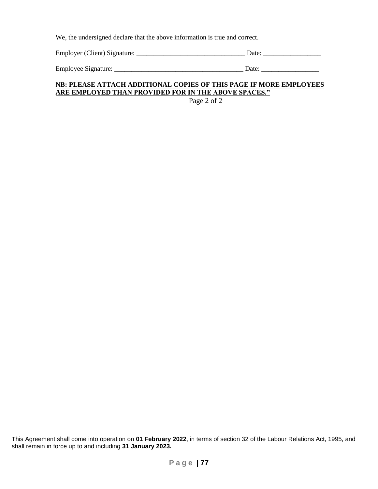We, the undersigned declare that the above information is true and correct.

Employer (Client) Signature: \_\_\_\_\_\_\_\_\_\_\_\_\_\_\_\_\_\_\_\_\_\_\_\_\_\_\_\_\_\_\_\_ Date: \_\_\_\_\_\_\_\_\_\_\_\_\_\_\_\_\_

Employee Signature: \_\_\_\_\_\_\_\_\_\_\_\_\_\_\_\_\_\_\_\_\_\_\_\_\_\_\_\_\_\_\_\_\_\_\_\_\_\_ Date: \_\_\_\_\_\_\_\_\_\_\_\_\_\_\_\_\_

#### **NB: PLEASE ATTACH ADDITIONAL COPIES OF THIS PAGE IF MORE EMPLOYEES ARE EMPLOYED THAN PROVIDED FOR IN THE ABOVE SPACES."**

Page 2 of 2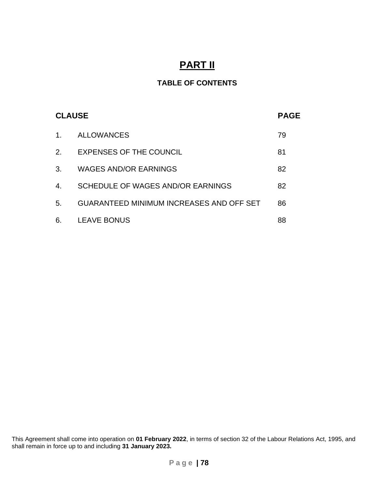# **PART II**

# **TABLE OF CONTENTS**

|                | <b>CLAUSE</b>                                   | <b>PAGE</b> |
|----------------|-------------------------------------------------|-------------|
| $\mathbf{1}$ . | <b>ALLOWANCES</b>                               | 79          |
| 2.             | EXPENSES OF THE COUNCIL                         | 81          |
| 3.             | <b>WAGES AND/OR EARNINGS</b>                    | 82          |
| 4.             | SCHEDULE OF WAGES AND/OR EARNINGS               | 82          |
| 5.             | <b>GUARANTEED MINIMUM INCREASES AND OFF SET</b> | 86          |
| 6.             | <b>LEAVE BONUS</b>                              | 88          |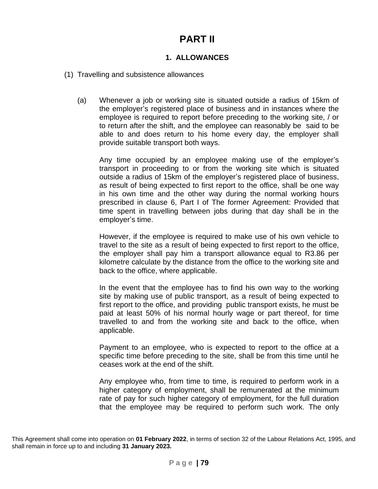# **PART II**

# **1. ALLOWANCES**

- (1) Travelling and subsistence allowances
	- (a) Whenever a job or working site is situated outside a radius of 15km of the employer's registered place of business and in instances where the employee is required to report before preceding to the working site, / or to return after the shift, and the employee can reasonably be said to be able to and does return to his home every day, the employer shall provide suitable transport both ways.

Any time occupied by an employee making use of the employer's transport in proceeding to or from the working site which is situated outside a radius of 15km of the employer's registered place of business, as result of being expected to first report to the office, shall be one way in his own time and the other way during the normal working hours prescribed in clause 6, Part I of The former Agreement: Provided that time spent in travelling between jobs during that day shall be in the employer's time.

However, if the employee is required to make use of his own vehicle to travel to the site as a result of being expected to first report to the office, the employer shall pay him a transport allowance equal to R3.86 per kilometre calculate by the distance from the office to the working site and back to the office, where applicable.

In the event that the employee has to find his own way to the working site by making use of public transport, as a result of being expected to first report to the office, and providing public transport exists, he must be paid at least 50% of his normal hourly wage or part thereof, for time travelled to and from the working site and back to the office, when applicable.

Payment to an employee, who is expected to report to the office at a specific time before preceding to the site, shall be from this time until he ceases work at the end of the shift.

Any employee who, from time to time, is required to perform work in a higher category of employment, shall be remunerated at the minimum rate of pay for such higher category of employment, for the full duration that the employee may be required to perform such work. The only

This Agreement shall come into operation on **01 February 2022**, in terms of section 32 of the Labour Relations Act, 1995, and shall remain in force up to and including **31 January 2023.**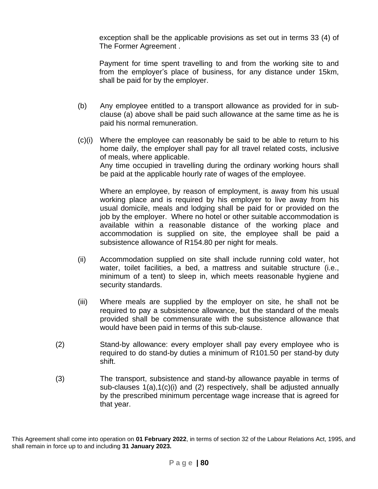exception shall be the applicable provisions as set out in terms 33 (4) of The Former Agreement .

Payment for time spent travelling to and from the working site to and from the employer's place of business, for any distance under 15km, shall be paid for by the employer.

- (b) Any employee entitled to a transport allowance as provided for in subclause (a) above shall be paid such allowance at the same time as he is paid his normal remuneration.
- (c)(i) Where the employee can reasonably be said to be able to return to his home daily, the employer shall pay for all travel related costs, inclusive of meals, where applicable. Any time occupied in travelling during the ordinary working hours shall be paid at the applicable hourly rate of wages of the employee.

Where an employee, by reason of employment, is away from his usual working place and is required by his employer to live away from his usual domicile, meals and lodging shall be paid for or provided on the job by the employer. Where no hotel or other suitable accommodation is available within a reasonable distance of the working place and accommodation is supplied on site, the employee shall be paid a subsistence allowance of R154.80 per night for meals.

- (ii) Accommodation supplied on site shall include running cold water, hot water, toilet facilities, a bed, a mattress and suitable structure (i.e., minimum of a tent) to sleep in, which meets reasonable hygiene and security standards.
- (iii) Where meals are supplied by the employer on site, he shall not be required to pay a subsistence allowance, but the standard of the meals provided shall be commensurate with the subsistence allowance that would have been paid in terms of this sub-clause.
- (2) Stand-by allowance: every employer shall pay every employee who is required to do stand-by duties a minimum of R101.50 per stand-by duty shift.
- (3) The transport, subsistence and stand-by allowance payable in terms of sub-clauses 1(a),1(c)(i) and (2) respectively, shall be adjusted annually by the prescribed minimum percentage wage increase that is agreed for that year.

This Agreement shall come into operation on **01 February 2022**, in terms of section 32 of the Labour Relations Act, 1995, and shall remain in force up to and including **31 January 2023.**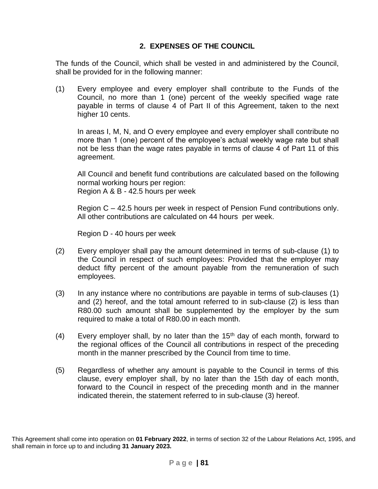# **2. EXPENSES OF THE COUNCIL**

The funds of the Council, which shall be vested in and administered by the Council, shall be provided for in the following manner:

(1) Every employee and every employer shall contribute to the Funds of the Council, no more than 1 (one) percent of the weekly specified wage rate payable in terms of clause 4 of Part II of this Agreement, taken to the next higher 10 cents.

In areas I, M, N, and O every employee and every employer shall contribute no more than 1 (one) percent of the employee's actual weekly wage rate but shall not be less than the wage rates payable in terms of clause 4 of Part 11 of this agreement.

All Council and benefit fund contributions are calculated based on the following normal working hours per region: Region A & B - 42.5 hours per week

Region C – 42.5 hours per week in respect of Pension Fund contributions only. All other contributions are calculated on 44 hours per week.

Region D - 40 hours per week

- (2) Every employer shall pay the amount determined in terms of sub-clause (1) to the Council in respect of such employees: Provided that the employer may deduct fifty percent of the amount payable from the remuneration of such employees.
- (3) In any instance where no contributions are payable in terms of sub-clauses (1) and (2) hereof, and the total amount referred to in sub-clause (2) is less than R80.00 such amount shall be supplemented by the employer by the sum required to make a total of R80.00 in each month.
- (4) Every employer shall, by no later than the  $15<sup>th</sup>$  day of each month, forward to the regional offices of the Council all contributions in respect of the preceding month in the manner prescribed by the Council from time to time.
- (5) Regardless of whether any amount is payable to the Council in terms of this clause, every employer shall, by no later than the 15th day of each month, forward to the Council in respect of the preceding month and in the manner indicated therein, the statement referred to in sub-clause (3) hereof.

This Agreement shall come into operation on **01 February 2022**, in terms of section 32 of the Labour Relations Act, 1995, and shall remain in force up to and including **31 January 2023.**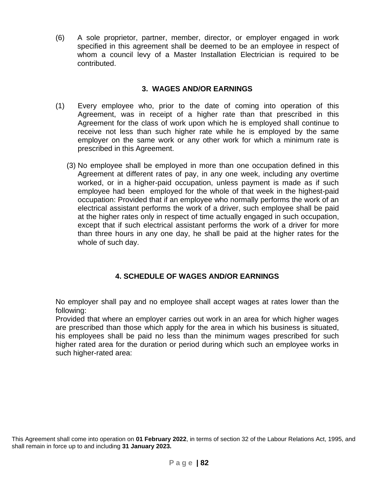(6) A sole proprietor, partner, member, director, or employer engaged in work specified in this agreement shall be deemed to be an employee in respect of whom a council levy of a Master Installation Electrician is required to be contributed.

## **3. WAGES AND/OR EARNINGS**

- (1) Every employee who, prior to the date of coming into operation of this Agreement, was in receipt of a higher rate than that prescribed in this Agreement for the class of work upon which he is employed shall continue to receive not less than such higher rate while he is employed by the same employer on the same work or any other work for which a minimum rate is prescribed in this Agreement.
	- (3) No employee shall be employed in more than one occupation defined in this Agreement at different rates of pay, in any one week, including any overtime worked, or in a higher-paid occupation, unless payment is made as if such employee had been employed for the whole of that week in the highest-paid occupation: Provided that if an employee who normally performs the work of an electrical assistant performs the work of a driver, such employee shall be paid at the higher rates only in respect of time actually engaged in such occupation, except that if such electrical assistant performs the work of a driver for more than three hours in any one day, he shall be paid at the higher rates for the whole of such day.

# **4. SCHEDULE OF WAGES AND/OR EARNINGS**

No employer shall pay and no employee shall accept wages at rates lower than the following:

Provided that where an employer carries out work in an area for which higher wages are prescribed than those which apply for the area in which his business is situated, his employees shall be paid no less than the minimum wages prescribed for such higher rated area for the duration or period during which such an employee works in such higher-rated area: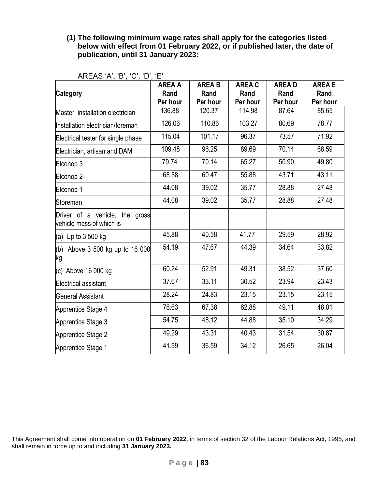### **(1) The following minimum wage rates shall apply for the categories listed below with effect from 01 February 2022, or if published later, the date of publication, until 31 January 2023:**

|                                                              | <b>AREA A</b>    | <b>AREA B</b>    | <b>AREA C</b>    | <b>AREAD</b>     | <b>AREA E</b>    |
|--------------------------------------------------------------|------------------|------------------|------------------|------------------|------------------|
| <b>Category</b>                                              | Rand<br>Per hour | Rand<br>Per hour | Rand<br>Per hour | Rand<br>Per hour | Rand<br>Per hour |
| Master installation electrician                              | 136.88           | 120.37           | 114.98           | 87.64            | 85.65            |
| Installation electrician/foreman                             | 126.06           | 110.86           | 103.27           | 80.69            | 78.77            |
| Electrical tester for single phase                           | 115.04           | 101.17           | 96.37            | 73.57            | 71.92            |
| Electrician, artisan and DAM                                 | 109.48           | 96.25            | 89.69            | 70.14            | 68.59            |
| Elconop 3                                                    | 79.74            | 70.14            | 65.27            | 50.90            | 49.80            |
| Elconop <sub>2</sub>                                         | 68.58            | 60.47            | 55.88            | 43.71            | 43.11            |
| Elconop 1                                                    | 44.08            | 39.02            | 35.77            | 28.88            | 27.48            |
| Storeman                                                     | 44.08            | 39.02            | 35.77            | 28.88            | 27.48            |
| Driver of a vehicle, the gross<br>vehicle mass of which is - |                  |                  |                  |                  |                  |
| (a) Up to 3 500 kg                                           | 45.88            | 40.58            | 41.77            | 29.59            | 28.92            |
| (b) Above 3 500 kg up to 16 000<br>kg                        | 54.19            | 47.67            | 44.39            | 34.64            | 33.82            |
| (c) Above 16 000 kg                                          | 60.24            | 52.91            | 49.31            | 38.52            | 37.60            |
| <b>Electrical assistant</b>                                  | 37.67            | 33.11            | 30.52            | 23.94            | 23.43            |
| <b>General Assistant</b>                                     | 28.24            | 24.83            | 23.15            | 23.15            | 23.15            |
| Apprentice Stage 4                                           | 76.63            | 67.38            | 62.88            | 49.11            | 48.01            |
| Apprentice Stage 3                                           | 54.75            | 48.12            | 44.88            | 35.10            | 34.29            |
| Apprentice Stage 2                                           | 49.29            | 43.31            | 40.43            | 31.54            | 30.87            |
| Apprentice Stage 1                                           | 41.59            | 36.59            | 34.12            | 26.65            | 26.04            |

AREAS 'A', 'B', 'C', 'D', 'E'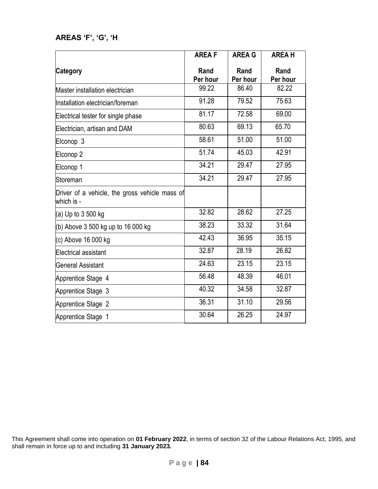# **AREAS 'F', 'G', 'H**

|                                                              | <b>AREAF</b>     | <b>AREA G</b>    | <b>AREAH</b>     |
|--------------------------------------------------------------|------------------|------------------|------------------|
| <b>Category</b>                                              | Rand<br>Per hour | Rand<br>Per hour | Rand<br>Per hour |
| Master installation electrician                              | 99.22            | 86.40            | 82.22            |
| Installation electrician/foreman                             | 91.28            | 79.52            | 75.63            |
| Electrical tester for single phase                           | 81.17            | 72.58            | 69.00            |
| Electrician, artisan and DAM                                 | 80.63            | 69.13            | 65.70            |
| Elconop 3                                                    | 58.61            | 51.00            | 51.00            |
| Elconop 2                                                    | 51.74            | 45.03            | 42.91            |
| Elconop 1                                                    | 34.21            | 29.47            | 27.95            |
| Storeman                                                     | 34.21            | 29.47            | 27.95            |
| Driver of a vehicle, the gross vehicle mass of<br>which is - |                  |                  |                  |
| (a) Up to 3 500 kg                                           | 32.82            | 28.62            | 27.25            |
| (b) Above 3 500 kg up to 16 000 kg                           | 38.23            | 33.32            | 31.64            |
| (c) Above 16 000 kg                                          | 42.43            | 36.95            | 35.15            |
| <b>Electrical assistant</b>                                  | 32.87            | 28.19            | 26.82            |
| <b>General Assistant</b>                                     | 24.63            | 23.15            | 23.15            |
| Apprentice Stage 4                                           | 56.48            | 48.39            | 46.01            |
| Apprentice Stage 3                                           | 40.32            | 34.58            | 32.87            |
| Apprentice Stage 2                                           | 36.31            | 31.10            | 29.56            |
| Apprentice Stage 1                                           | 30.64            | 26.25            | 24.97            |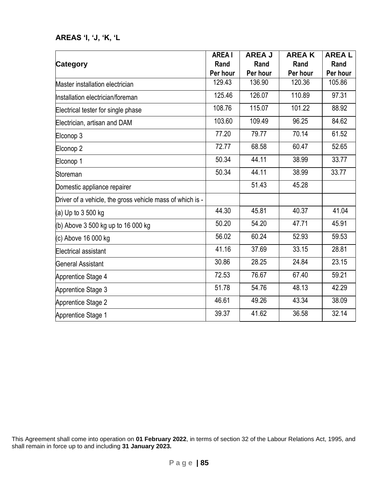# **AREAS 'I, 'J, 'K, 'L**

|                                                           | <b>AREA I</b> | <b>AREA J</b> | <b>AREAK</b> | <b>AREAL</b> |
|-----------------------------------------------------------|---------------|---------------|--------------|--------------|
| <b>Category</b>                                           | Rand          | Rand          | Rand         | Rand         |
|                                                           | Per hour      | Per hour      | Per hour     | Per hour     |
| Master installation electrician                           | 129.43        | 136.90        | 120.36       | 105.86       |
| Installation electrician/foreman                          | 125.46        | 126.07        | 110.89       | 97.31        |
| Electrical tester for single phase                        | 108.76        | 115.07        | 101.22       | 88.92        |
| Electrician, artisan and DAM                              | 103.60        | 109.49        | 96.25        | 84.62        |
| Elconop 3                                                 | 77.20         | 79.77         | 70.14        | 61.52        |
| Elconop 2                                                 | 72.77         | 68.58         | 60.47        | 52.65        |
| Elconop 1                                                 | 50.34         | 44.11         | 38.99        | 33.77        |
| Storeman                                                  | 50.34         | 44.11         | 38.99        | 33.77        |
| Domestic appliance repairer                               |               | 51.43         | 45.28        |              |
| Driver of a vehicle, the gross vehicle mass of which is - |               |               |              |              |
| (a) Up to $3500$ kg                                       | 44.30         | 45.81         | 40.37        | 41.04        |
| (b) Above 3 500 kg up to 16 000 kg                        | 50.20         | 54.20         | 47.71        | 45.91        |
| (c) Above 16 000 kg                                       | 56.02         | 60.24         | 52.93        | 59.53        |
| Electrical assistant                                      | 41.16         | 37.69         | 33.15        | 28.81        |
| <b>General Assistant</b>                                  | 30.86         | 28.25         | 24.84        | 23.15        |
| Apprentice Stage 4                                        | 72.53         | 76.67         | 67.40        | 59.21        |
| Apprentice Stage 3                                        | 51.78         | 54.76         | 48.13        | 42.29        |
| Apprentice Stage 2                                        | 46.61         | 49.26         | 43.34        | 38.09        |
| Apprentice Stage 1                                        | 39.37         | 41.62         | 36.58        | 32.14        |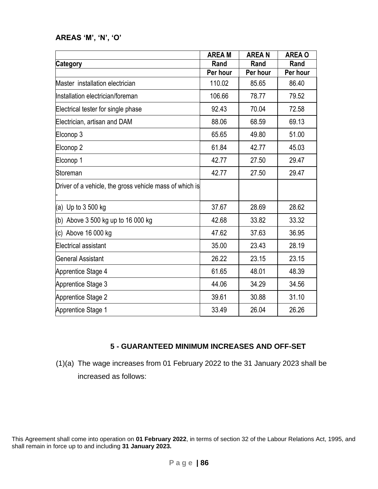### **AREAS 'M', 'N', 'O'**

|                                                         | <b>AREA M</b> | <b>AREAN</b> | <b>AREA O</b> |
|---------------------------------------------------------|---------------|--------------|---------------|
| <b>Category</b>                                         | Rand          | Rand         | Rand          |
|                                                         | Per hour      | Per hour     | Per hour      |
| Master installation electrician                         | 110.02        | 85.65        | 86.40         |
| Installation electrician/foreman                        | 106.66        | 78.77        | 79.52         |
| Electrical tester for single phase                      | 92.43         | 70.04        | 72.58         |
| Electrician, artisan and DAM                            | 88.06         | 68.59        | 69.13         |
| Elconop 3                                               | 65.65         | 49.80        | 51.00         |
| Elconop 2                                               | 61.84         | 42.77        | 45.03         |
| Elconop 1                                               | 42.77         | 27.50        | 29.47         |
| Storeman                                                | 42.77         | 27.50        | 29.47         |
| Driver of a vehicle, the gross vehicle mass of which is |               |              |               |
| (a) Up to $3500$ kg                                     | 37.67         | 28.69        | 28.62         |
| (b) Above $3500$ kg up to 16 000 kg                     | 42.68         | 33.82        | 33.32         |
| (c) Above 16 000 kg                                     | 47.62         | 37.63        | 36.95         |
| Electrical assistant                                    | 35.00         | 23.43        | 28.19         |
| <b>General Assistant</b>                                | 26.22         | 23.15        | 23.15         |
| Apprentice Stage 4                                      | 61.65         | 48.01        | 48.39         |
| Apprentice Stage 3                                      | 44.06         | 34.29        | 34.56         |
| Apprentice Stage 2                                      | 39.61         | 30.88        | 31.10         |
| Apprentice Stage 1                                      | 33.49         | 26.04        | 26.26         |

### **5 - GUARANTEED MINIMUM INCREASES AND OFF-SET**

(1)(a) The wage increases from 01 February 2022 to the 31 January 2023 shall be increased as follows: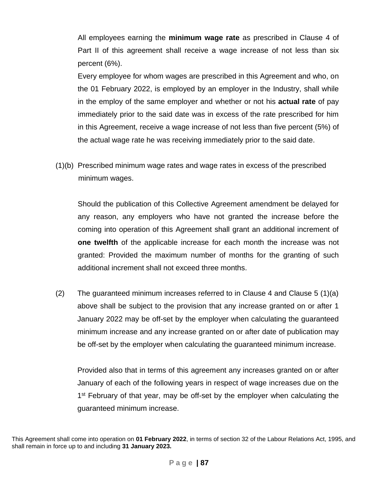All employees earning the **minimum wage rate** as prescribed in Clause 4 of Part II of this agreement shall receive a wage increase of not less than six percent (6%).

Every employee for whom wages are prescribed in this Agreement and who, on the 01 February 2022, is employed by an employer in the Industry, shall while in the employ of the same employer and whether or not his **actual rate** of pay immediately prior to the said date was in excess of the rate prescribed for him in this Agreement, receive a wage increase of not less than five percent (5%) of the actual wage rate he was receiving immediately prior to the said date.

(1)(b) Prescribed minimum wage rates and wage rates in excess of the prescribed minimum wages.

Should the publication of this Collective Agreement amendment be delayed for any reason, any employers who have not granted the increase before the coming into operation of this Agreement shall grant an additional increment of **one twelfth** of the applicable increase for each month the increase was not granted: Provided the maximum number of months for the granting of such additional increment shall not exceed three months.

(2) The guaranteed minimum increases referred to in Clause 4 and Clause 5 (1)(a) above shall be subject to the provision that any increase granted on or after 1 January 2022 may be off-set by the employer when calculating the guaranteed minimum increase and any increase granted on or after date of publication may be off-set by the employer when calculating the guaranteed minimum increase.

Provided also that in terms of this agreement any increases granted on or after January of each of the following years in respect of wage increases due on the 1<sup>st</sup> February of that year, may be off-set by the employer when calculating the guaranteed minimum increase.

This Agreement shall come into operation on **01 February 2022**, in terms of section 32 of the Labour Relations Act, 1995, and shall remain in force up to and including **31 January 2023.**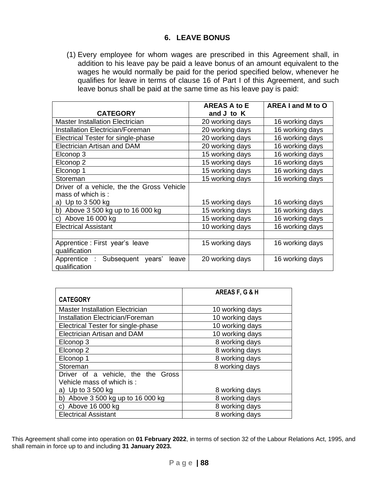### **6. LEAVE BONUS**

(1) Every employee for whom wages are prescribed in this Agreement shall, in addition to his leave pay be paid a leave bonus of an amount equivalent to the wages he would normally be paid for the period specified below, whenever he qualifies for leave in terms of clause 16 of Part I of this Agreement, and such leave bonus shall be paid at the same time as his leave pay is paid:

|                                                             | <b>AREAS A to E</b> | AREA I and M to O |
|-------------------------------------------------------------|---------------------|-------------------|
| <b>CATEGORY</b>                                             | and J to K          |                   |
| <b>Master Installation Electrician</b>                      | 20 working days     | 16 working days   |
| <b>Installation Electrician/Foreman</b>                     | 20 working days     | 16 working days   |
| Electrical Tester for single-phase                          | 20 working days     | 16 working days   |
| <b>Electrician Artisan and DAM</b>                          | 20 working days     | 16 working days   |
| Elconop 3                                                   | 15 working days     | 16 working days   |
| Elconop <sub>2</sub>                                        | 15 working days     | 16 working days   |
| Elconop 1                                                   | 15 working days     | 16 working days   |
| Storeman                                                    | 15 working days     | 16 working days   |
| Driver of a vehicle, the the Gross Vehicle                  |                     |                   |
| mass of which is:                                           |                     |                   |
| a) Up to 3 500 kg                                           | 15 working days     | 16 working days   |
| b) Above 3 500 kg up to 16 000 kg                           | 15 working days     | 16 working days   |
| c) Above 16 000 kg                                          | 15 working days     | 16 working days   |
| <b>Electrical Assistant</b>                                 | 10 working days     | 16 working days   |
|                                                             |                     |                   |
| Apprentice: First year's leave                              | 15 working days     | 16 working days   |
| qualification                                               |                     |                   |
| Apprentice :<br>Subsequent years'<br>leave<br>qualification | 20 working days     | 16 working days   |
|                                                             |                     |                   |

|                                         | AREAS F, G & H  |
|-----------------------------------------|-----------------|
| <b>CATEGORY</b>                         |                 |
| <b>Master Installation Electrician</b>  | 10 working days |
| <b>Installation Electrician/Foreman</b> | 10 working days |
| Electrical Tester for single-phase      | 10 working days |
| <b>Electrician Artisan and DAM</b>      | 10 working days |
| Elconop 3                               | 8 working days  |
| Elconop <sub>2</sub>                    | 8 working days  |
| Elconop 1                               | 8 working days  |
| Storeman                                | 8 working days  |
| Driver of a vehicle, the the Gross      |                 |
| Vehicle mass of which is:               |                 |
| a) Up to $3500$ kg                      | 8 working days  |
| b) Above 3 500 kg up to 16 000 kg       | 8 working days  |
| c) Above 16 000 kg                      | 8 working days  |
| <b>Electrical Assistant</b>             | 8 working days  |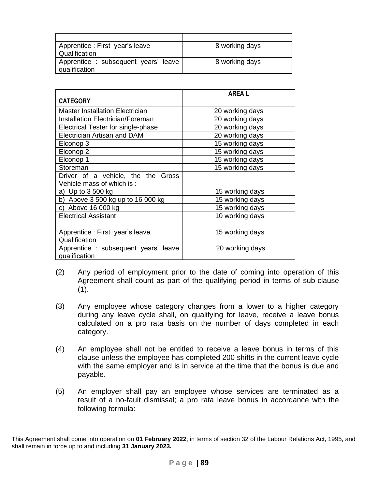| Apprentice : First year's leave      | 8 working days |
|--------------------------------------|----------------|
| Qualification                        |                |
| Apprentice : subsequent years' leave | 8 working days |
| qualification                        |                |

|                                         | <b>AREAL</b>    |
|-----------------------------------------|-----------------|
| <b>CATEGORY</b>                         |                 |
| Master Installation Electrician         | 20 working days |
| <b>Installation Electrician/Foreman</b> | 20 working days |
| Electrical Tester for single-phase      | 20 working days |
| <b>Electrician Artisan and DAM</b>      | 20 working days |
| Elconop 3                               | 15 working days |
| Elconop 2                               | 15 working days |
| Elconop 1                               | 15 working days |
| Storeman                                | 15 working days |
| Driver of a vehicle, the the Gross      |                 |
| Vehicle mass of which is:               |                 |
| a) Up to 3 500 kg                       | 15 working days |
| b) Above $3500$ kg up to 16 000 kg      | 15 working days |
| c) Above 16 000 kg                      | 15 working days |
| <b>Electrical Assistant</b>             | 10 working days |
|                                         |                 |
| Apprentice : First year's leave         | 15 working days |
| Qualification                           |                 |
| Apprentice : subsequent years' leave    | 20 working days |
| qualification                           |                 |

- (2) Any period of employment prior to the date of coming into operation of this Agreement shall count as part of the qualifying period in terms of sub-clause  $(1)$ .
- (3) Any employee whose category changes from a lower to a higher category during any leave cycle shall, on qualifying for leave, receive a leave bonus calculated on a pro rata basis on the number of days completed in each category.
- (4) An employee shall not be entitled to receive a leave bonus in terms of this clause unless the employee has completed 200 shifts in the current leave cycle with the same employer and is in service at the time that the bonus is due and payable.
- (5) An employer shall pay an employee whose services are terminated as a result of a no-fault dismissal; a pro rata leave bonus in accordance with the following formula:

This Agreement shall come into operation on **01 February 2022**, in terms of section 32 of the Labour Relations Act, 1995, and shall remain in force up to and including **31 January 2023.**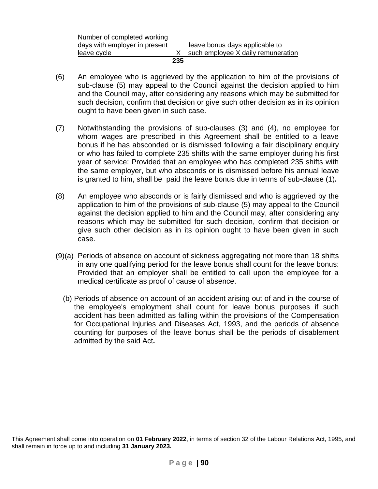|                               | 235 |                                    |
|-------------------------------|-----|------------------------------------|
| leave cycle                   |     | such employee X daily remuneration |
| days with employer in present |     | leave bonus days applicable to     |
| Number of completed working   |     |                                    |

- (6) An employee who is aggrieved by the application to him of the provisions of sub-clause (5) may appeal to the Council against the decision applied to him and the Council may, after considering any reasons which may be submitted for such decision, confirm that decision or give such other decision as in its opinion ought to have been given in such case.
- (7) Notwithstanding the provisions of sub-clauses (3) and (4), no employee for whom wages are prescribed in this Agreement shall be entitled to a leave bonus if he has absconded or is dismissed following a fair disciplinary enquiry or who has failed to complete 235 shifts with the same employer during his first year of service: Provided that an employee who has completed 235 shifts with the same employer, but who absconds or is dismissed before his annual leave is granted to him, shall be paid the leave bonus due in terms of sub-clause (1)*.*
- (8) An employee who absconds or is fairly dismissed and who is aggrieved by the application to him of the provisions of sub-clause (5) may appeal to the Council against the decision applied to him and the Council may, after considering any reasons which may be submitted for such decision, confirm that decision or give such other decision as in its opinion ought to have been given in such case.
- (9)(a) Periods of absence on account of sickness aggregating not more than 18 shifts in any one qualifying period for the leave bonus shall count for the leave bonus: Provided that an employer shall be entitled to call upon the employee for a medical certificate as proof of cause of absence.
	- (b) Periods of absence on account of an accident arising out of and in the course of the employee's employment shall count for leave bonus purposes if such accident has been admitted as falling within the provisions of the Compensation for Occupational Injuries and Diseases Act, 1993, and the periods of absence counting for purposes of the leave bonus shall be the periods of disablement admitted by the said Act*.*

This Agreement shall come into operation on **01 February 2022**, in terms of section 32 of the Labour Relations Act, 1995, and shall remain in force up to and including **31 January 2023.**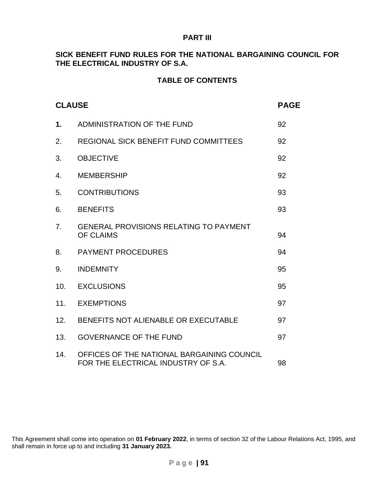#### **PART III**

### **SICK BENEFIT FUND RULES FOR THE NATIONAL BARGAINING COUNCIL FOR THE ELECTRICAL INDUSTRY OF S.A.**

## **TABLE OF CONTENTS**

| <b>CLAUSE</b> |                                                                                   | <b>PAGE</b> |
|---------------|-----------------------------------------------------------------------------------|-------------|
| 1.            | ADMINISTRATION OF THE FUND                                                        | 92          |
| 2.            | REGIONAL SICK BENEFIT FUND COMMITTEES                                             | 92          |
| 3.            | <b>OBJECTIVE</b>                                                                  | 92          |
| 4.            | <b>MEMBERSHIP</b>                                                                 | 92          |
| 5.            | <b>CONTRIBUTIONS</b>                                                              | 93          |
| 6.            | <b>BENEFITS</b>                                                                   | 93          |
| 7.            | <b>GENERAL PROVISIONS RELATING TO PAYMENT</b><br><b>OF CLAIMS</b>                 | 94          |
| 8.            | <b>PAYMENT PROCEDURES</b>                                                         | 94          |
| 9.            | <b>INDEMNITY</b>                                                                  | 95          |
| 10.           | <b>EXCLUSIONS</b>                                                                 | 95          |
| 11.           | <b>EXEMPTIONS</b>                                                                 | 97          |
| 12.           | BENEFITS NOT ALIENABLE OR EXECUTABLE                                              | 97          |
| 13.           | <b>GOVERNANCE OF THE FUND</b>                                                     | 97          |
| 14.           | OFFICES OF THE NATIONAL BARGAINING COUNCIL<br>FOR THE ELECTRICAL INDUSTRY OF S.A. | 98          |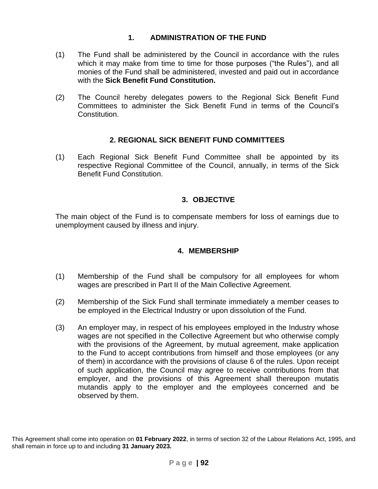# **1. ADMINISTRATION OF THE FUND**

- (1) The Fund shall be administered by the Council in accordance with the rules which it may make from time to time for those purposes ("the Rules"), and all monies of the Fund shall be administered, invested and paid out in accordance with the **Sick Benefit Fund Constitution.**
- (2) The Council hereby delegates powers to the Regional Sick Benefit Fund Committees to administer the Sick Benefit Fund in terms of the Council's Constitution.

# **2. REGIONAL SICK BENEFIT FUND COMMITTEES**

(1) Each Regional Sick Benefit Fund Committee shall be appointed by its respective Regional Committee of the Council, annually, in terms of the Sick Benefit Fund Constitution.

# **3. OBJECTIVE**

The main object of the Fund is to compensate members for loss of earnings due to unemployment caused by illness and injury.

# **4. MEMBERSHIP**

- (1) Membership of the Fund shall be compulsory for all employees for whom wages are prescribed in Part II of the Main Collective Agreement.
- (2) Membership of the Sick Fund shall terminate immediately a member ceases to be employed in the Electrical Industry or upon dissolution of the Fund.
- (3) An employer may, in respect of his employees employed in the Industry whose wages are not specified in the Collective Agreement but who otherwise comply with the provisions of the Agreement, by mutual agreement, make application to the Fund to accept contributions from himself and those employees (or any of them) in accordance with the provisions of clause 6 of the rules. Upon receipt of such application, the Council may agree to receive contributions from that employer, and the provisions of this Agreement shall thereupon mutatis mutandis apply to the employer and the employees concerned and be observed by them.

This Agreement shall come into operation on **01 February 2022**, in terms of section 32 of the Labour Relations Act, 1995, and shall remain in force up to and including **31 January 2023.**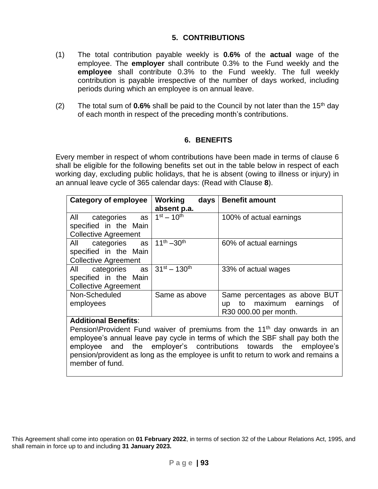# **5. CONTRIBUTIONS**

- (1) The total contribution payable weekly is **0.6%** of the **actual** wage of the employee. The **employer** shall contribute 0.3% to the Fund weekly and the **employee** shall contribute 0.3% to the Fund weekly. The full weekly contribution is payable irrespective of the number of days worked, including periods during which an employee is on annual leave.
- (2) The total sum of  $0.6\%$  shall be paid to the Council by not later than the  $15<sup>th</sup>$  day of each month in respect of the preceding month's contributions.

# **6. BENEFITS**

Every member in respect of whom contributions have been made in terms of clause 6 shall be eligible for the following benefits set out in the table below in respect of each working day, excluding public holidays, that he is absent (owing to illness or injury) in an annual leave cycle of 365 calendar days: (Read with Clause **8**).

| <b>Category of employee</b>                                                                        | <b>Working</b><br>days<br>absent p.a. | <b>Benefit amount</b>                                                                     |
|----------------------------------------------------------------------------------------------------|---------------------------------------|-------------------------------------------------------------------------------------------|
| All<br>categories<br>as<br>specified in the Main<br><b>Collective Agreement</b>                    | $1^{st} - 10^{th}$                    | 100% of actual earnings                                                                   |
| All<br>categories as<br>specified in the Main<br><b>Collective Agreement</b>                       | $11^{th} - 30^{th}$                   | 60% of actual earnings                                                                    |
| categories as $ 31^{st} - 130^{th}$<br>All<br>specified in the Main<br><b>Collective Agreement</b> |                                       | 33% of actual wages                                                                       |
| Non-Scheduled<br>employees                                                                         | Same as above                         | Same percentages as above BUT<br>to maximum earnings<br>οf<br>up<br>R30 000.00 per month. |

### **Additional Benefits**:

Pension\Provident Fund waiver of premiums from the 11<sup>th</sup> day onwards in an employee's annual leave pay cycle in terms of which the SBF shall pay both the employee and the employer's contributions towards the employee's pension/provident as long as the employee is unfit to return to work and remains a member of fund.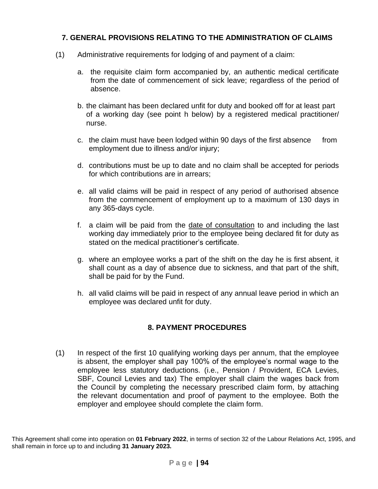# **7. GENERAL PROVISIONS RELATING TO THE ADMINISTRATION OF CLAIMS**

- (1) Administrative requirements for lodging of and payment of a claim:
	- a. the requisite claim form accompanied by, an authentic medical certificate from the date of commencement of sick leave; regardless of the period of absence.
	- b. the claimant has been declared unfit for duty and booked off for at least part of a working day (see point h below) by a registered medical practitioner/ nurse.
	- c. the claim must have been lodged within 90 days of the first absence from employment due to illness and/or injury;
	- d. contributions must be up to date and no claim shall be accepted for periods for which contributions are in arrears;
	- e. all valid claims will be paid in respect of any period of authorised absence from the commencement of employment up to a maximum of 130 days in any 365-days cycle.
	- f. a claim will be paid from the date of consultation to and including the last working day immediately prior to the employee being declared fit for duty as stated on the medical practitioner's certificate.
	- g. where an employee works a part of the shift on the day he is first absent, it shall count as a day of absence due to sickness, and that part of the shift, shall be paid for by the Fund.
	- h. all valid claims will be paid in respect of any annual leave period in which an employee was declared unfit for duty.

# **8. PAYMENT PROCEDURES**

(1) In respect of the first 10 qualifying working days per annum, that the employee is absent, the employer shall pay 100% of the employee's normal wage to the employee less statutory deductions. (i.e., Pension / Provident, ECA Levies, SBF, Council Levies and tax) The employer shall claim the wages back from the Council by completing the necessary prescribed claim form, by attaching the relevant documentation and proof of payment to the employee. Both the employer and employee should complete the claim form.

This Agreement shall come into operation on **01 February 2022**, in terms of section 32 of the Labour Relations Act, 1995, and shall remain in force up to and including **31 January 2023.**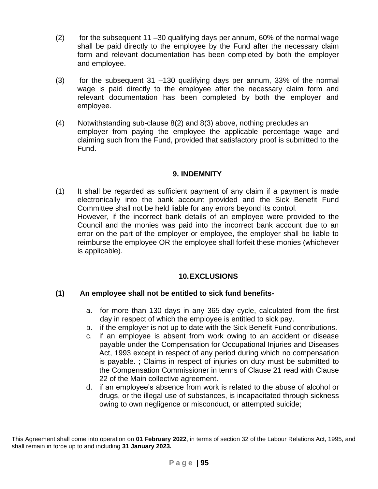- $(2)$  for the subsequent 11 –30 qualifying days per annum, 60% of the normal wage shall be paid directly to the employee by the Fund after the necessary claim form and relevant documentation has been completed by both the employer and employee.
- (3) for the subsequent 31 –130 qualifying days per annum, 33% of the normal wage is paid directly to the employee after the necessary claim form and relevant documentation has been completed by both the employer and employee.
- (4) Notwithstanding sub-clause 8(2) and 8(3) above, nothing precludes an employer from paying the employee the applicable percentage wage and claiming such from the Fund, provided that satisfactory proof is submitted to the Fund.

### **9. INDEMNITY**

(1) It shall be regarded as sufficient payment of any claim if a payment is made electronically into the bank account provided and the Sick Benefit Fund Committee shall not be held liable for any errors beyond its control. However, if the incorrect bank details of an employee were provided to the Council and the monies was paid into the incorrect bank account due to an error on the part of the employer or employee, the employer shall be liable to reimburse the employee OR the employee shall forfeit these monies (whichever is applicable).

# **10.EXCLUSIONS**

### **(1) An employee shall not be entitled to sick fund benefits-**

- a. for more than 130 days in any 365-day cycle, calculated from the first day in respect of which the employee is entitled to sick pay.
- b. if the employer is not up to date with the Sick Benefit Fund contributions.
- c. if an employee is absent from work owing to an accident or disease payable under the Compensation for Occupational Injuries and Diseases Act, 1993 except in respect of any period during which no compensation is payable. ; Claims in respect of injuries on duty must be submitted to the Compensation Commissioner in terms of Clause 21 read with Clause 22 of the Main collective agreement.
- d. if an employee's absence from work is related to the abuse of alcohol or drugs, or the illegal use of substances, is incapacitated through sickness owing to own negligence or misconduct, or attempted suicide;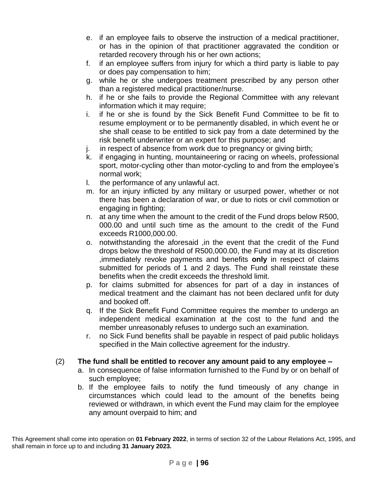- e. if an employee fails to observe the instruction of a medical practitioner, or has in the opinion of that practitioner aggravated the condition or retarded recovery through his or her own actions;
- f. if an employee suffers from injury for which a third party is liable to pay or does pay compensation to him;
- g. while he or she undergoes treatment prescribed by any person other than a registered medical practitioner/nurse.
- h. if he or she fails to provide the Regional Committee with any relevant information which it may require;
- i. if he or she is found by the Sick Benefit Fund Committee to be fit to resume employment or to be permanently disabled, in which event he or she shall cease to be entitled to sick pay from a date determined by the risk benefit underwriter or an expert for this purpose; and
- j. in respect of absence from work due to pregnancy or giving birth;
- k. if engaging in hunting, mountaineering or racing on wheels, professional sport, motor-cycling other than motor-cycling to and from the employee's normal work;
- l. the performance of any unlawful act.
- m. for an injury inflicted by any military or usurped power, whether or not there has been a declaration of war, or due to riots or civil commotion or engaging in fighting;
- n. at any time when the amount to the credit of the Fund drops below R500, 000.00 and until such time as the amount to the credit of the Fund exceeds R1000,000.00.
- o. notwithstanding the aforesaid ,in the event that the credit of the Fund drops below the threshold of R500,000.00, the Fund may at its discretion ,immediately revoke payments and benefits **only** in respect of claims submitted for periods of 1 and 2 days. The Fund shall reinstate these benefits when the credit exceeds the threshold limit.
- p. for claims submitted for absences for part of a day in instances of medical treatment and the claimant has not been declared unfit for duty and booked off.
- q. If the Sick Benefit Fund Committee requires the member to undergo an independent medical examination at the cost to the fund and the member unreasonably refuses to undergo such an examination.
- r. no Sick Fund benefits shall be payable in respect of paid public holidays specified in the Main collective agreement for the industry.

# (2) **The fund shall be entitled to recover any amount paid to any employee –**

- a. In consequence of false information furnished to the Fund by or on behalf of such employee;
- b. If the employee fails to notify the fund timeously of any change in circumstances which could lead to the amount of the benefits being reviewed or withdrawn, in which event the Fund may claim for the employee any amount overpaid to him; and

This Agreement shall come into operation on **01 February 2022**, in terms of section 32 of the Labour Relations Act, 1995, and shall remain in force up to and including **31 January 2023.**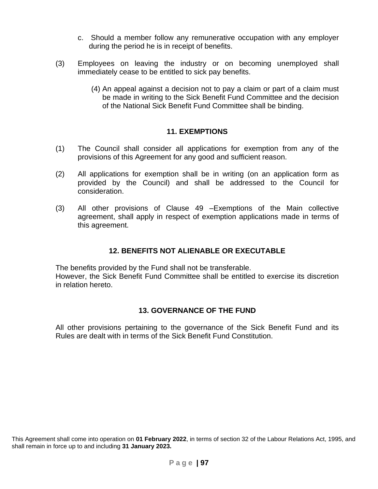- c. Should a member follow any remunerative occupation with any employer during the period he is in receipt of benefits.
- (3) Employees on leaving the industry or on becoming unemployed shall immediately cease to be entitled to sick pay benefits.
	- (4) An appeal against a decision not to pay a claim or part of a claim must be made in writing to the Sick Benefit Fund Committee and the decision of the National Sick Benefit Fund Committee shall be binding.

### **11. EXEMPTIONS**

- (1) The Council shall consider all applications for exemption from any of the provisions of this Agreement for any good and sufficient reason.
- (2) All applications for exemption shall be in writing (on an application form as provided by the Council) and shall be addressed to the Council for consideration.
- (3) All other provisions of Clause 49 –Exemptions of the Main collective agreement, shall apply in respect of exemption applications made in terms of this agreement.

# **12. BENEFITS NOT ALIENABLE OR EXECUTABLE**

The benefits provided by the Fund shall not be transferable. However, the Sick Benefit Fund Committee shall be entitled to exercise its discretion in relation hereto.

### **13. GOVERNANCE OF THE FUND**

All other provisions pertaining to the governance of the Sick Benefit Fund and its Rules are dealt with in terms of the Sick Benefit Fund Constitution.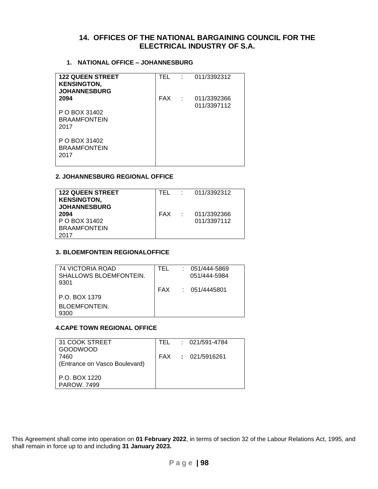#### **14. OFFICES OF THE NATIONAL BARGAINING COUNCIL FOR THE ELECTRICAL INDUSTRY OF S.A.**

#### **1. NATIONAL OFFICE – JOHANNESBURG**

| <b>122 QUEEN STREET</b><br><b>KENSINGTON,</b><br><b>JOHANNESBURG</b> | $TEL$ : | 011/3392312                      |
|----------------------------------------------------------------------|---------|----------------------------------|
| 2094                                                                 |         | FAX : 011/3392366<br>011/3397112 |
| P O BOX 31402<br><b>BRAAMFONTEIN</b><br>2017                         |         |                                  |
| P O BOX 31402<br><b>BRAAMFONTEIN</b><br>2017                         |         |                                  |

#### **2. JOHANNESBURG REGIONAL OFFICE**

| <b>122 QUEEN STREET</b><br><b>KENSINGTON,</b><br><b>JOHANNESBURG</b> | TFL   | : 011/3392312              |
|----------------------------------------------------------------------|-------|----------------------------|
| 2094<br>P O BOX 31402<br><b>BRAAMFONTEIN</b><br>2017                 | FAX : | 011/3392366<br>011/3397112 |

#### **3. BLOEMFONTEIN REGIONALOFFICE**

| 74 VICTORIA ROAD       | TEL | $: 051/444 - 5869$ |
|------------------------|-----|--------------------|
| SHALLOWS BLOEMFONTEIN. |     | 051/444-5984       |
| 9301                   |     |                    |
|                        | FAX | : 051/4445801      |
| P.O. BOX 1379          |     |                    |
| BLOEMFONTEIN.          |     |                    |
| 9300                   |     |                    |

#### **4.CAPE TOWN REGIONAL OFFICE**

| 31 COOK STREET                |  | TEL : 021/591-4784 |
|-------------------------------|--|--------------------|
| <b>GOODWOOD</b>               |  |                    |
| 7460                          |  | FAX : 021/5916261  |
| (Entrance on Vasco Boulevard) |  |                    |
|                               |  |                    |
| P.O. BOX 1220                 |  |                    |
| <b>PAROW, 7499</b>            |  |                    |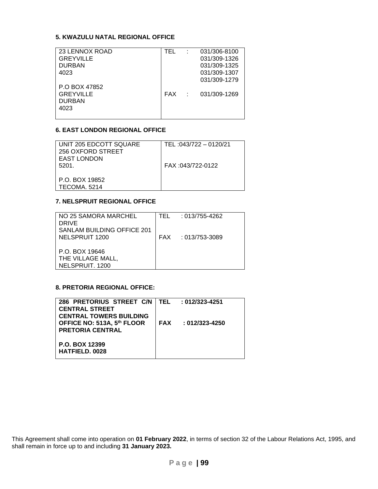#### **5. KWAZULU NATAL REGIONAL OFFICE**

| 23 LENNOX ROAD   | TEL |            | 031/306-8100 |
|------------------|-----|------------|--------------|
| <b>GREYVILLE</b> |     |            | 031/309-1326 |
| <b>DURBAN</b>    |     |            | 031/309-1325 |
| 4023             |     |            | 031/309-1307 |
|                  |     |            | 031/309-1279 |
| P.O BOX 47852    |     |            |              |
| <b>GREYVILLE</b> | FAX | $\sim 100$ | 031/309-1269 |
| <b>DURBAN</b>    |     |            |              |
| 4023             |     |            |              |
|                  |     |            |              |

#### **6. EAST LONDON REGIONAL OFFICE**

| UNIT 205 EDCOTT SQUARE<br>256 OXFORD STREET<br><b>EAST LONDON</b><br>5201. | TEL: 043/722 - 0120/21<br>FAX:043/722-0122 |
|----------------------------------------------------------------------------|--------------------------------------------|
| P.O. BOX 19852<br>TECOMA 5214                                              |                                            |

#### **7. NELSPRUIT REGIONAL OFFICE**

| NO 25 SAMORA MARCHEL              | TFII | : 013/755-4262     |
|-----------------------------------|------|--------------------|
| <b>DRIVE</b>                      |      |                    |
| <b>SANLAM BUILDING OFFICE 201</b> |      |                    |
| NELSPRUIT 1200                    |      | FAX : 013/753-3089 |
|                                   |      |                    |
| P.O. BOX 19646                    |      |                    |
| THE VILLAGE MALL,                 |      |                    |
| NELSPRUIT, 1200                   |      |                    |

#### **8. PRETORIA REGIONAL OFFICE:**

| 286 PRETORIUS STREET C/N   TEL : 012/323-4251<br><b>CENTRAL STREET</b><br><b>CENTRAL TOWERS BUILDING</b> |            |                 |
|----------------------------------------------------------------------------------------------------------|------------|-----------------|
| OFFICE NO: 513A, 5th FLOOR<br><b>PRETORIA CENTRAL</b>                                                    | <b>FAX</b> | $:012/323-4250$ |
| P.O. BOX 12399<br><b>HATFIELD, 0028</b>                                                                  |            |                 |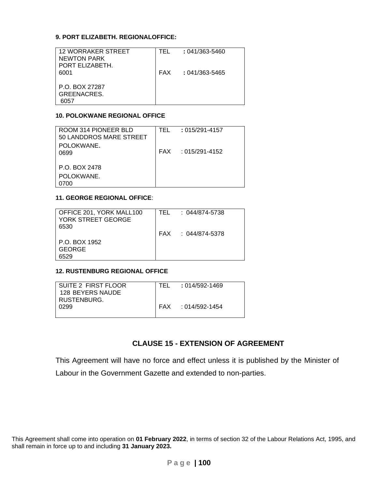#### **9. PORT ELIZABETH. REGIONALOFFICE:**

| <b>12 WORRAKER STREET</b><br><b>NEWTON PARK</b> | TFI        | $: 041/363 - 5460$ |
|-------------------------------------------------|------------|--------------------|
| PORT ELIZABETH.<br>6001                         | <b>FAX</b> | : 041/363-5465     |
| P.O. BOX 27287                                  |            |                    |
| <b>GREENACRES.</b><br>N57                       |            |                    |

#### **10. POLOKWANE REGIONAL OFFICE**

| ROOM 314 PIONEER BLD<br>50 LANDDROS MARE STREET | TFI | $: 015/291 - 4157$   |
|-------------------------------------------------|-----|----------------------|
| POLOKWANE.                                      |     |                      |
|                                                 |     | $FAX : 015/291-4152$ |
| 0699                                            |     |                      |
|                                                 |     |                      |
| P.O. BOX 2478                                   |     |                      |
|                                                 |     |                      |
| POLOKWANE.                                      |     |                      |
| ን700                                            |     |                      |
|                                                 |     |                      |

#### **11. GEORGE REGIONAL OFFICE**:

| OFFICE 201, YORK MALL100<br>YORK STREET GEORGE<br>6530 | TFL. | $: 044/874 - 5738$ |
|--------------------------------------------------------|------|--------------------|
|                                                        |      | FAX : 044/874-5378 |
| P.O. BOX 1952                                          |      |                    |
| GEORGE                                                 |      |                    |
| 6529                                                   |      |                    |

#### **12. RUSTENBURG REGIONAL OFFICE**

| SUITE 2 FIRST FLOOR | TFL. | : 014/592-1469     |
|---------------------|------|--------------------|
| 128 BEYERS NAUDE    |      |                    |
| RUSTENBURG.         |      |                    |
| 0299                |      | FAX : 014/592-1454 |
|                     |      |                    |

### **CLAUSE 15 - EXTENSION OF AGREEMENT**

This Agreement will have no force and effect unless it is published by the Minister of Labour in the Government Gazette and extended to non-parties.